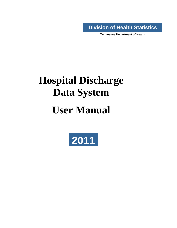**. Division of Health Statistics** 

**Tennessee Department of Health** 

# **Hospital Discharge Data System**

# **User Manual**

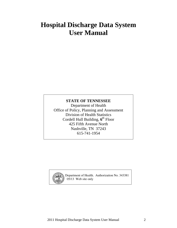# **Hospital Discharge Data System User Manual**

### **STATE OF TENNESSEE**

Department of Health Office of Policy, Planning and Assessment Division of Health Statistics Cordell Hull Building, **6<sup>t</sup>**<sup>h</sup> Floor 425 Fifth Avenue North Nashville, TN 37243 615-741-1954



Department of Health. Authorization No. 343381 05/13 Web site only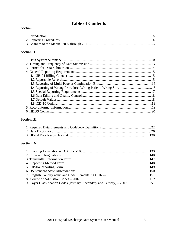# **Table of Contents**

#### **Section I**

#### **Section II**

### **Section III**

### **Section IV**

| 9. Payer Classification Codes (Primary, Secondary and Tertiary) – 2007159 |  |
|---------------------------------------------------------------------------|--|
|                                                                           |  |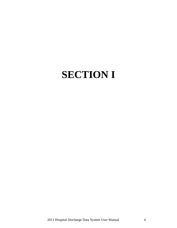# **SECTION I**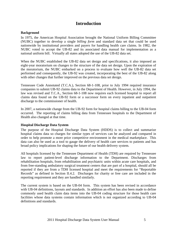### **Introduction**

#### **Background**

In 1975, the American Hospital Association brought the National Uniform Billing Committee (NUBC) together to develop a single *billing form* and standard data set that could be used nationwide by institutional providers and payers for handling health care claims. In 1982, the NUBC voted to accept the UB-82 and its associated data manual for implementation as a national uniform bill. Virtually all states adopted the use of the UB-82 data set.

When the NUBC established the UB-82 data set design and specifications, it also imposed an eight-year moratorium on changes to the structure of the data set design. Upon the expiration of the moratorium, the NUBC embarked on a process to evaluate how well the UB-82 data set performed and consequently, the UB-92 was created, incorporating the best of the UB-82 along with other changes that further improved on the previous data set design.

Tennessee Code Annotated (T.C.A.), Section 68-1-108, prior to July 1994 required insurance companies to submit UB-92 claims data to the Department of Health. However, in July 1994, the law was revised and T.C.A., Section 68-1-108 now requires each licensed hospital to report all claims data found on the UB-92 form or a successor form on every inpatient and outpatient discharge to the commissioner of health.

In 2007, a nationwide change from the UB-92 form for hospital claims billing to the UB-04 form occurred. The reporting of claims billing data from Tennessee hospitals to the Department of Health also changed at that time.

#### **Hospital Discharge Data System**

The purpose of the Hospital Discharge Data System (HDDS) is to collect and summarize hospital claims data so charges for similar types of services can be analyzed and compared in order to help promote a more price competitive environment in the medical marketplace. This data can also be used as a tool to gauge the delivery of health care services to patients and has broad policy implications for shaping the future of our health delivery system.

All hospitals licensed by the Tennessee Department of Health (TDH) are required by Tennessee law to report patient-level discharge information to the Department. Discharges from rehabilitation hospitals, from rehabilitation and psychiatric units within acute care hospitals, and from free-standing ambulatory surgical treatment centers that are part of a hospital, should all be reported if they are from a TDH licensed hospital and meet the requirements for "Reportable Records" as defined in Section II.4.2. Discharges for charity or free care are included in the reporting requirement and they are handled similarly.

The current system is based on the UB-04 form. This system has been revised in accordance with UB-04 definitions, layouts and standards. In addition an effort has also been made to define commonly used health claim data items into the UB-04 coding structure for those health care facilities whose data systems contain information which is not organized according to UB-04 definitions and standards.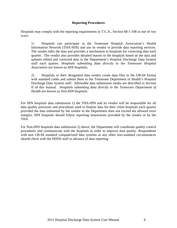#### **Reporting Procedures**

Hospitals may comply with the reporting requirements in T.C.A., Section 68-1-108 in one of two ways:

 1) Hospitals can participate in the Tennessee Hospital Association's Health Information Network (THA-HIN) and use its vendor to provide data reporting services. The vendor edits the data and provides a mechanism to hospitals for correcting data each quarter. The vendor also provides detailed reports to the hospitals based on the data and submits edited and corrected data to the Department's Hospital Discharge Data System staff each quarter. *Hospitals submitting data directly to the Tennessee Hospital Association are known as HIN hospitals.*

 2) Hospitals or their designated data vendor create data files in the UB-04 format with standard codes and submit them to the Tennessee Department of Health's Hospital Discharge Data System staff. Allowable data submission media are described in Section II of this manual*. Hospitals submitting data directly to the Tennessee Department of Health are known as Non-HIN hospitals*.

For HIN hospitals data submission 1) the THA-HIN and its vendor will be responsible for all data quality processes and procedures used to finalize data for their client hospitals each quarter provided the data submitted by the vendor to the Department does not exceed the allowed error margins. HIN hospitals should follow reporting instructions provided by the vendor or by the THA.

For Non-HIN hospitals data submission 2) above, the Department will coordinate quality control procedures and communicate with the hospitals in order to improve data quality. Respondents with non UB-04 standard computerized data systems or any other non-standard circumstances should check with the HDDS staff in advance of data reporting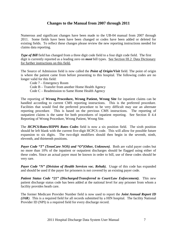#### **Changes to the Manual from 2007 through 2011**

Numerous and significant changes have been made to the UB-04 manual from 2007 through 2011. Some fields have been have been changed or codes have been added or deleted for existing fields. To reflect these changes please review the new reporting instructions needed for claims data reporting.

*Type of Bill* field has changed from a three digit code field to a four digit code field. The first digit is currently reported as a leading zero on *most* bill types. See Section III.2. Data Dictionary for further instructions on this field**.**

The Source of Admission field is now called the *Point of Origin/Visit* field. The point of origin is where the patient came from before presenting to this hospital. The following codes are no longer valid for this field:

 Code 7 – Emergency Room Code B – Transfer from another Home Health Agency Code C – Readmission to Same Home Health Agency

The reporting of **Wrong Procedure, Wrong Patient, Wrong Site** for inpatient claims can be handled according to current CMS reporting instructions. This is the preferred procedure. Facilities that would find the preferred procedure to be very difficult may use an alternate reporting procedure. This is based on the previous CMS instructions. The reporting of outpatient claims is the same for both procedures of inpatient reporting. See Section II 4.4 Reporting of Wrong Procedure, Wrong Patient, Wrong Site.

The *HCPCS/Rates/HIPPS Rates Codes* field is now a six position field. The sixth position should be left blank with the current five-digit HCPCS code. This will allow for possible future expansion to six digits. The two-digit modifiers should then begin in the seventh, ninth, eleventh, and thirteenth positions.

*Payer Code "T" (TennCare NOS) and "O" (Other, Unknown)*. Both are valid payer codes but no more than 10% of the inpatient or outpatient discharges should be flagged using either of these codes. Since an actual payer must be known in order to bill, use of these codes should be very rare.

*Payer Code "N" (Division of Health Services voc. Rehab).* Usage of this code has expanded and should be used if the payer for prisoners is not covered by an existing payer code.

*Patient Status Code "21" (Discharged/Transferred to Court/Law Enforcement).* This new patient discharge status code has been added at the national level for any prisoner from whom a facility provides heath care.

The former Medicare Provider Number field is now used to report the *Joint Annual Report ID (JAR)*. This is a required field for all records submitted by a HIN hospital. The facility National Provider ID (NPI) is a required field for every discharge record.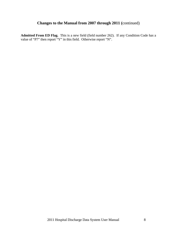# **Changes to the Manual from 2007 through 2011 (**continued)

**Admitted From ED Flag.** This is a new field (field number 262). If any Condition Code has a value of "P7" then report "Y" in this field. Otherwise report "N".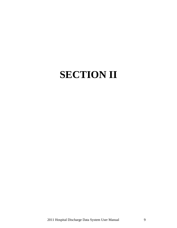# **SECTION II**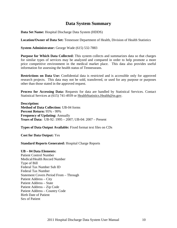# **Data System Summary**

**Data Set Name:** Hospital Discharge Data System (HDDS)

**Location/Owner of Data Set:** Tennessee Department of Health, Division of Health Statistics

**System Administrator:** George Wade (615) 532-7883

**Purpose for Which Data Collected:** This system collects and summarizes data so that charges for similar types of services may be analyzed and compared in order to help promote a more price competitive environment in the medical market place. This data also provides useful information for assessing the health status of Tennesseans.

**Restrictions on Data Use:** Confidential data is restricted and is accessible only for approved research projects. This data may not be sold, transferred, or used for any purpose or purposes other than those stated in the approved request.

**Process for Accessing Data:** Requests for data are handled by Statistical Services. Contact Statistical Services at (615) 741-4939 or HealthStatistics. Health@tn.gov.

**Description: Method of Data Collection:** UB-04 forms **Percent Return:** 95% - 99% **Frequency of Updating:** Annually **Years of Data:** UB-92: 1995 – 2007; UB-04: 2007 – Present

**Types of Data Output Available:** Fixed format text files on CDs

**Cost for Data Output:** Yes

**Standard Reports Generated:** Hospital Charge Reports

**UB – 04 Data Elements:**

Patient Control Number Medical/Health Record Number Type of Bill Federal Tax Number Sub ID Federal Tax Number Statement Covers Period From – Through Patient Address – City Patient Address – State Patient Address – Zip Code Patient Address – Country Code Birth Date of Patient Sex of Patient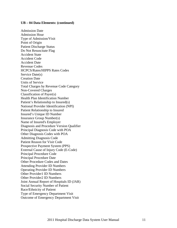#### **UB – 04 Data Elements: (continued)**

Admission Date Admission Hour Type of Admission/Visit Point of Origin Patient Discharge Status Do Not Resuscitate Flag Accident State Accident Code Accident Date Revenue Codes HCPCS/Rates/HIPPS Rates Codes Service Date(s) Creation Date Units of Service Total Charges by Revenue Code Category Non-Covered Charges Classification of Payer(s) Health Plan Identification Number Patient's Relationship to Insured(s) National Provider Identification (NPI) Patient Relationship to Insured Insured's Unique ID Number Insurance Group Number(s) Name of Insured's Employer Diagnosis and Procedure Version Qualifier Principal Diagnosis Code with POA Other Diagnosis Codes with POA Admitting Diagnosis Code Patient Reason for Visit Code Prospective Payment System (PPS) External Cause of Injury Code (E-Code) Principal Procedure Code Principal Procedure Date Other Procedure Codes and Dates Attending Provider ID Numbers Operating Provider ID Numbers Other Provider1 ID Numbers Other Provider2 ID Numbers Joint Annual Report of Hospitals ID (JAR) Social Security Number of Patient Race/Ethnicity of Patient Type of Emergency Department Visit Outcome of Emergency Department Visit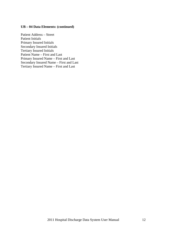#### **UB – 04 Data Elements: (continued)**

Patient Address – Street Patient Initials Primary Insured Initials Secondary Insured Initials Tertiary Insured Initials Patient Name – First and Last Primary Insured Name – First and Last Secondary Insured Name – First and Last Tertiary Insured Name – First and Last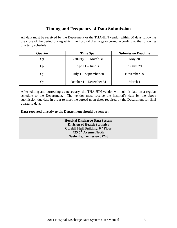# **Timing and Frequency of Data Submission**

All data must be received by the Department or the THA-HIN vendor within 60 days following the close of the period during which the hospital discharge occurred according to the following quarterly schedule:

| <b>Ouarter</b> | <b>Time Span</b>        | <b>Submission Deadline</b> |
|----------------|-------------------------|----------------------------|
| Q1             | January $1 - March 31$  | May 30                     |
| Q2             | April $1 -$ June 30     | August 29                  |
| Q3             | July $1 -$ September 30 | November 29                |
| Q4             | October 1 – December 31 | March 1                    |

After editing and correcting as necessary, the THA-HIN vendor will submit data on a regular schedule to the Department. The vendor must receive the hospital's data by the above submission due date in order to meet the agreed upon dates required by the Department for final quarterly data.

**Data reported directly to the Department should be sent to:** 

**Hospital Discharge Data System Division of Health Statistics Cordell Hull Building, 6<sup>th</sup> Floor 425 5th Avenue North Nashville, Tennessee 37243**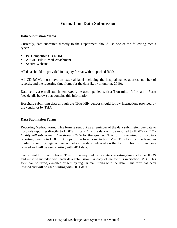# **Format for Data Submission**

#### **Data Submission Media**

Currently, data submitted directly to the Department should use one of the following media types:

- PC Compatible CD-ROM
- ASCII File E-Mail Attachment
- Secure Website

All data should be provided in display format with no packed fields.

All CD-ROMs must have an external label including the hospital name, address, number of records, and the reporting time frame for the data (i.e., 4th quarter, 2010).

Data sent via e-mail attachment *should* be accompanied with a Transmittal Information Form (see details below) that contains this information.

Hospitals submitting data through the THA-HIN vendor should follow instructions provided by the vendor or by THA.

#### **Data Submission Forms**

Reporting Method Form: This form is sent out as a reminder of the data submission due date to hospitals reporting directly to HDDS. It tells *how* the data will be reported to HDDS *or if the facility will submit their data through THA* for that quarter. This form is required for hospitals reporting directly to HDDS. A copy of the form is in Section IV.4. This form can be faxed, emailed or sent by regular mail on/before the date indicated on the form. This form has been revised and will be used starting with 2011 data.

Transmittal Information Form: This form is required for hospitals reporting directly to the HDDS and must be included with each data submission. A copy of the form is in Section IV.3. This form can be faxed, e-mailed or sent by regular mail *along* with the data. This form has been revised and will be used starting with 2011 data.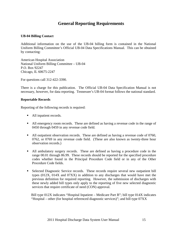# **General Reporting Requirements**

#### **UB-04 Billing Contact**

Additional information on the use of the UB-04 billing form is contained in the National Uniform Billing Committee's Official UB-04 Data Specifications Manual. This can be obtained by contacting:

American Hospital Association National Uniform Billing Committee – UB-04 P.O. Box 92247 Chicago, IL 60675-2247

For questions call 312-422-3390.

There is a charge for this publication. The Official UB-04 Data Specification Manual is not necessary, however, for data reporting. Tennessee's UB-04 format follows the national standard.

#### **Reportable Records**

Reporting of the following records is required:

- All inpatient records.
- All emergency room records. These are defined as having a revenue code in the range of 0450 through 0459 in any revenue code field.
- All outpatient observation records. These are defined as having a revenue code of 0760, 0762, or 0769 in any revenue code field. (These are also known as twenty-three hour observation records.)
- All ambulatory surgery records. These are defined as having a procedure code in the range 00.01 through 86.99. These records should be reported for the specified procedure codes whether found in the Principal Procedure Code field or in any of the Other Procedure Code fields.
- Selected Diagnostic Service records. These records require several new outpatient bill types (012X, 014X and 07XX) in addition to any discharges that would have met the previous definition for required reporting. However, the submission of discharges with these newly added bill types only apply to the reporting of five new selected diagnostic services that require certificate of need (CON) approval.

 Bill type 012X indicates "Hospital Inpatient – Medicare Part B"; bill type 014X indicates "Hospital – other (for hospital referenced diagnostic services)"; and bill type 07XX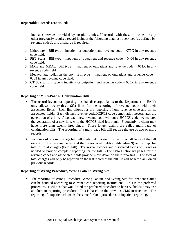#### **Reportable Records (continued)**

 indicates services provided by hospital clinics. If records with these bill types or any other previously required record includes the following diagnostic services (as defined by revenue codes), this discharge is required.

- 1. Lithotrispy: Bill type = inpatient or outpatient and revenue  $code = 079X$  in any revenue code field.
- 2. PET Scans: Bill type = inpatient or outpatient and revenue code = 0404 in any revenue code field.
- **3.** MRIs and MRAs: Bill type = inpatient or outpatient and revenue code =  $061X$  in any revenue code field.
- 4. Megavoltage radiation therapy: Bill type = inpatient or outpatient and revenue code = 0333 in any revenue code field.
- 5. CT Scans: Bill type = inpatient or outpatient and revenue code =  $035X$  in any revenue code field.

#### **Reporting of Multi-Page or Continuation Bills**

- The record layout for reporting hospital discharge claims to the Department of Health only allows twenty-three (23) lines for the reporting of revenue codes with their associated fields. Each line allows for the reporting of one revenue code and all its associated fields. Each distinct revenue code/HCPCS code combination necessitates the generation of a line. Also, each new revenue code without a HCPCS code necessitates the generation of a new line, with the HCPCS field left blank. Frequently, a claim may have more than twenty-three lines. These longer claims are called multi-page or continuation bills. The reporting of a multi-page bill will require the use of two or more records.
- Each record of a multi-page bill will contain duplicate information on all fields of the bill except for the revenue codes and their associated fields (fields 24—39) and except for total of total charges (field 140). The revenue codes and associated fields will vary as needed to provide complete reporting for the bill. (The Data Dictionary pages for the revenue codes and associated fields provide more detail on their reporting.) The total of total charges will only be reported on the last record of the bill. It will be left blank on all previous records

#### **Reporting of Wrong Procedure, Wrong Patient, Wrong Site**

 The reporting of Wrong Procedure, Wrong Patient, and Wrong Site for inpatient claims can be handled according to current CMS reporting instructions. This is the preferred procedure. Facilities that would find the preferred procedure to be very difficult may use an alternate reporting procedure. This is based on the previous CMS instructions. The reporting of outpatient claims is the same for both procedures of inpatient reporting.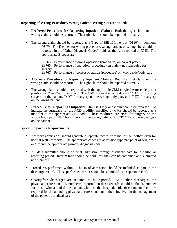#### **Reporting of Wrong Procedure, Wrong Patient, Wrong Site (continued)**

- **Preferred Procedure for Reporting Inpatient Claims:** Both the right claim and the wrong claim should be reported. The right claim should be reported normally.
- The wrong claim should be reported as a Type of Bill 110, i.e. put "0110" in positions 76-79. The E-codes for wrong procedure, wrong patient, or wrong site should be reported in the "Other Diagnosis Codes" fields as they are reported to CMS. The appropriate E-codes are:

 E8765 – Performance of wrong operation (procedure) on correct patient E8766 – Performance of operation (procedure) on patient not scheduled for surgery E8767 – Performance of correct operation (procedure) on wrong side/body part

- **Alternate Procedure for Reporting Inpatient Claims:** Both the right claim and the wrong claim should be reported. The right claim should be reported normally.
- The wrong claim should be reported with the applicable CMS surgical error code put in positions 2273-2274 of the record. The CMS surgical error codes are "MX" for a wrong surgery on the patient, "MY" for surgery on the wrong body part, and "MZ" for surgery on the wrong patient.
- **Procedure for Reporting Outpatient Claims:** Only one claim should be reported. To indicate the surgical error the NCD modifier specified by CMS should be reported as a modifier to the appropriate CPT code. These modifiers are "PA" for surgery on the wrong body part, "PB" for surgery on the wrong patient, and "PC" for a wrong surgery on the patient.

#### **Special Reporting Requirements**

- Newborn admissions should generate a separate record from that of the mother, even for normal well newborns. The appropriate codes are admission type "4" point of origin "5" or "6" and the appropriate primary diagnosis code.
- All data submitted should be final, admission-through-discharge data for a particular reporting period. Interim bills should be held until they can be combined and submitted as a final bill.
- Procedures performed within 72 hours of admission should be included as part of the discharge record. Those performed earlier should be submitted as a separate record.
- Charity/free discharges are required to be reported. Like other discharges, the physician/professional ID number(s) reported on these records should be the ID number for those who attended the patient while in the hospital. Identification numbers are required for the attending physician/professional and others involved in the management of the patient's medical care.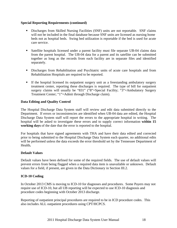#### **Special Reporting Requirements (continued)**

- Discharges from Skilled Nursing Facilities (SNF) units are not reportable. SNF claims will not be included in the final database because SNF units are licensed as nursing home beds not as hospital beds. Swing bed utilization is reportable if the bed is used for acute care service.
- Satellite hospitals licensed under a parent facility must file separate UB-04 claims data from the parent hospital. The UB-04 data for a parent and its satellite can be submitted together as long as the records from each facility are in separate files and identified separately.
- Discharges from Rehabilitation and Psychiatric units of acute care hospitals and from Rehabilitation Hospitals are required to be reported.
- If the hospital licensed its outpatient surgery unit as a freestanding ambulatory surgery treatment center, reporting these discharges is required. The type of bill for outpatient surgery claims will usually be "831" ("8"=Special Facility; "3"=Ambulatory Surgery Treatment Center; "1"=Admit through Discharge claim).

#### **Data Editing and Quality Control**

The Hospital Discharge Data System staff will review and edit data submitted directly to the Department. If errors or inconsistencies are identified when UB-04 data are edited, the Hospital Discharge Data System staff will report the errors to the appropriate hospital in writing. The hospital will be asked to investigate these errors and to supply correct information **within 15 working days** of the date that the error is reported to the hospital.

For hospitals that have signed agreements with THA and have their data edited and corrected prior to being submitted to the Hospital Discharge Data System each quarter, no additional edits will be performed unless the data exceeds the error threshold set by the Tennessee Department of Health*.*

#### **Default Values**

Default values have been defined for some of the required fields. The use of default values will prevent errors from being flagged when a required data item is unavailable or unknown. Default values for a field, if present, are given in the Data Dictionary in Section III.2.

#### **ICD-10 Coding**

In October 2013 CMS is moving to ICD-10 for diagnoses and procedures. Some Payers may not require use of ICD-10, but all UB reporting will be expected to use ICD-10 diagnosis and procedure codes beginning with October 2013 discharge.

Reporting of outpatient principal procedures are required to be in ICD procedure codes. This also includes ALL outpatient procedures using CPT/HCPCS.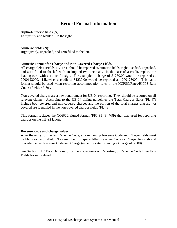## **Record Format Information**

**Alpha-Numeric fields (A):** 

Left justify and blank fill to the right.

#### **Numeric fields (N):**

Right justify, unpacked, and zero filled to the left.

#### **Numeric Format for Charge and Non-Covered Charge Fields**

All charge fields (Fields 117-164) should be reported as numeric fields, right justified, unpacked, and zero filled to the left with an implied two decimals. In the case of a credit, replace the leading zero with a minus (-) sign. For example, a charge of \$1230.00 would be reported as 0000123000. Likewise, a credit of \$1230.00 would be reported as -000123000. This same format should be used when reporting accommodation rates in the HCPSC/Rates/HIPPS Rate Codes (Fields 47-69).

Non-covered charges are a new requirement for UB-04 reporting. They should be reported on all relevant claims. According to the UB-04 billing guidelines the Total Charges fields (FL 47) include both covered and non-covered charges and the portion of the total charges that are not covered are identified in the non-covered charges fields (FL 48).

This format replaces the COBOL signed format (PIC S9 (8) V99) that was used for reporting charges on the UB-92 layout.

#### **Revenue code and charge values:**

After the entry for the last Revenue Code, any remaining Revenue Code and Charge fields must be blank or zero filled. No zero filled, or space filled Revenue Code or Charge fields should precede the last Revenue Code and Charge (except for items having a Charge of \$0.00).

See Section III 2 Data Dictionary for the instructions on Reporting of Revenue Code Line Item Fields for more detail.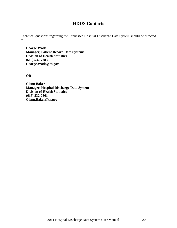### **HDDS Contacts**

Technical questions regarding the Tennessee Hospital Discharge Data System should be directed to:

**George Wade Manager, Patient Record Data Systems Division of Health Statistics (615) 532-7883 George.Wade@tn.gov** 

**OR** 

**Glenn Baker Manager, Hospital Discharge Data System Division of Health Statistics (615) 532-7861 Glenn.Baker@tn.gov**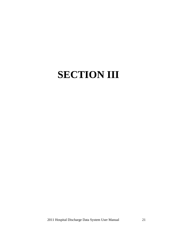# **SECTION III**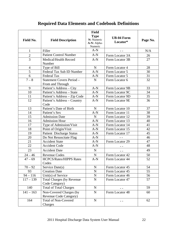# **Required Data Elements and Codebook Definitions**

|                |                                                           | <b>Field</b>                                        |                               |          |
|----------------|-----------------------------------------------------------|-----------------------------------------------------|-------------------------------|----------|
| Field No.      | <b>Field Description</b>                                  | <b>Type</b><br>N: Numeric<br>A-N: Alpha-<br>Numeric | <b>UB-04 Form</b><br>Locator* | Page No. |
| $\mathbf{1}$   | Filler                                                    | $A-N$                                               | $ -$                          | N/A      |
| $\overline{c}$ | <b>Patient Control Number</b>                             | $A-N$                                               | Form Locator 3A               | 26       |
| $\overline{3}$ | Medical/Health Record<br>Number                           | $A-N$                                               | Form Locator 3B               | 27       |
| $\overline{4}$ | Type of Bill                                              | $\mathbf N$                                         | Form Locator 4                | 28       |
| 5              | Federal Tax Sub ID Number                                 | $A-N$                                               | Form Locator 5                | 30       |
| 6              | <b>Federal Tax</b>                                        | $A-N$                                               | Form Locator 5                | 31       |
| $7 - 8$        | Statement Covers Period -                                 | $\mathbf N$                                         | Form Locator 6                | 32       |
|                | From and Through                                          |                                                     |                               |          |
| 9              | Patient's Address - City                                  | $A-N$                                               | Form Locator 9B               | 33       |
| 10             | Patient's Address - State                                 | $A-N$                                               | Form Locator 9C               | 34       |
| 11             | Patient's Address - Zip Code                              | $A-N$                                               | Form Locator 9D               | 35       |
| 12             | Patient's Address - Country                               | $A-N$                                               | Form Locator 9E               | 36       |
|                | Code                                                      |                                                     |                               |          |
| 13             | Patient's Date of Birth                                   | $\mathbf N$                                         | Form Locator 10               | 37       |
| 14             | Patient's Sex                                             | $A-N$                                               | Form Locator 11               | 38       |
| 15             | <b>Admission Date</b>                                     | $\mathbf N$                                         | Form Locator 12               | 39       |
| 16             | <b>Admission Hour</b>                                     | $A-N$                                               | Form Locator 13               | 40       |
| 17             | Type of Admission/Visit                                   | $A-N$                                               | Form Locator 14               | 41       |
| 18             | Point of Origin/Visit                                     | $A-N$                                               | Form Locator 15               | 42       |
| 19             | Patient Discharge Status                                  | $A-N$                                               | Form Locator 17               | 45       |
| 20             | Do Not Resuscitate Flag                                   | $A-N$                                               |                               | 46       |
| 21             | <b>Accident State</b>                                     | $A-N$                                               | Form Locator 29               | 47       |
| 22             | <b>Accident Code</b>                                      | $A-N$                                               |                               | 48       |
| 23             | <b>Accident Date</b>                                      | $\mathbf N$                                         | $- -$                         | 49       |
| $24 - 46$      | <b>Revenue Codes</b>                                      | $\mathbf N$                                         | Form Locator 42               | 50       |
| $47 - 69$      | <b>HCPCS/Rates/HIPPS Rates</b><br>Codes                   | $A-N$                                               | Form Locator 44               | 52       |
| $70 - 92$      | Service Date(s)                                           | ${\bf N}$                                           | Form Locator 45               | 54       |
| 93             | <b>Creation Date</b>                                      | ${\bf N}$                                           | Form Locator 45               | 55       |
| $94 - 116$     | Unit(s) of Service                                        | ${\bf N}$                                           | Form Locator 46               | 56       |
| $117 - 139$    | <b>Total Charges (by Revenue)</b><br>Code Category)       | ${\bf N}$                                           | Form Locator 47               | 57       |
| 140            | <b>Total of Total Charges</b>                             | $\mathbf N$                                         |                               | 59       |
| $141 - 163$    | Non-Covered Charges (by<br><b>Revenue Code Category</b> ) | $\mathbf N$                                         | Form Locator 48               | 60       |
| 164            | <b>Total of Non-Covered</b><br>Charges                    | ${\bf N}$                                           |                               | 62       |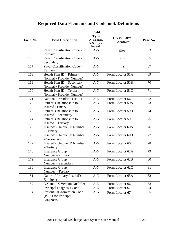# **Required Data Elements and Codebook Definitions**

| Field No. | <b>Field Description</b>                                             | <b>Field</b><br><b>Type</b><br>N: Numeric | <b>UB-04 Form</b><br>Locator* | Page No. |
|-----------|----------------------------------------------------------------------|-------------------------------------------|-------------------------------|----------|
|           |                                                                      | A-N: Alpha-<br>Numeric                    |                               |          |
| 165       | Payer Classification Code -<br>Primary                               | $A-N$                                     | 50A                           | 63       |
| 166       | Payer Classification Code -<br>Secondary                             | $A-N$                                     | 50 <sub>B</sub>               | 65       |
| 167       | Payer Classification Code -<br>Tertiary                              | $A-N$                                     | 50C                           | 67       |
| 168       | Health Plan ID - Primary<br>(formerly Provider Number)               | $A-N$                                     | Form Locator 51A              | 69       |
| 169       | Health Plan ID - Secondary<br>(formerly Provider Number)             | $A-N$                                     | Form Locator 51B              | 70       |
| 170       | Health Plan ID - Tertiary<br>(formerly Provider Number)              | $A-N$                                     | Form Locator 51C              | 71       |
| 171       | National Provider ID (NPI)                                           | $A-N$                                     | Form Locator 56               | 72       |
| 172       | Patient's Relationship to<br><b>Insured-Primary</b>                  | $A-N$                                     | Form Locator 59A              | 73       |
| 173       | Patient's Relationship to<br>Insured – Secondary                     | $A-N$                                     | Form Locator 59B              | 74       |
| 174       | Patient's Relationship to<br>Insured - Tertiary                      | $A-N$                                     | Form Locator 59C              | 75       |
| 175       | Insured's Unique ID Number<br>- Primary                              | $A-N$                                     | Form Locator 60A              | 76       |
| 176       | Insured's Unique ID Number<br>- Secondary                            | $A-N$                                     | Form Locator 60B              | 77       |
| 177       | Insured's Unique ID Number<br>- Tertiary                             | $A-N$                                     | Form Locator 60C              | 78       |
| 178       | <b>Insurance Group</b><br>Number - Primary                           | $A-N$                                     | Form Locator 62A              | 79       |
| 179       | <b>Insurance Group</b><br>Number – Secondary                         | $A-N$                                     | Form Locator 62B              | 80       |
| 180       | <b>Insurance Group</b><br>Number - Tertiary                          | $A-N$                                     | Form Locator 62C              | 81       |
| 181       | Name of Primary Insured's<br>Employer                                | $A-N$                                     | Form Locator 65A              | 82       |
| 182       | DX and PX Version Qualifier                                          | $A-N$                                     | Form Locator 66               | 83       |
| 183       | Principal Diagnosis Code                                             | $A-N$                                     | Form Locator 67               | 84       |
| 184       | <b>Present On Admission Code</b><br>(POA) for Principal<br>Diagnosis | $A-N$                                     | Form Locator 67               | 85       |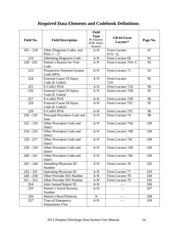# **Required Data Elements and Codebook Definitions**

|                                                     |                                                   | <b>Field</b>                |                   |          |
|-----------------------------------------------------|---------------------------------------------------|-----------------------------|-------------------|----------|
|                                                     |                                                   | <b>Type</b>                 | <b>UB-04 Form</b> |          |
| Field No.                                           | <b>Field Description</b>                          | N: Numeric<br>A-N: Alpha-   | Locator*          | Page No. |
|                                                     |                                                   | Numeric                     |                   |          |
| $185 - 218$                                         | Other Diagnosis Codes and                         |                             | Form Locator      | 87       |
|                                                     | POA $1-17$                                        |                             | $67A - Q$         |          |
| 219                                                 | <b>Admitting Diagnosis Code</b>                   | $A-N$                       | Form Locator 69   | 91       |
| $220 - 222$                                         | Patient's Reason for Visit                        | $A-N$<br>Form Locator 70A-C |                   | 92       |
|                                                     | Code                                              |                             |                   |          |
| 223                                                 | Prospective Payment System<br>Code (PPS)          | $A-N$                       | Form Locator 71   | 93       |
| 224                                                 | <b>External Cause Of Injury</b>                   | $A-N$                       | Form Locator      | 95       |
|                                                     | Code (E Code)1                                    |                             | 72A               |          |
| 225                                                 | E-Code1 POA                                       | $A-N$                       | Form Locator 72A  | 96       |
| 226                                                 | <b>External Cause Of Injury</b><br>Code (E Code)2 | $A-N$                       | Form Locator 72B  | 95       |
| 227                                                 | E-Code2 POA                                       | $A-N$                       | Form Locator 72B  | 96       |
| 228                                                 | <b>External Cause Of Injury</b>                   | $A-N$                       | Form Locator 72C  | 95       |
|                                                     | Code (E Code)3                                    |                             |                   |          |
| 229                                                 | E-Code3 POA<br>$A-N$                              |                             | Form Locator 72C  | 96       |
| $230 - 231$<br>Principal Procedure Code and<br>Date |                                                   | $A-N$                       | Form Locator 74   | 98       |
| $232 - 233$                                         | $A-N$<br>Other Procedure Code and<br>Date1        |                             | Form Locator 74A  | 100      |
| $234 - 235$                                         | Other Procedure Code and<br>Date2                 | $A-N$                       | Form Locator 74B  | 100      |
| $236 - 237$                                         | Other Procedure Code and<br>Date3                 | $A-N$                       | Form Locator 74C  | 100      |
| $238 - 239$                                         | Other Procedure Code and<br>Date4                 | $A-N$                       | Form Locator 74D  | 100      |
| $240 - 241$                                         | Other Procedure Code and<br>Date <sub>5</sub>     | $A-N$                       | Form Locator 74E  | 100      |
| $242 - 244$                                         | <b>Attending Physician ID</b><br>Number           | $A-N$                       | Form Locator 76   | 102      |
| $245 - 247$                                         | <b>Operating Physician ID</b>                     | $A-N$                       | Form Locator 77   | 103      |
| $248 - 250$                                         | Other Provider ID1 Number                         | $A-N$                       | Form Locator 78   | 104      |
| $251 - 253$                                         | Other Provider ID2 Number                         | $A-N$                       | Form Locator 79   | 105      |
| 254                                                 | Joint Annual Report ID                            | $A-N$                       |                   | 106      |
| 255                                                 | Patient's Social Security<br>Number               | $A-N$                       |                   | 107      |
| 256                                                 | Patient's Race/Ethnicity                          | $\mathbf N$<br>- -          |                   | 108      |
| 257                                                 | Type of Emergency<br>Department Visit             | $A-N$                       | - -               | 109      |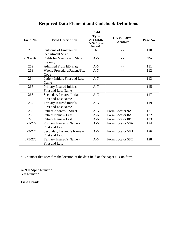# **Required Data Element and Codebook Definitions**

| <b>Field No.</b> | <b>Field Description</b>                                   | <b>Field</b><br><b>Type</b><br>N: Numeric<br>A-N: Alpha-<br>Numeric | <b>UB-04 Form</b><br>Locator* | Page No. |
|------------------|------------------------------------------------------------|---------------------------------------------------------------------|-------------------------------|----------|
| 258              | Outcome of Emergency<br>Department Visit                   | $\mathbf N$                                                         | $ -$                          | 110      |
| $259 - 261$      | Fields for Vendor and State<br>use only                    | $A-N$                                                               |                               | N/A      |
| 262              | <b>Admitted From ED Flag</b>                               | $A-N$                                                               |                               | 111      |
| 263              | Wrong Procedure/Patient/Site<br>Code                       | $A-N$                                                               |                               | 112      |
| 264              | <b>Patient Initials First and Last</b><br>Name             | $A-N$                                                               |                               | 113      |
| 265              | Primary Insured Initials -<br><b>First and Last Name</b>   | $A-N$                                                               |                               | 115      |
| 266              | Secondary Insured Initials -<br><b>First and Last Name</b> | $A-N$                                                               | $ -$                          | 117      |
| 267              | Tertiary Insured Initials -<br><b>First and Last Name</b>  | $A-N$                                                               | $ -$                          | 119      |
| 268              | <b>Patient Address - Street</b>                            | $A-N$                                                               | Form Locator 9A               | 121      |
| 269              | Patient Name – First                                       | $A-N$                                                               | Form Locator 8A               | 122      |
| 270              | Patient Name - Last                                        | $A-N$                                                               | Form Locator 8B               | 123      |
| 271-272          | Primary Insured's Name -<br><b>First and Last</b>          | $A-N$                                                               | Form Locator 58A              | 124      |
| 273-274          | Secondary Insured's Name -<br><b>First and Last</b>        | $A-N$                                                               | Form Locator 58B              | 126      |
| 275-276          | Tertiary Insured's Name -<br><b>First and Last</b>         | $A-N$                                                               | Form Locator 58C              | 128      |

\* A number that specifies the location of the data field on the paper UB-04 form.

A-N = Alpha Numeric  $N =$ Numeric

#### **Field Detail:**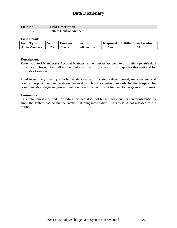| Field No. | <b>Field Description</b>      |
|-----------|-------------------------------|
|           | <b>Patient Control Number</b> |

#### **Field Detail:**

| <b>Field Type</b> | Width | <b>Position</b> | Format         | <b>Required</b> | UB-04 Form Locator |
|-------------------|-------|-----------------|----------------|-----------------|--------------------|
| Alpha-Numeric     |       | $26 -$          | Left Justified | Yes.            | эA                 |

#### **Description:**

Patient Control Number (or Account Number) is the number assigned to this patient *for this date of service.* This number will not be used again by this hospital. It is unique for this visit and for this date of service.

Used to uniquely identify a particular data record for systems development, management, and control purposes and to facilitate retrieval of claims or patient records by the hospital for communication regarding errors found on individual records. Also used to merge interim claims.

#### **Comments:**

This data item is required. Providing this data does not breach individual patient confidentiality since the system has no number-name matching information. This field is not released to the public.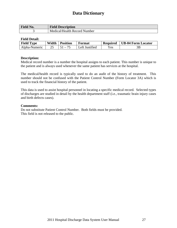| <b>Field No.</b> | <b>Field Description</b>     |
|------------------|------------------------------|
|                  | Medical/Health Record Number |

#### **Field Detail:**

| <b>Field Type</b> | Width | <b>Position</b>         | Format         | <b>Required</b> | UB-04 Form Locator |
|-------------------|-------|-------------------------|----------------|-----------------|--------------------|
| Alpha-Numeric     |       | $\mathbf{1} \mathbf{1}$ | Left Justified | Yes.            |                    |

#### **Description:**

Medical record number is a number the hospital assigns to each patient. This number is unique to the patient and is always used whenever the same patient has services at the hospital.

The medical/health record is typically used to do an audit of the history of treatment. This number should not be confused with the Patient Control Number (Form Locator 3A) which is used to track the financial history of the patient.

This data is used to assist hospital personnel in locating a specific medical record. Selected types of discharges are studied in detail by the health department staff (i.e., traumatic brain injury cases and birth defects cases).

#### **Comments:**

Do not substitute Patient Control Number. Both fields must be provided. This field is not released to the public.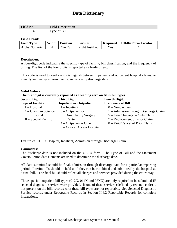| Field No. | <b>Field Description</b>            |
|-----------|-------------------------------------|
|           | f Bill<br>$\mathbf{r}$<br>vne<br>ОT |

#### **Field Detail:**

| <b>Field Type</b> | Width | <b>Position</b> | Format          | <b>Required</b> | <b>UB-04 Form Locator</b> |
|-------------------|-------|-----------------|-----------------|-----------------|---------------------------|
| Alpha Numeric     |       | $76 - 79$       | Right Justified | Yes             |                           |

#### **Description:**

A four-digit code indicating the specific type of facility, bill classification, and the frequency of billing. The first of the four digits is reported as a leading zero.

This code is used to verify and distinguish between inpatient and outpatient hospital claims, to identify and merge interim claims, and to verify discharge date.

#### **Valid Values:**

|  |  |  |  | The first digit is currently reported as a leading zero on ALL bill types. |  |  |
|--|--|--|--|----------------------------------------------------------------------------|--|--|
|  |  |  |  |                                                                            |  |  |

| <b>Third Digit:</b>            | <b>Fourth Digit:</b>                    |
|--------------------------------|-----------------------------------------|
| <b>Inpatient or Outpatient</b> | <b>Frequency of Bill</b>                |
| $1 = Inpatient$                | $0 = \text{Nonpayment}$                 |
| $3 =$ Outpatient or            | $1 =$ Admission through Discharge Claim |
| <b>Ambulatory Surgery</b>      | $5 =$ Late Charge(s) – Only Claim       |
| Center                         | $7 = Replacement of Prior Claim$        |
| $4 =$ Outpatient – Other       | $8 = \text{Void/Cancel}$ of Prior Claim |
| $5 =$ Critical Access Hospital |                                         |
|                                |                                         |
|                                |                                         |

**Example:** 0111 = Hospital, Inpatient, Admission through Discharge Claim

#### **Comments:**

The discharge date is not included on the UB-04 form. The Type of Bill and the Statement Covers Period data elements are used to determine the discharge date.

All data submitted should be final, admission-through-discharge data for a particular reporting period. Interim bills should be held until they can be combined and submitted by the hospital as a final bill. The final bill should reflect all charges and services provided during the entire stay.

Three special outpatient bill types (012X, 014X and 07XX) are only required to be submitted IF selected diagnostic services were provided. If one of these services (defined by revenue code) is not present on the bill, records with these bill types are not reportable. See Selected Diagnostic Service records under Reportable Records in Section II.4.2 Reportable Records for complete instructions.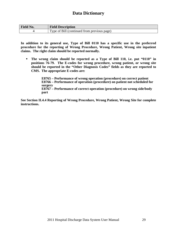| <b>Field No.</b> | <b>Field Description</b>                    |
|------------------|---------------------------------------------|
|                  | Type of Bill (continued from previous page) |

**In addition to its general use, Type of Bill 0110 has a specific use in the preferred procedure for the reporting of Wrong Procedure, Wrong Patient, Wrong site inpatient claims. The right claim should be reported normally.** 

 **The wrong claim should be reported as a Type of Bill 110, i.e. put "0110" in positions 76-79. The E-codes for wrong procedure, wrong patient, or wrong site should be reported in the "Other Diagnosis Codes" fields as they are reported to CMS. The appropriate E-codes are:** 

> **E8765 – Performance of wrong operation (procedure) on correct patient E8766 – Performance of operation (procedure) on patient not scheduled for surgery E8767 – Performance of correct operation (procedure) on wrong side/body part**

**See Section II.4.4 Reporting of Wrong Procedure, Wrong Patient, Wrong Site for complete instructions.**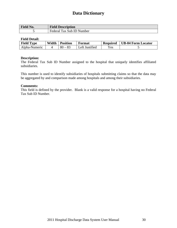| <b>Field No.</b> | <b>Field Description</b>  |
|------------------|---------------------------|
|                  | Federal Tax Sub ID Number |

#### **Field Detail:**

| <b>Field Type</b> | Width | <b>Position</b> | Format         | <b>Required</b> | UB-04 Form Locator |
|-------------------|-------|-----------------|----------------|-----------------|--------------------|
| Alpha-Numeric     |       | ) – 83<br>-80   | Left Justified | Yes.            |                    |

#### **Description:**

The Federal Tax Sub ID Number assigned to the hospital that uniquely identifies affiliated subsidiaries.

This number is used to identify subsidiaries of hospitals submitting claims so that the data may be aggregated by and comparison made among hospitals and among their subsidiaries.

#### **Comments:**

This field is defined by the provider. Blank is a valid response for a hospital having no Federal Tax Sub ID Number.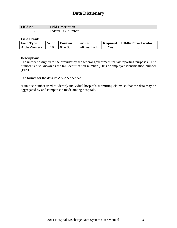| <b>Field No.</b> | <b>Field Description</b>  |
|------------------|---------------------------|
|                  | <b>Federal Tax Number</b> |

#### **Field Detail:**

| <b>Field Type</b> | Width | <b>Position</b> | Format         | <b>Required</b> | UB-04 Form Locator |
|-------------------|-------|-----------------|----------------|-----------------|--------------------|
| Alpha-Numeric     |       | $84 -$          | Left Justified | Yes             |                    |

#### **Description:**

The number assigned to the provider by the federal government for tax reporting purposes. The number is also known as the tax identification number (TIN) or employer identification number (EIN).

The format for the data is: AA-AAAAAAA.

A unique number used to identify individual hospitals submitting claims so that the data may be aggregated by and comparison made among hospitals.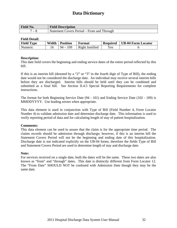| <b>Field No.</b>         | <b>Field Description</b>                   |
|--------------------------|--------------------------------------------|
| $\overline{\phantom{0}}$ | Statement Covers Period – From and Through |

#### **Field Detail:**

| <b>Field Type</b> | Width | <b>Position</b> | Format          | <b>Required</b> | <b>UB-04 Form Locator</b> |
|-------------------|-------|-----------------|-----------------|-----------------|---------------------------|
| Numeric           |       | 109<br>$94-$    | Right Justified | Yes             |                           |

#### **Description:**

This date field covers the beginning and ending service dates of the entire period reflected by this bill.

If this is an interim bill (denoted by a "2" or "3" in the fourth digit of Type of Bill), the ending date would not be considered the discharge date. An individual may receive several interim bills before they are discharged. Interim bills should be held until they can be combined and submitted as a final bill. See Section II.4.5 Special Reporting Requirements for complete instructions.

The format for both Beginning Service Date (94 - 101) and Ending Service Date (102 - 109) is MMDDYYYY. Use leading zeroes when appropriate.

This data element is used in conjunction with Type of Bill (Field Number 4, Form Locator Number 4) to validate admission date and determine discharge date. This information is used to verify reporting period of data and for calculating length of stay of patient hospitalization.

#### **Comments:**

This data element can be used to assure that the claim is for the appropriate time period. The claims records should be admission through discharge; however, if this is an interim bill the Statement Covers Period will not be the beginning and ending date of this hospitalization. Discharge date is not indicated explicitly on the UB-04 forms, therefore the fields Type of Bill and Statement Covers Period are used to determine length of stay and discharge date.

#### **Note:**

For services received on a single date, both the dates will be the same. These two dates are also known as "from" and "through" dates. This date is distinctly different from Form Locator 12. The "From Date" SHOULD NOT be confused with Admission Date though they may be the same date.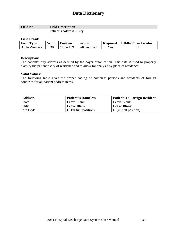| Field No. | <b>Field Description</b>                                              |
|-----------|-----------------------------------------------------------------------|
|           | Patient's<br>$\mathcal{L}$ ity<br>Address<br>$\overline{\phantom{a}}$ |

#### **Field Detail:**

| <b>Field Type</b> | Width | <b>Position</b> | Format         | <b>Required</b> | UB-04 Form Locator |
|-------------------|-------|-----------------|----------------|-----------------|--------------------|
| Alpha-Numeric     |       | $110 - 139$     | Left Justified | <b>Yes</b>      | 9 <sub>B</sub>     |

#### **Description:**

The patient's city address as defined by the payer organization. This data is used to properly classify the patient's city of residence and to allow for analysis by place of residence.

#### **Valid Values:**

The following table gives the proper coding of homeless persons and residents of foreign countries for all patient address items:

| <b>Address</b> | <b>Patient is Homeless</b> | <b>Patient is a Foreign Resident</b> |
|----------------|----------------------------|--------------------------------------|
| <b>State</b>   | Leave Blank                | Leave Blank                          |
| <b>City</b>    | <b>Leave Blank</b>         | <b>Leave Blank</b>                   |
| Zip Code       | H (in first position)      | F (in first position)                |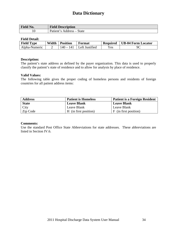| Field No. | <b>Field Description</b>                                                          |
|-----------|-----------------------------------------------------------------------------------|
| ΙU        | Patient'<br>State<br>Address<br>$^{\circ}$ $^{\circ}$<br>$\overline{\phantom{a}}$ |

#### **Field Detail:**

| <b>Field Type</b> | Width | <b>Position</b> | Format         | <b>Required</b> | UB-04 Form Locator |
|-------------------|-------|-----------------|----------------|-----------------|--------------------|
| Alpha-Numeric     |       | 140 – 141       | Left Justified | $\rm Yes$       | 9C                 |

#### **Description:**

The patient's state address as defined by the payer organization. This data is used to properly classify the patient's state of residence and to allow for analysis by place of residence.

#### **Valid Values:**

The following table gives the proper coding of homeless persons and residents of foreign countries for all patient address items:

| <b>Address</b> | <b>Patient is Homeless</b> | <b>Patient is a Foreign Resident</b> |
|----------------|----------------------------|--------------------------------------|
| <b>State</b>   | <b>Leave Blank</b>         | Leave Blank                          |
| City           | Leave Blank                | Leave Blank                          |
| Zip Code       | H (in first position)      | F (in first position)                |

#### **Comments:**

Use the standard Post Office State Abbreviations for state addresses. These abbreviations are listed in Section IV.6.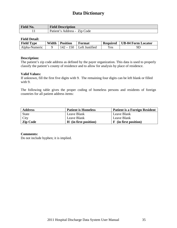| <b>Field No.</b> | <b>Field Description</b>        |
|------------------|---------------------------------|
|                  | Zip Code<br>Patient's Address - |

#### **Field Detail:**

| <b>Field Type</b> | Width | <b>Position</b> | Format                     | <b>Required</b> | UB-04 Form Locator |
|-------------------|-------|-----------------|----------------------------|-----------------|--------------------|
| Alpha-Numeric     |       |                 | $142 - 150$ Left Justified | Yes.            | 9L                 |

#### **Description:**

The patient's zip code address as defined by the payer organization. This data is used to properly classify the patient's county of residence and to allow for analysis by place of residence.

#### **Valid Values:**

If unknown, fill the first five digits with 9. The remaining four digits can be left blank or filled with 9.

The following table gives the proper coding of homeless persons and residents of foreign countries for all patient address items:

| <b>Address</b>  | <b>Patient is Homeless</b> | <b>Patient is a Foreign Resident</b> |
|-----------------|----------------------------|--------------------------------------|
| <b>State</b>    | Leave Blank                | Leave Blank                          |
| City            | Leave Blank                | Leave Blank                          |
| <b>Zip Code</b> | H (in first position)      | <b>F</b> (in first position)         |

#### **Comments:**

Do not include hyphen; it is implied.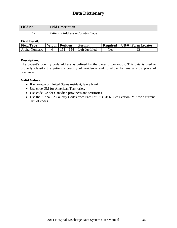| <b>Field No.</b> | <b>Field Description</b>         |
|------------------|----------------------------------|
|                  | Patient's Address – Country Code |

#### **Field Detail:**

| <b>Field Type</b> | Width | <b>Position</b> | Format                | <b>Required</b> | <b>UB-04 Form Locator</b> |
|-------------------|-------|-----------------|-----------------------|-----------------|---------------------------|
| Alpha-Numeric     |       | $\sim$          | <b>Left Justified</b> | Yes             | 9E                        |

#### **Description:**

The patient's country code address as defined by the payer organization. This data is used to properly classify the patient's country of residence and to allow for analysis by place of residence.

#### **Valid Values:**

- If unknown or United States resident, leave blank.
- Use code UM for American Territories.
- Use code CA for Canadian provinces and territories.
- Use the Alpha 2 Country Codes from Part I of ISO 3166. See Section IV.7 for a current list of codes.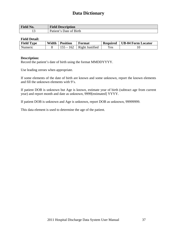| <b>Field No.</b> | <b>Field Description</b>                       |
|------------------|------------------------------------------------|
| ⊥ັ               | Date of Birth<br>Patient <sup>1</sup><br>΄ ຕ Ι |

#### **Field Detail:**

| <b>Field Type</b> | Width | <b>Position</b> | Format          | <b>Required</b> | UB-04 Form Locator |
|-------------------|-------|-----------------|-----------------|-----------------|--------------------|
| Numeric           |       | $155 -$         | Right Justified | Yes.            | 10                 |

#### **Description:**

Record the patient's date of birth using the format MMDDYYYY.

Use leading zeroes when appropriate.

If some elements of the date of birth are known and some unknown, report the known elements and fill the unknown elements with 9's.

If patient DOB is unknown but Age is known, estimate year of birth (subtract age from current year) and report month and date as unknown, 9999[estimated] YYYY.

If patient DOB is unknown and Age is unknown, report DOB as unknown, 99999999.

This data element is used to determine the age of the patient.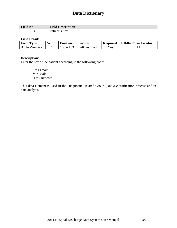| Field No.      | <b>Field Description</b> |
|----------------|--------------------------|
| $\overline{4}$ | 's Sex<br>Patient'       |

#### **Field Detail:**

| <b>Field Type</b> | Width | <b>Position</b> | Format         | <b>Required</b>            | UB-04 Form Locator |
|-------------------|-------|-----------------|----------------|----------------------------|--------------------|
| Alpha-Numeric     |       |                 | Left Justified | $\mathrm{v}_{\mathrm{es}}$ |                    |

#### **Description:**

Enter the sex of the patient according to the following codes:

 $F =$ Female  $M = Male$  $U =$ Unknown

This data element is used in the Diagnostic Related Group (DRG) classification process and in data analysis.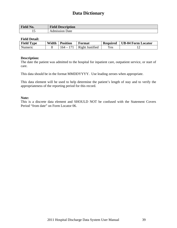| Field No. | <b>Field Description</b> |
|-----------|--------------------------|
| ⊥୰        | Jate<br>Admission        |

#### **Field Detail:**

| <b>Field Type</b> | Width | <b>Position</b> | Format          | <b>Required</b> | UB-04 Form Locator |
|-------------------|-------|-----------------|-----------------|-----------------|--------------------|
| Numeric           |       | $164 - 171$     | Right Justified | Yes             |                    |

#### **Description:**

The date the patient was admitted to the hospital for inpatient care, outpatient service, or start of care.

This data should be in the format MMDDYYYY. Use leading zeroes when appropriate.

This data element will be used to help determine the patient's length of stay and to verify the appropriateness of the reporting period for this record.

#### **Note:**

This is a discrete data element and SHOULD NOT be confused with the Statement Covers Period "from date" on Form Locator 06.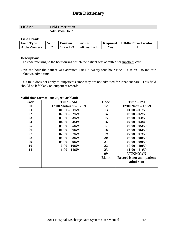| <b>Field No.</b> | <b>Field Description</b> |
|------------------|--------------------------|
| 10               | Admission Hour           |

#### **Field Detail:**

| <b>Field Type</b> | Width | <b>Position</b> | Format         | <b>Required</b> | UB-04 Form Locator |
|-------------------|-------|-----------------|----------------|-----------------|--------------------|
| Alpha-Numeric     |       |                 | Left Justified | Yes             | 1 J                |

#### **Description:**

The code referring to the hour during which the patient was admitted for inpatient care.

Give the hour the patient was admitted using a twenty-four hour clock. Use '99' to indicate unknown admit time.

This field does not apply to outpatients since they are not admitted for inpatient care. This field should be left blank on outpatient records.

| Code | Time – AM                 | Code         | Time – PM                               |
|------|---------------------------|--------------|-----------------------------------------|
| 00   | $12:00$ Midnight $-12:59$ | 12           | $12:00$ Noon $-12:59$                   |
| 01   | $01:00 - 01:59$           | 13           | $01:00 - 01:59$                         |
| 02   | $02:00 - 02:59$           | 14           | $02:00 - 02:59$                         |
| 03   | $03:00 - 03:59$           | 15           | $03:00 - 03:59$                         |
| 04   | $04:00 - 04:49$           | 16           | $04:00 - 04:49$                         |
| 05   | $05:00 - 05:59$           | 17           | $05:00 - 05:59$                         |
| 06   | $06:00 - 06:59$           | 18           | $06:00 - 06:59$                         |
| 07   | $07:00 - 07:59$           | 19           | $07:00 - 07:59$                         |
| 08   | $08:00 - 08:59$           | 20           | $08:00 - 08:59$                         |
| 09   | $09:00 - 09:59$           | 21           | $09:00 - 09:59$                         |
| 10   | $10:00 - 10:59$           | 22           | $10:00 - 10:59$                         |
| 11   | $11:00 - 11:59$           | 23           | $11:00 - 11:59$                         |
|      |                           | 99           | <b>UNKNOWN</b>                          |
|      |                           | <b>Blank</b> | Record is not an inpatient<br>admission |
|      |                           |              |                                         |

#### **Valid time format: 00-23, 99, or blank**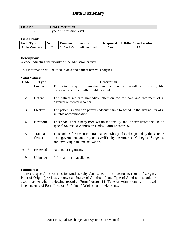| T.<br>$\mathbf{N}$ 0.<br>г ісій | <b>Field Description</b>                                               |
|---------------------------------|------------------------------------------------------------------------|
| -                               | m<br>V <sub>1</sub> s <sub>1</sub> t<br>Admission<br><b>vne</b><br>ി 1 |

#### **Field Detail:**

| <b>Field Type</b> | Width | <b>Position</b> | Format                     | <b>Required</b> | UB-04 Form Locator |
|-------------------|-------|-----------------|----------------------------|-----------------|--------------------|
| Alpha-Numeric     |       |                 | $174 - 175$ Left Justified | Yes.            |                    |

#### **Description:**

A code indicating the priority of the admission or visit.

This information will be used in data and patient referral analyses.

#### **Valid Values:**

| Code           | <b>Type</b>      | <b>Description</b>                                                                                                                                                                                        |
|----------------|------------------|-----------------------------------------------------------------------------------------------------------------------------------------------------------------------------------------------------------|
| 1              | Emergency        | The patient requires immediate intervention as a result of a severe, life                                                                                                                                 |
|                |                  | threatening or potentially disabling condition.                                                                                                                                                           |
| 2              | Urgent           | The patient requires immediate attention for the care and treatment of a<br>physical or mental disorder.                                                                                                  |
| $\overline{3}$ | Elective         | The patient's condition permits adequate time to schedule the availability of a<br>suitable accommodation.                                                                                                |
| $\overline{4}$ | Newborn          | This code is for a baby born within the facility and it necessitates the use of<br>special Source Of Admission Codes, Form Locator 15.                                                                    |
| 5              | Trauma<br>Center | This code is for a visit to a trauma center/hospital as designated by the state or<br>local government authority or as verified by the American College of Surgeons<br>and involving a trauma activation. |
| $6 - 8$        | Reserved         | National assignment.                                                                                                                                                                                      |
| 9              | Unknown          | Information not available.                                                                                                                                                                                |

#### **Comments:**

There are special instructions for Mother/Baby claims, see Form Locator 15 (Point of Origin). Point of Origin (previously known as Source of Admission) and Type of Admission should be used together when reviewing records. Form Locator 14 (Type of Admission) can be used independently of Form Locator 15 (Point of Origin) but not vice versa.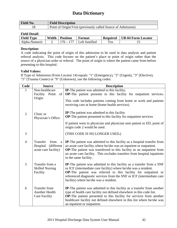| Field No. | <b>Field Description</b>                                      |
|-----------|---------------------------------------------------------------|
|           | Point of Origin/Visit (previously called Source of Admission) |

#### **Field Detail:**

| <b>Field Type</b> | Width | <b>Position</b> | Format         | <b>Required</b> | <b>UB-04 Form Locator</b> |
|-------------------|-------|-----------------|----------------|-----------------|---------------------------|
| Alpha-Numeric     |       | 176 – 177       | Left Justified | Yes             | ∸                         |

#### **Description:**

A code indicating the point of origin of this admission to be used in data analysis and patient referral analysis. This code focuses on the patient's place or point of origin rather than the source of a physician order or referral. The point of origin is where the patient came from before presenting to this hospital.

#### **Valid Values:**

If Type of Admission (Form Locator 14) equals: "1" (Emergency), "2" (Urgent), "3" (Elective), "5" (Trauma Center) or "9" (Unknown), use the following codes:

| Code           | <b>Source</b>                                                           | <b>Description</b>                                                                                                                                                                                                                                                                                                                        |
|----------------|-------------------------------------------------------------------------|-------------------------------------------------------------------------------------------------------------------------------------------------------------------------------------------------------------------------------------------------------------------------------------------------------------------------------------------|
|                | Non-healthcare                                                          | IP-The patient was admitted to this facility.                                                                                                                                                                                                                                                                                             |
|                | Facility<br>Point<br>of<br>Origin                                       | <b>OP-The patient presents to this facility for outpatient services.</b><br>This code includes patients coming from home or work and patients<br>receiving care at home (home health services).                                                                                                                                           |
| $\overline{2}$ | Clinic or<br>Physician's Office                                         | IP-The patient was admitted to this facility<br><b>OP-The patient presented to this facility for outpatient services</b>                                                                                                                                                                                                                  |
|                |                                                                         | If patient went to physician and physician sent patient to ED, point of<br>origin code 2 would be used.                                                                                                                                                                                                                                   |
| 3              |                                                                         | (THIS CODE IS NO LONGER USED.)                                                                                                                                                                                                                                                                                                            |
| $\overline{4}$ | Transfer<br>from<br>a<br>(different<br>Hospital<br>acute care facility) | <b>IP</b> -The patient was admitted to this facility as a hospital transfer from<br>an acute care facility where he/she was an inpatient or outpatient.<br>OP-The patient was transferred to this facility as an outpatient from<br>an acute care facility. This excludes transfers from hospital inpatients<br>in the same facility.     |
| 5              | Transfer from a<br><b>Skilled Nursing</b><br>Facility                   | <b>IP</b> -The patient was admitted to this facility as a transfer from a SNF<br>or ICF (intermediate care facility) where he/she was a resident.<br>OP-The patient was referred to this facility for outpatient or<br>referenced diagnostic services from the SNF or ICF (intermediate care<br>facility) where he/she was a resident.    |
| 6              | <b>Transfer from</b><br><b>Another Health</b><br><b>Care Facility</b>   | <b>IP-</b> The patient was admitted to this facility as a transfer from another<br>type of health care facility not defined elsewhere in this code list.<br>OP-The patient presented to this facility for services from another<br>healthcare facility not defined elsewhere in this list where he/she was<br>an inpatient or outpatient. |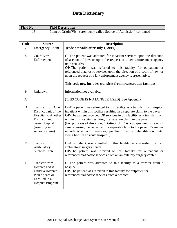| <b>Field No.</b> | <b>Field Description</b>                                                |
|------------------|-------------------------------------------------------------------------|
|                  | Point of Origin/Visit (previously called Source of Admission) continued |

| Code           | <b>Source</b>                                                                                                                                           | <b>Description</b>                                                                                                                                                                                                                                                                                                                                                                                                                                                                                                                                                         |  |
|----------------|---------------------------------------------------------------------------------------------------------------------------------------------------------|----------------------------------------------------------------------------------------------------------------------------------------------------------------------------------------------------------------------------------------------------------------------------------------------------------------------------------------------------------------------------------------------------------------------------------------------------------------------------------------------------------------------------------------------------------------------------|--|
| 7              | <b>Emergency Room</b>                                                                                                                                   | (code not valid after July 1, 2010)                                                                                                                                                                                                                                                                                                                                                                                                                                                                                                                                        |  |
| 8              | Court/Law<br>Enforcement                                                                                                                                | IP-The patient was admitted for inpatient services upon the direction<br>of a court of law, or upon the request of a law enforcement agency<br>representative.<br>OP-The patient was referred to this facility for outpatient or<br>referenced diagnostic services upon the direction of a court of law, or<br>upon the request of a law enforcement agency representative.                                                                                                                                                                                                |  |
|                |                                                                                                                                                         | This code now includes transfers from incarceration facilities.                                                                                                                                                                                                                                                                                                                                                                                                                                                                                                            |  |
| 9              | Unknown                                                                                                                                                 | Information not available.                                                                                                                                                                                                                                                                                                                                                                                                                                                                                                                                                 |  |
| $\mathbf{A}$   |                                                                                                                                                         | (THIS CODE IS NO LONGER USED) See Appendix                                                                                                                                                                                                                                                                                                                                                                                                                                                                                                                                 |  |
| D              | <b>Transfer from One</b><br>Distinct Unit of the<br><b>Hospital</b> to Another<br>Distinct Unit in<br>Same Hospital<br>(resulting in<br>separate claim) | IP-The patient was admitted to this facility as a transfer from hospital<br>inpatient within this facility resulting in a separate claim to the payer.<br>OP-The patient received OP services in this facility as a transfer from<br>within this hospital resulting in a separate claim to the payer.<br>(For purposes of this code, "Distinct Unit" is a unique unit or level of<br>care requiring the issuance of a separate claim to the payer. Examples<br>include observation services, psychiatric units, rehabilitation units,<br>swing beds in an acute hospital.) |  |
| E              | <b>Transfer from</b><br>Ambulatory<br><b>Surgery Center</b>                                                                                             | IP-The patient was admitted to this facility as a transfer from an<br>ambulatory surgery center.<br>OP-The patient was referred to this facility for outpatient or<br>referenced diagnostic services from an ambulatory surgery center.                                                                                                                                                                                                                                                                                                                                    |  |
| $\overline{F}$ | <b>Transfer from</b><br>Hospice and is<br>Under a Hospice<br>Plan of care or<br>Enrolled in a<br>Hospice Program                                        | <b>IP-</b> The patient was admitted to this facility as a transfer from a<br>hospice.<br>OP-The patient was referred to this facility for outpatient or<br>referenced diagnostic services from a hospice.                                                                                                                                                                                                                                                                                                                                                                  |  |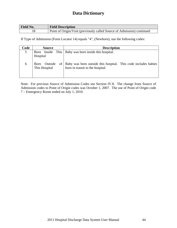| <b>Field No.</b> | <b>Field Description</b>                                                |
|------------------|-------------------------------------------------------------------------|
|                  | Point of Origin/Visit (previously called Source of Admission) continued |

If Type of Admission (Form Locator 14) equals "4", (Newborn), use the following codes:

| Code<br><b>Source</b> |                                       | <b>Description</b>                                                                                 |
|-----------------------|---------------------------------------|----------------------------------------------------------------------------------------------------|
| 5                     | Hospital                              | Born Inside This   Baby was born inside this hospital.                                             |
| 6                     | Born Outside<br>of 1<br>This Hospital | Baby was born outside this hospital. This code includes babies<br>born in transit to the hospital. |

Note: For previous Source of Admission Codes see Section IV.8. The change from Source of Admission codes to Point of Origin codes was October 1, 2007. The use of Point of Origin code 7 – Emergency Room ended on July 1, 2010.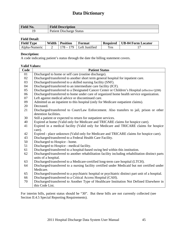| Field No. | <b>Field Description</b>        |
|-----------|---------------------------------|
|           | <b>Patient Discharge Status</b> |

#### **Field Detail:**

| <b>Field Type</b> | Width | <b>Position</b> | Format                | <b>Required</b> | UB-04 Form Locator |
|-------------------|-------|-----------------|-----------------------|-----------------|--------------------|
| Alpha-Numeric     |       |                 | <b>Left Justified</b> | Yes             |                    |

#### **Description:**

A code indicating patient's status through the date the billing statement covers.

#### **Valid Values:**

| Code | <b>Patient Status</b>                                                                                                     |
|------|---------------------------------------------------------------------------------------------------------------------------|
| 01   | Discharged to home or self care (routine discharge).                                                                      |
| 02   | Discharged/transferred to another short term general hospital for inpatient care.                                         |
| 03   | Discharged/transferred to a skilled nursing facility (SNF).                                                               |
| 04   | Discharged/transferred to an intermediate care facility (ICF).                                                            |
| 05   | Discharged/transferred to a Designated Cancer Center or Children's Hospital (effective Q208)                              |
| 06   | Discharged/transferred to home under care of organized home health service organization.                                  |
| 07   | Left against medical advice or discontinued care.                                                                         |
| 09   | Admitted as an inpatient to this hospital (only for Medicare outpatient claims).                                          |
| 20   | Deceased.                                                                                                                 |
| 21   | Discharged/transferred to Court/Law Enforcement. Also transfers to jail, prison or other<br>detention facilities.         |
| 30   | Still a patient or expected to return for outpatient services.                                                            |
| 40   | Expired at home (Valid only for Medicare and TRICARE claims for hospice care).                                            |
| 41   | Expired in a medical facility (Valid only for Medicare and TRICARE claims for hospice<br>care).                           |
| 42   | Expired - place unknown (Valid only for Medicare and TRICARE claims for hospice care).                                    |
| 43   | Discharged/transferred to a Federal Health Care Facility.                                                                 |
| 50   | Discharged to Hospice - home.                                                                                             |
| 51   | Discharged to Hospice - medical facility.                                                                                 |
| 61   | Discharged/transferred to a hospital-based swing bed within this institution.                                             |
| 62   | Discharged/transferred to another rehabilitation facility including rehabilitation distinct parts<br>units of a hospital. |
| 63   | Discharged/transferred to a Medicare-certified long-term care hospital (LTCH).                                            |
| 64   | Discharged/transferred to a nursing facility certified under Medicaid but not certified under                             |
|      | Medicare.                                                                                                                 |
| 65   | Discharged/transferred to a psychiatric hospital or psychiatric distinct part unit of a hospital.                         |
| 66   | Discharged/transferred to a Critical Access Hospital (CAH).                                                               |
| 70   | Discharged/transferred to Another Type of Healthcare Institution Not Defined Elsewhere in                                 |
|      | this Code List.                                                                                                           |

For interim bills, patient status should be "30". But these bills are not currently collected (see Section II.4.5 Special Reporting Requirements).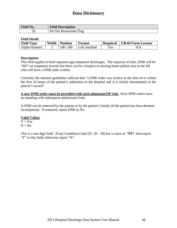| Field No. | <b>Field Description</b> |
|-----------|--------------------------|
| 20        | Do Not Resuscitate Flag  |

#### **Field Detail:**

| <b>Field Type</b> | Width | <b>Position</b> | Format                      | <b>Required</b>       | <b>UB-04 Form Locator</b> |
|-------------------|-------|-----------------|-----------------------------|-----------------------|---------------------------|
| Alpha-Numeric     |       | 180 - 180       | <sup>1</sup> Left Justified | $\mathbf{v}_{\rm es}$ |                           |

#### **Description:**

This field applies to both inpatient and outpatient discharges. The majority of time, DNR will be "NO" on outpatient records but there can be a hospice or nursing home patient sent to the ER who will have a DNR order written.

Currently the national guidelines indicate that "a DNR order was written at the time of or within the first 24 hours of the patient's admission to the hospital and it is clearly documented in the patient's record".

**A new DNR order must be provided with each admission/OP visit.** Prior DNR orders have no standing with subsequent admissions/visits.

A DNR can be removed by the patient or by the patient's family (if the patient has been deemed incompetent). If removed, report DNR as No.

#### **Valid Values**

 $Y = Yes$  $N = No$ 

This is a one digit field. If any Condition Code (FL 18 – 28) has a value of **"P1"**, then report "Y" in this field; otherwise report "N".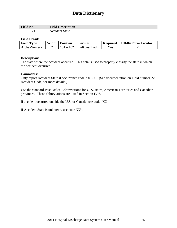| Field No. | <b>Field Description</b> |
|-----------|--------------------------|
|           | Accident State           |

#### **Field Detail:**

| <b>Field Type</b> | Width | <b>Position</b>              | Format          | <b>Required</b> | UB-04 Form Locator |
|-------------------|-------|------------------------------|-----------------|-----------------|--------------------|
| Alpha-Numeric     |       | $1 - 182$<br>18 <sup>1</sup> | ILeft Justified | Yes.            | 29                 |

#### **Description:**

The state where the accident occurred. This data is used to properly classify the state in which the accident occurred.

#### **Comments:**

Only report Accident State if occurrence code = 01-05. (See documentation on Field number 22, Accident Code, for more details.)

Use the standard Post Office Abbreviations for U. S. states, American Territories and Canadian provinces. These abbreviations are listed in Section IV.6.

If accident occurred outside the U.S. or Canada, use code 'XX'.

If Accident State is unknown, use code 'ZZ'.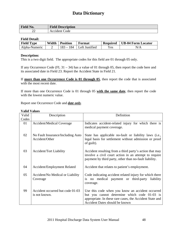| Field No. | <b>Field Description</b> |
|-----------|--------------------------|
| ~~<br>∠∠  | Code<br>Accident         |

#### **Field Detail:**

| <b>Field Type</b> | Width | <b>Position</b>                        | Format                | <b>Required</b> | <b>UB-04 Form Locator</b> |
|-------------------|-------|----------------------------------------|-----------------------|-----------------|---------------------------|
| Alpha-Numeric     |       | 184<br>$\overline{\phantom{0}}$<br>Ið. | <b>Left Justified</b> | Yes             |                           |

#### **Description:**

This is a two digit field. The appropriate codes for this field are 01 through 05 only.

If any Occurrence Code (FL 31 – 34) has a value of 01 through 05, then report the code here and its associated date in Field 23. Report the Accident State in Field 21.

If **more than one Occurrence Code is 01 through 05**, then report the code that is associated with the most recent date.

If more than one Occurrence Code is 01 through 05 **with the same date**, then report the code with the lowest numeric value.

Report one Occurrence Code and *date only.*

| Valid | Description                                         | Definition                                                                                                                                                                                     |
|-------|-----------------------------------------------------|------------------------------------------------------------------------------------------------------------------------------------------------------------------------------------------------|
| Codes |                                                     |                                                                                                                                                                                                |
| 01    | <b>Accident/Medical Coverage</b>                    | Indicates accident-related injury for which there is<br>medical payment coverage.                                                                                                              |
| 02    | No Fault Insurance/Including Auto<br>Accident/Other | State has applicable no-fault or liability laws (i.e.,<br>legal basis for settlement without admission or proof<br>of guilt).                                                                  |
| 03    | <b>Accident/Tort Liability</b>                      | Accident resulting from a third party's action that may<br>involve a civil court action in an attempt to require<br>payment by third party, other than no-fault liability.                     |
| 04    | Accident/Employment Related                         | Accident that relates to patient's employment.                                                                                                                                                 |
| 05    | Accident/No Medical or Liability<br>Coverage        | Code indicating accident related injury for which there<br>is no medical payment or third-party<br>liability<br>coverage.                                                                      |
| 99    | Accident occurred but code 01-03<br>is not known.   | Use this code when you know an accident occurred<br>but you cannot determine which code 01-03 is<br>appropriate. In these rare cases, the Accident State and<br>Accident Dates should be known |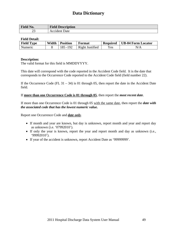| $\blacksquare$          | $\mathbf{m}$             |
|-------------------------|--------------------------|
| Field No.               | <b>Field Description</b> |
| $\sim$<br>ر_ر<br>$\sim$ | Date<br>'dent∶           |

#### **Field Detail:**

| <b>Field Type</b> | Width | <b>Position</b> | Format          | <b>Required</b> | UB-04 Form Locator |
|-------------------|-------|-----------------|-----------------|-----------------|--------------------|
| Numeric           |       | 185 - 192       | Right Justified | Yes             | N/A                |

#### **Description:**

The valid format for this field is MMDDYYYY.

This date will correspond with the code reported in the Accident Code field. It is the date that corresponds to the Occurrence Code reported to the Accident Code field (field number 22).

If the Occurrence Code (FL  $31 - 34$ ) is 01 through 05, then report the date in the Accident Date field.

#### If **more than one Occurrence Code is 01 through 05**, then report the *most recent date*.

If more than one Occurrence Code is 01 through 05 with the same date, then report the *date with the associated code that has the lowest numeric value.* 

Report one Occurrence Code and *date only*.

- If month and year are known, but day is unknown, report month and year and report day as unknown (i.e. '07992010').
- If only the year is known, report the year and report month and day as unknown (i.e., '99992010').
- If year of the accident is unknown, report Accident Date as '99999999'.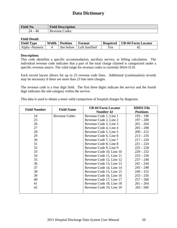| <b>Field No.</b> | <b>Field Description</b> |
|------------------|--------------------------|
| 'Д               | Codes                    |
| 46               | Revenue                  |

#### **Field Detail:**

| <b>Field Type</b> | Width | <b>Position</b> | Format         | <b>Required</b> | <b>UB-04 Form Locator</b> |
|-------------------|-------|-----------------|----------------|-----------------|---------------------------|
| Alpha -Numeric    |       | See below       | Left Justified | Yes             |                           |

#### **Description:**

This code identifies a specific accommodation, ancillary service, or billing calculation. The individual revenue code indicates that a part of the total charge claimed is categorized under a specific revenue source. The valid range for revenue codes is currently 0024-3110.

Each record layout allows for up to 23 revenue code lines. Additional (continuation) records may be necessary if there are more than 23 line item charges.

The revenue code is a four digit field. The first three digits indicate the service and the fourth digit indicates the sub-category within the service.

This data is used to obtain a more valid comparison of hospital charges by diagnosis.

| <b>Field Number</b> | <b>Field Name</b> | <b>UB-04 Form Locator</b> | <b>HDDS</b> File |
|---------------------|-------------------|---------------------------|------------------|
|                     |                   | <b>Number 42</b>          | <b>Positions</b> |
| 24                  | Revenue Codes     | Revenue Code 1, Line 1    | $193 - 196$      |
| 25                  |                   | Revenue Code 2, Line 2    | $197 - 200$      |
| 26                  |                   | Revenue Code 3, Line 3    | $201 - 204$      |
| 27                  |                   | Revenue Code 4, Line 4    | $205 - 208$      |
| 28                  |                   | Revenue Code 5, Line 5    | $209 - 212$      |
| 29                  |                   | Revenue Code 6, Line 6    | $213 - 216$      |
| 30                  |                   | Revenue Code 7, Line 7    | $217 - 220$      |
| 31                  |                   | Revenue Code 8, Line 8    | $221 - 224$      |
| 32                  |                   | Revenue Code 9, Line 9    | $225 - 228$      |
| 33                  |                   | Revenue Code 10, Line 10  | $229 - 232$      |
| 34                  |                   | Revenue Code 11, Line 11  | $233 - 236$      |
| 35                  |                   | Revenue Code 12, Line 12  | $237 - 240$      |
| 36                  |                   | Revenue Code 13, Line 13  | $241 - 244$      |
| 37                  |                   | Revenue Code 14, Line 14  | $245 - 248$      |
| 38                  |                   | Revenue Code 15, Line 15  | $249 - 252$      |
| 39                  |                   | Revenue Code 16, Line 16  | $253 - 256$      |
| 40                  |                   | Revenue Code 17, Line 17  | $257 - 260$      |
| 41                  |                   | Revenue Code 18, Line 18  | $261 - 264$      |
| 42                  |                   | Revenue Code 19, Line 19  | $265 - 268$      |
|                     |                   |                           |                  |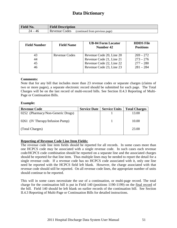| <b>Field No.</b> | <b>Field Description</b> |                                |  |
|------------------|--------------------------|--------------------------------|--|
| 46               | Revenue Codes            | (continued from previous page) |  |

| <b>Field Number</b> | <b>Field Name</b> | <b>UB-04 Form Locator</b><br>Number 42 | <b>HDDS</b> File<br><b>Positions</b> |
|---------------------|-------------------|----------------------------------------|--------------------------------------|
| 43                  | Revenue Codes     | Revenue Code 20, Line 20               | $269 - 272$                          |
| 44                  |                   | Revenue Code 21, Line 21               | $273 - 276$                          |
| 45                  |                   | Revenue Code 22, Line 22               | $277 - 280$                          |
| 46                  |                   | Revenue Code 23, Line 23               | $281 - 284$                          |

#### **Comments:**

Note that for any bill that includes more than 23 revenue codes or separate charges (claims of two or more pages), a separate electronic record should be submitted for each page. The Total Charges will be on the last record of multi-record bills. See Section II.4.3 Reporting of Multi-Page or Continuation Bills.

#### **Example:**

| <b>Revenue Code</b>               | <b>Service Date</b> | <b>Service Units</b> | <b>Total Charges</b> |
|-----------------------------------|---------------------|----------------------|----------------------|
| 0252 (Pharmacy/Non-Generic Drugs) |                     |                      | 13.00                |
| 0261 (IV Therapy/Infusion Pump)   |                     |                      | 10.00                |
| (Total Charges)                   |                     |                      | 23.00                |

#### **Reporting of Revenue Code Line Item Fields:**

The revenue code line item fields should be reported for all records. In some cases more than one HCPCS code may be associated with a single revenue code. In such cases each revenue code/HCPCS code combination should be reported on a separate line and the associated charges should be reported for that line item. Thus multiple lines may be needed to report the detail for a single revenue code. If a revenue code has no HCPCS code associated with it, only one line need be reported with the HCPCS field left blank. However, the charge associated with that revenue code should still be reported. On all revenue code lines, the appropriate number of units should continue to be reported.

This will in some cases necessitate the use of a continuation, or multi-page record. The total charge for the continuation bill is put in Field 140 (positions 1190-1199) on the final record of the bill. Field 140 should be left blank on earlier records of the continuation bill. See Section II.4.3 Reporting of Multi-Page or Continuation Bills for detailed instructions.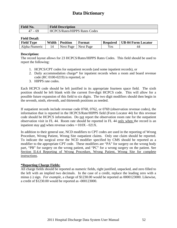| <b>Field No.</b>             | <b>Field Description</b>             |
|------------------------------|--------------------------------------|
| 69<br>4,<br>$\cdot$ $ \cdot$ | <b>HCPCS/Rates/HIPPS Rates Codes</b> |

#### **Field Detail:**

| <b>Field Type</b> | Width | <b>Position</b> | Format    | <b>Required</b> | <b>UB-04 Form Locator</b> |
|-------------------|-------|-----------------|-----------|-----------------|---------------------------|
| Alpha-Numeric     |       | Next Page       | Next Page | Yes             | 44                        |

#### **Description:**

The record layout allows for 23 HCPCS/Rates/HIPPS Rates Codes. This field should be used to report the following:

- 1. HCPCS/CPT codes for outpatient records (and some inpatient records), or
- 2. Daily accommodation charge\* for inpatient records when a room and board revenue code (RC 0100-0219) is reported, or
- 3. HIPPS rate codes.

Each HCPCS code should be left justified in its appropriate fourteen space field. The sixth position should be left blank with the current five-digit HCPCS code. This will allow for a possible future expansion of this field to six digits. The two digit modifiers should then begin in the seventh, ninth, eleventh, and thirteenth positions as needed.

If outpatient records include revenue code 0760, 0762, or 0769 (observation revenue codes), the information that is reported in the HCPCS/Rate/HIPPS field (Form Locator 44) for this revenue code should be HCPCS information. Do not report the observation room rate for the outpatient observation visit in FL 44. Room rate should be reported in FL 44 only when the record is an inpatient stay and when revenue  $\text{codes} = 010X - 021X$ .

In addition to their general use, NCD modifiers to CPT codes are used in the reporting of Wrong Procedure, Wrong Patient, Wrong Site outpatient claims. Only one claim should be reported. To indicate the surgical error the NCD modifier specified by CMS should be reported as a modifier to the appropriate CPT code. These modifiers are "PA" for surgery on the wrong body part, "PB" for surgery on the wrong patient, and "PC" for a wrong surgery on the patient. See Section II.4.4 Reporting of Wrong Procedure, Wrong Patient, Wrong Site for complete instructions.

#### **\*Reporting Charge Fields:**

All charge fields should be reported as numeric fields, right justified, unpacked, and zero filled to the left with an implied two decimals. In the case of a credit, replace the leading zero with a minus (-) sign. *For example*, a charge of \$1230.00 would be reported as 0000123000. Likewise, a credit of \$1230.00 would be reported as -000123000.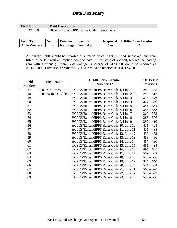| <b>Field No.</b> | <b>Field Description</b>                  |
|------------------|-------------------------------------------|
| 69<br>47 —       | HCPCS/Rates/HIPPS Rates Codes (continued) |

| <b>Field Type</b> |    | Width   Position | <b>Format</b>         | <b>Required</b> | UB-04 Form Locator |
|-------------------|----|------------------|-----------------------|-----------------|--------------------|
| Alpha-Numeric     | 14 |                  | Next Page   See Below | Yes             | 44                 |

All charge fields should be reported as numeric fields, right justified, unpacked, and zero filled to the left with an implied two decimals. In the case of a credit, replace the leading zero with a minus (-) sign. *For example*, a charge of \$1230.00 would be reported as 0000123000. Likewise, a credit of \$1230.00 would be reported as -000123000.

| <b>Field</b>  | <b>Field Name</b>        | <b>UB-04 Form Locator</b><br><b>Number 42</b> | <b>HDDS</b> File<br><b>Positions</b> |
|---------------|--------------------------|-----------------------------------------------|--------------------------------------|
| <b>Number</b> |                          |                                               |                                      |
| 47            | HCPCS/Rates/             | HCPCS/Rates/HIPPS Rates Code 1, Line 1        | $285 - 298$                          |
| 48            | <b>HIPPS Rates Codes</b> | HCPCS/Rates/HIPPS Rates Code 2, Line 2        | $299 - 312$                          |
| 49            |                          | HCPCS/Rates/HIPPS Rates Code 3, Line 3        | $313 - 326$                          |
| 50            |                          | HCPCS/Rates/HIPPS Rates Code 4, Line 4        | $327 - 340$                          |
| 51            |                          | HCPCS/Rates/HIPPS Rates Code 5, Line 5        | $341 - 354$                          |
| 52            |                          | HCPCS/Rates/HIPPS Rates Code 6, Line 6        | $355 - 368$                          |
| 53            |                          | HCPCS/Rates/HIPPS Rates Code 7, Line 7        | $369 - 382$                          |
| 54            |                          | HCPCS/Rates/HIPPS Rates Code 8, Line 8        | $383 - 396$                          |
| 55            |                          | HCPCS/Rates/HIPPS Rates Code 9, Line 9        | $397 - 410$                          |
| 56            |                          | HCPCS/Rates/HIPPS Rates Code 10, Line 10      | $411 - 424$                          |
| 57            |                          | HCPCS/Rates/HIPPS Rates Code 11, Line 11      | $425 - 438$                          |
| 58            |                          | HCPCS/Rates/HIPPS Rates Code 12, Line 12      | $439 - 452$                          |
| 59            |                          | HCPCS/Rates/HIPPS Rates Code 13, Line 13      | $453 - 466$                          |
| 60            |                          | HCPCS/Rates/HIPPS Rates Code 14, Line 14      | $467 - 480$                          |
| 61            |                          | HCPCS/Rates/HIPPS Rates Code 15, Line 15      | $481 - 494$                          |
| 62            |                          | HCPCS/Rates/HIPPS Rates Code 16, Line 16      | $495 - 508$                          |
| 63            |                          | HCPCS/Rates/HIPPS Rates Code 17, Line 17      | $509 - 522$                          |
| 64            |                          | HCPCS/Rates/HIPPS Rates Code 18, Line 18      | $523 - 536$                          |
| 65            |                          | HCPCS/Rates/HIPPS Rates Code 19, Line 19      | $537 - 550$                          |
| 66            |                          | HCPCS/Rates/HIPPS Rates Code 20, Line 20      | $551 - 564$                          |
| 67            |                          | HCPCS/Rates/HIPPS Rates Code 21, Line 21      | $565 - 578$                          |
| 68            |                          | HCPCS/Rates/HIPPS Rates Code 22, Line 22      | $579 - 592$                          |
| 69            |                          | HCPCS/Rates/HIPPS Rates Code 23, Line 23      | $593 - 606$                          |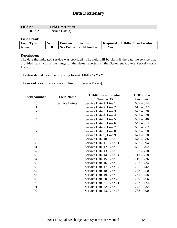| <b>Field No.</b>            | <b>Field Description</b> |
|-----------------------------|--------------------------|
| $\neg \wedge$<br>O^<br>'U – | Service Date(s)          |

#### **Field Detail:**

| <b>Field Type</b> | Width | <b>Position</b> | Format          | <b>Required</b> | <b>UB-04 Form Locator</b> |
|-------------------|-------|-----------------|-----------------|-----------------|---------------------------|
| <b>Numeric</b>    |       | See Below       | Right Justified | Yes.            | 41                        |

#### **Description:**

The date the indicated service was provided. The field will be blank if the date the service was provided falls within the range of the dates reported in the Statement Covers Period (Form Locator 6).

The date should be in the following format: MMDDYYYY.

The record layout form allows 23 lines for Service Date(s).

| <b>Field Number</b> | <b>Field Name</b> | <b>UB-04 Form Locator</b> | <b>HDDS</b> File |
|---------------------|-------------------|---------------------------|------------------|
|                     |                   | Number 45                 | <b>Positions</b> |
| 70                  | Service Date(s)   | Service Date 1, Line 1    | $607 - 614$      |
| 71                  |                   | Service Date 2, Line 2    | $615 - 622$      |
| 72                  |                   | Service Date 3, Line 3    | $623 - 630$      |
| 73                  |                   | Service Date 4, Line 4    | $631 - 638$      |
| 74                  |                   | Service Date 5, Line 5    | $639 - 646$      |
| 75                  |                   | Service Date 6, Line 6    | $647 - 654$      |
| 76                  |                   | Service Date 7, Line 7    | $655 - 662$      |
| 77                  |                   | Service Date 8, Line 8    | $663 - 670$      |
| 78                  |                   | Service Date 9, Line 9    | $671 - 678$      |
| 79                  |                   | Service Date 10, Line 10  | $679 - 686$      |
| 80                  |                   | Service Date 11, Line 11  | $687 - 694$      |
| 81                  |                   | Service Date 12, Line 12  | $695 - 702$      |
| 82                  |                   | Service Date 13, Line 13  | $703 - 710$      |
| 83                  |                   | Service Date 14, Line 14  | $711 - 718$      |
| 84                  |                   | Service Date 15, Line 15  | $719 - 726$      |
| 85                  |                   | Service Date 16, Line 16  | $727 - 734$      |
| 86                  |                   | Service Date 17, Line 17  | $735 - 742$      |
| 87                  |                   | Service Date 18, Line 18  | $743 - 750$      |
| 88                  |                   | Service Date 19, Line 19  | $751 - 758$      |
| 89                  |                   | Service Date 20, Line 20  | $759 - 766$      |
| 90                  |                   | Service Date 21, Line 21  | $767 - 774$      |
| 91                  |                   | Service Date 22, Line 22  | $775 - 782$      |
| 92                  |                   | Service Date 23, Line 23  | $783 - 790$      |
|                     |                   |                           |                  |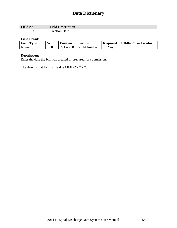| Field No. | <b>Field Description</b> |
|-----------|--------------------------|
|           | Jate<br>reation          |

#### **Field Detail:**

| <b>Field Type</b> | Width | <b>Position</b> | Format          | <b>Required</b> | UB-04 Form Locator |
|-------------------|-------|-----------------|-----------------|-----------------|--------------------|
| Numeric           |       | $791 - 798$     | Right Justified | Yes             |                    |

### **Description:**

Enter the date the bill was created or prepared for submission.

The date format for this field is MMDDYYYY.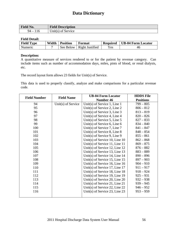| Field No.   | <b>Field Description</b> |
|-------------|--------------------------|
| $94-$<br>10 | Unit(s) of Service       |

#### **Field Detail:**

| <b>Field Type</b> | Width | <b>Position</b> | Format          | <b>Required</b> | UB-04 Form Locator |
|-------------------|-------|-----------------|-----------------|-----------------|--------------------|
| Numeric           |       | See Below       | Right Justified | Yes             | 4t                 |

#### **Description:**

A quantitative measure of services rendered to or for the patient by revenue category. Can include items such as number of accommodation days, miles, pints of blood, or renal dialysis, etc.

The record layout form allows 23 fields for Unit(s) of Service.

This data is used to properly classify, analyze and make comparisons for a particular revenue code.

| <b>Field Number</b> | <b>Field Name</b>  | <b>UB-04 Form Locator</b>        | <b>HDDS</b> File |
|---------------------|--------------------|----------------------------------|------------------|
|                     |                    | Number 46                        | <b>Positions</b> |
| 94                  | Unit(s) of Service | Unit(s) of Service 1, Line 1     | $799 - 805$      |
| 95                  |                    | Unit(s) of Service 2, Line 2     | $806 - 812$      |
| 96                  |                    | Unit(s) of Service 3, Line $3$   | $813 - 819$      |
| 97                  |                    | Unit(s) of Service 4, Line 4     | $820 - 826$      |
| 98                  |                    | Unit(s) of Service 5, Line 5     | $827 - 833$      |
| 99                  |                    | Unit(s) of Service 6, Line $6$   | $834 - 840$      |
| 100                 |                    | Unit(s) of Service 7, Line 7     | $841 - 847$      |
| 101                 |                    | Unit(s) of Service 8, Line $8$   | $848 - 854$      |
| 102                 |                    | Unit(s) of Service 9, Line 9     | $855 - 861$      |
| 103                 |                    | Unit(s) of Service 10, Line $10$ | $862 - 868$      |
| 104                 |                    | Unit(s) of Service 11, Line 11   | $869 - 875$      |
| 105                 |                    | Unit(s) of Service 12, Line $12$ | $876 - 882$      |
| 106                 |                    | Unit(s) of Service 13, Line $13$ | $883 - 889$      |
| 107                 |                    | Unit(s) of Service 14, Line $14$ | $890 - 896$      |
| 108                 |                    | Unit(s) of Service 15, Line $15$ | $897 - 903$      |
| 109                 |                    | Unit(s) of Service 16, Line $16$ | $904 - 910$      |
| 110                 |                    | Unit(s) of Service 17, Line $17$ | $911 - 917$      |
| 111                 |                    | Unit(s) of Service 18, Line $18$ | $918 - 924$      |
| 112                 |                    | Unit(s) of Service 19, Line 19   | $925 - 931$      |
| 113                 |                    | Unit(s) of Service 20, Line $20$ | $932 - 938$      |
| 114                 |                    | Unit(s) of Service 21, Line 21   | $939 - 945$      |
| 115                 |                    | Unit(s) of Service 22, Line 22   | $946 - 952$      |
| 116                 |                    | Unit(s) of Service 23, Line 23   | $953 - 959$      |
|                     |                    |                                  |                  |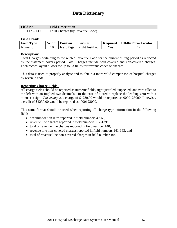| Field No.                | <b>Field Description</b>        |
|--------------------------|---------------------------------|
| $\overline{\phantom{0}}$ | Total Charges (by Revenue Code) |

#### **Field Detail:**

| <b>Field Type</b> | Width | <b>Position</b> | Format          | <b>Required</b> | <b>UB-04 Form Locator</b> |
|-------------------|-------|-----------------|-----------------|-----------------|---------------------------|
| <b>Numeric</b>    |       | Next Page       | Right Justified | Yes             |                           |

#### **Description:**

Total Charges pertaining to the related Revenue Code for the current billing period as reflected by the statement covers period. Total Charges include both covered and non-covered charges. Each record layout allows for up to 23 fields for revenue codes or charges.

This data is used to properly analyze and to obtain a more valid comparison of hospital charges by revenue code.

#### **Reporting Charge Fields:**

All charge fields should be reported as numeric fields, right justified, unpacked, and zero filled to the left with an implied two decimals. In the case of a credit, replace the leading zero with a minus (-) sign. *For example*, a charge of \$1230.00 would be reported as 0000123000. Likewise, a credit of \$1230.00 would be reported as -000123000.

This same format should be used when reporting all charge type information in the following fields:

- accommodation rates reported in field numbers 47-69;
- revenue line charges reported in field numbers 117-139;
- total of revenue line charges reported in field number 140;
- revenue line non-covered charges reported in field numbers 141-163; and
- total of revenue line non-covered charges in field number 164.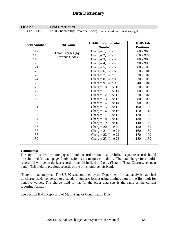| <b>Field No.</b> | <b>Field Description</b>        |                                |
|------------------|---------------------------------|--------------------------------|
|                  | Total Charges (by Revenue Code) | (continued from previous page) |

| <b>Field Number</b> | <b>Field Name</b>        | <b>UB-04 Form Locator</b> | <b>HDDS</b> File |
|---------------------|--------------------------|---------------------------|------------------|
|                     |                          | <b>Number</b>             | <b>Positions</b> |
| 117                 | <b>Total Charges (by</b> | Charges 1, Line 1         | $960 - 969$      |
| 118                 | Revenue Code)            | Charges 2, Line 2         | $970 - 979$      |
| 119                 |                          | Charges 3, Line 3         | $980 - 989$      |
| 120                 |                          | Charges 4, Line 4         | $990 - 999$      |
| 121                 |                          | Charges 5, Line 5         | $1000 - 1009$    |
| 122                 |                          | Charges 6, Line 6         | $1010 - 1019$    |
| 123                 |                          | Charges 7, Line 7         | $1020 - 1029$    |
| 124                 |                          | Charges 8, Line 8         | $1030 - 1039$    |
| 125                 |                          | Charges 9, Line 9         | $1040 - 1049$    |
| 126                 |                          | Charges 10, Line 10       | $1050 - 1059$    |
| 127                 |                          | Charges 11, Line 11       | $1060 - 1069$    |
| 128                 |                          | Charges 12, Line 12       | $1070 - 1079$    |
| 129                 |                          | Charges 13, Line 13       | $1080 - 1089$    |
| 130                 |                          | Charges 14, Line 14       | $1090 - 1099$    |
| 131                 |                          | Charges 15, Line 15       | $1100 - 1109$    |
| 132                 |                          | Charges 16, Line 16       | $1110 - 1119$    |
| 133                 |                          | Charges 17, Line 17       | $1120 - 1129$    |
| 134                 |                          | Charges 18, Line 18       | $1130 - 1139$    |
| 135                 |                          | Charges 19, Line 19       | $1140 - 1149$    |
| 136                 |                          | Charges 20, Line 20       | $1150 - 1159$    |
| 137                 |                          | Charges 21, Line 21       | $1160 - 1169$    |
| 138                 |                          | Charges 22, Line 22       | $1170 - 1179$    |
| 139                 |                          | Charges 23, Line 23       | $1180 - 1189$    |
|                     |                          |                           |                  |

#### **Comments:**

For any bill of two or more pages (a multi-record or continuation bill), a separate record should be submitted for each page if submission is via magnetic medium. The total charge for a multirecord bill will be on the last record of the bill in field 140 only (Total of Total Charges, see next page). This field in previous records of the bill should be left blank.

(Note for data analysts: The UB-92 sets compiled by the Department for data analysis have had all charge fields converted to a standard numeric format using a minus sign in the first digit for negative values. The charge field format for the older data sets is the same as the current reporting format.)

See Section II.4.3 Reporting of Multi-Page or Continuation Bills.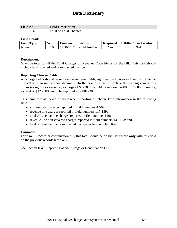| <b>Field No.</b> | <b>Field Description</b>           |
|------------------|------------------------------------|
| 140              | <b>Total of Total Charges</b><br>m |

#### **Field Detail:**

| <b>Field Type</b> | Width | <b>Position</b> | Format                     | <b>Required</b> | <b>UB-04 Form Locator</b> |
|-------------------|-------|-----------------|----------------------------|-----------------|---------------------------|
| Numeric           |       |                 | $190-1199$ Right Justified | $\rm{Yes}$      | N/A                       |

#### **Description:**

Give the total for all the Total Charges by Revenue Code Fields for the bill. This total should include both covered and non-covered charges.

#### **Reporting Charge Fields:**

All charge fields should be reported as numeric fields, right justified, unpacked, and zero filled to the left with an implied two decimals. In the case of a credit, replace the leading zero with a minus (-) sign. *For example*, a charge of \$1230.00 would be reported as 0000123000. Likewise, a credit of \$1230.00 would be reported as -000123000.

This same format should be used when reporting all charge type information in the following fields:

- accommodation rates reported in field numbers 47-69;
- revenue line charges reported in field numbers 117-139;
- total of revenue line charges reported in field number 140;
- revenue line non-covered charges reported in field numbers 141-163; and
- total of revenue line non-covered charges in field number 164.

#### **Comment:**

For a multi-record or continuation bill, this total should be on the last record **only** with this field on the previous records left blank.

See Section II.4.3 Reporting of Multi-Page or Continuation Bills.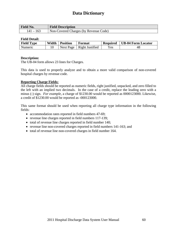| <b>Field No.</b> | <b>Field Description</b>              |
|------------------|---------------------------------------|
| 141 – 163        | Non-Covered Charges (by Revenue Code) |

#### **Field Detail:**

| <b>Field Type</b> | Width | <b>Position</b> | Format          | <b>Required</b>                | UB-04 Form Locator |
|-------------------|-------|-----------------|-----------------|--------------------------------|--------------------|
| Numeric           |       | Next Page       | Right Justified | $\mathbf{v}_{\rm \mathbf{e}s}$ | 48                 |

#### **Description:**

The UB-04 form allows 23 lines for Charges.

This data is used to properly analyze and to obtain a more valid comparison of non-covered hospital charges by revenue code.

#### **Reporting Charge Fields:**

All charge fields should be reported as numeric fields, right justified, unpacked, and zero filled to the left with an implied two decimals. In the case of a credit, replace the leading zero with a minus (-) sign. *For example*, a charge of \$1230.00 would be reported as 0000123000. Likewise, a credit of \$1230.00 would be reported as -000123000.

This same format should be used when reporting all charge type information in the following fields:

- accommodation rates reported in field numbers 47-69;
- revenue line charges reported in field numbers 117-139;
- total of revenue line charges reported in field number 140;
- revenue line non-covered charges reported in field numbers 141-163; and
- total of revenue line non-covered charges in field number 164.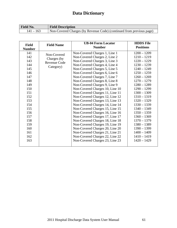| Field No.   | <b>Field Description</b>                                             |
|-------------|----------------------------------------------------------------------|
| $141 - 163$ | Non-Covered Charges (by Revenue Code) (continued from previous page) |

| <b>Field</b><br><b>Number</b> | <b>Field Name</b>   | <b>UB-04 Form Locator</b><br><b>Number</b> | <b>HDDS</b> File<br><b>Positions</b> |
|-------------------------------|---------------------|--------------------------------------------|--------------------------------------|
| 141                           | Non-Covered         | Non-Covered Charges 1, Line 1              | $1200 - 1209$                        |
| 142                           | Charges (by         | Non-Covered Charges 2, Line 2              | $1210 - 1219$                        |
| 143                           | <b>Revenue Code</b> | Non-Covered Charges 3, Line 3              | $1220 - 1229$                        |
| 144                           | Category)           | Non-Covered Charges 4, Line 4              | $1230 - 1239$                        |
| 145                           |                     | Non-Covered Charges 5, Line 5              | $1240 - 1249$                        |
| 146                           |                     | Non-Covered Charges 6, Line 6              | $1250 - 1259$                        |
| 147                           |                     | Non-Covered Charges 7, Line 7              | $1260 - 1269$                        |
| 148                           |                     | Non-Covered Charges 8, Line 8              | $1270 - 1279$                        |
| 149                           |                     | Non-Covered Charges 9, Line 9              | $1280 - 1289$                        |
| 150                           |                     | Non-Covered Charges 10, Line 10            | $1290 - 1299$                        |
| 151                           |                     | Non-Covered Charges 11, Line 11            | $1300 - 1309$                        |
| 152                           |                     | Non-Covered Charges 12, Line 12            | $1310 - 1319$                        |
| 153                           |                     | Non-Covered Charges 13, Line 13            | $1320 - 1329$                        |
| 154                           |                     | Non-Covered Charges 14, Line 14            | $1330 - 1339$                        |
| 155                           |                     | Non-Covered Charges 15, Line 15            | $1340 - 1349$                        |
| 156                           |                     | Non-Covered Charges 16, Line 16            | $1350 - 1359$                        |
| 157                           |                     | Non-Covered Charges 17, Line 17            | $1360 - 1369$                        |
| 158                           |                     | Non-Covered Charges 18, Line 18            | $1370 - 1379$                        |
| 159                           |                     | Non-Covered Charges 19, Line 19            | $1380 - 1389$                        |
| 160                           |                     | Non-Covered Charges 20, Line 20            | $1390 - 1399$                        |
| 161                           |                     | Non-Covered Charges 21, Line 21            | $1400 - 1409$                        |
| 162                           |                     | Non-Covered Charges 22, Line 22            | $1410 - 1419$                        |
| 163                           |                     | Non-Covered Charges 23, Line 23            | $1420 - 1429$                        |
|                               |                     |                                            |                                      |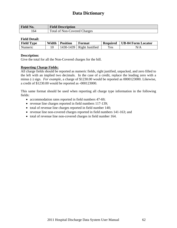| <b>Field No.</b> | <b>Field Description</b>            |
|------------------|-------------------------------------|
| .64              | <b>Total of Non-Covered Charges</b> |

#### **Field Detail:**

| <b>Field Type</b> | Width | <b>Position</b> | Format          | <b>Required</b> | <b>UB-04 Form Locator</b> |
|-------------------|-------|-----------------|-----------------|-----------------|---------------------------|
| <b>Numeric</b>    |       | 1430-1439       | Right Justified | $V_{\rm CS}$    | N/A                       |

#### **Description:**

Give the total for all the Non-Covered charges for the bill.

#### **Reporting Charge Fields:**

All charge fields should be reported as numeric fields, right justified, unpacked, and zero filled to the left with an implied two decimals. In the case of a credit, replace the leading zero with a minus (-) sign. *For example*, a charge of \$1230.00 would be reported as 0000123000. Likewise, a credit of \$1230.00 would be reported as -000123000.

This same format should be used when reporting all charge type information in the following fields:

- accommodation rates reported in field numbers 47-69;
- revenue line charges reported in field numbers 117-139;
- total of revenue line charges reported in field number 140;
- revenue line non-covered charges reported in field numbers 141-163; and
- total of revenue line non-covered charges in field number 164.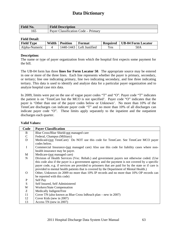| Field No. | <b>Field Description</b>            |
|-----------|-------------------------------------|
| 165       | Payer Classification Code – Primary |

#### **Field Detail:**

| <b>Field Type</b> | Width | <b>Position</b> | Format                     | <b>Required</b> | <b>UB-04 Form Locator</b> |
|-------------------|-------|-----------------|----------------------------|-----------------|---------------------------|
| Alpha-Numeric     |       |                 | 1440-1443   Left Justified | Yes.            | 50A                       |

#### **Description:**

The name or type of payer organization from which the hospital first expects some payment for the bill.

The UB-04 form has three **lines for Form Locator 50**. The appropriate source may be entered in one or more of the three lines. Each line represents whether the payer is primary, secondary, or tertiary; line one indicating primary, line two indicating secondary, and line three indicating tertiary. This data is used to identify and analyze data for a particular payer organization and to analyze hospital case mix data.

In 2009, limits were put on the use of vague payer codes "T" and "O". Payer code "T" indicates the patient is on 'TennCare but the MCO is not specified'. Payer code "O" indicates that the payer is 'Other than one of the payer codes below or Unknown'. No more than 10% of the TennCare discharges can indicate payer code "T" and no more than 10% of all discharges can indicate payer code "O". These limits apply separately to the inpatient and the outpatient discharges each quarter.

#### **Valid Values: Code Payer Classification**  B  $\overline{C}$ D I M N O P S W Z 11 12 13 Blue Cross/Blue Shield-not managed care Federal, Champus (Military) Medicaid-(not TennCare) Do NOT use this code for TennCare. See TennCare MCO payer codes below. Commercial Insurance-(not managed care) Also use this code for liability cases where nonhealth insurance may be payer. Medicare-(not managed care) Division of Health Services (Voc. Rehab.) and government payers not otherwise coded. (Use this code also if the payer is a government agency and the payment is not covered by a specific payer code, e.g. if services are provided to prisoners that are paid for by the state or if care is provided to mental health patients that is covered by the Department of Mental Health.) Other, Unknown (in 2009 no more than 10% IP records and no more than 10% OP records can be reported with this code) Self Pay Self Insured, Self Administered Workers/State Compensation Medically Indigent/Free Cover TN (also known as Blue Cross InReach plan – new in 2007) Cover Kids (new in 2007) Access TN (new in 2007)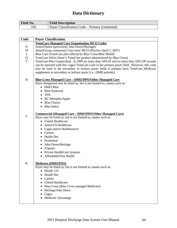| <b>Field No.</b> | <b>Field Description</b>                              |
|------------------|-------------------------------------------------------|
|                  | $\mu$ Payer Classification Code – Primary (continued) |

| Code    | <b>Payer Classification</b>                                                                  |
|---------|----------------------------------------------------------------------------------------------|
|         | <b>TennCare Managed Care Organization MCO Codes</b>                                          |
| $8\,$   | AmeriChoice (previously John Deere/Heritage)                                                 |
| 10      | AmeriGroup community Care (new MCO effective April 1, 2007)                                  |
| $\bf J$ | Blue Care (TennCare plan offered by Blue Cross/Blue Shield)                                  |
| Q       | TennCare Select (State's TennCare product administered by Blue Cross)                        |
| T       | TennCare-Plan Unspecified. In 2009 no more than 10% IP and no more than 10% OP records       |
|         | can be reported with this vague TennCare code in the primary payer field. However, this code |
|         | may be used in the secondary or tertiary payer fields if patients have TennCare_Medicare     |
|         | supplement as secondary or tertiary payer (i.e., QMB patients).                              |
|         |                                                                                              |
| H       | <b>Blue Cross Managed Care - HMO/PPO/Other Managed Care</b>                                  |
|         | Payer designated may be listed as, but is not limited to, names such as:                     |
|         | • HMO Blue                                                                                   |
|         | <b>Blue Preferred</b>                                                                        |
|         | $\bullet$ TPN                                                                                |
|         | • BC Memphis/Apple                                                                           |
|         | • Blue Classic                                                                               |
|         | • Blue Select                                                                                |
|         |                                                                                              |
|         | <u> Commercial (Managed Care – HMO/PPO/Other Managed Care)</u>                               |
| L       | Payer may be listed as, but is not limited to, names such as:                                |
|         | • United Healthcare                                                                          |
|         | Aetna/US Healthcare                                                                          |
|         | Cigna and/or Healthsource                                                                    |
|         | • Cariten                                                                                    |
|         | • Health Net                                                                                 |
|         | Prudential                                                                                   |
|         | John Deere/Heritage                                                                          |
|         | • Tripoint                                                                                   |
|         | • Private HealthCare Systems                                                                 |
|         | <b>Affordable/First Health</b>                                                               |
|         |                                                                                              |
| K       | <b>Medicare (HMO/PSO)</b>                                                                    |
|         | Payer may be listed as, but is not limited to, names such as:                                |
|         | Health 123<br>$\bullet$                                                                      |
|         | <b>Health Net</b><br>٠                                                                       |
|         | Cariten                                                                                      |
|         | <b>United Healthcare</b>                                                                     |
|         | Blue Cross (Blue Cross managed Medicare)                                                     |
|         | Heritage/John Deere                                                                          |
|         | Cigna                                                                                        |
|         | Medicare Advantage                                                                           |
|         |                                                                                              |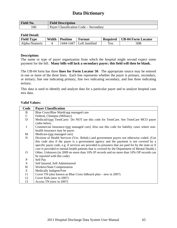| <b>Field No.</b> | <b>Field Description</b>                    |
|------------------|---------------------------------------------|
| 166              | $\mu$ Payer Classification Code – Secondary |

#### **Field Detail:**

| <b>Field Type</b> | Width | <b>Position</b> | Format             | <b>Required</b> | <b>UB-04 Form Locator</b> |
|-------------------|-------|-----------------|--------------------|-----------------|---------------------------|
| Alpha-Numeric     |       | 1447<br>1444-   | `   Left Justified | Yes             | 50B                       |

#### **Description:**

The name or type of payer organization from which the hospital might second expect some payment for the bill. **Many bills will lack a secondary payer; this field will then be blank.** 

The UB-04 form has three **lines for Form Locator 50**. The appropriate source may be entered in one or more of the three lines. Each line represents whether the payer is primary, secondary, or tertiary; line one indicating primary, line two indicating secondary, and line three indicating tertiary.

This data is used to identify and analyze data for a particular payer and to analyze hospital case mix data.

#### **Valid Values:**

| Code        | <b>Payer Classification</b>                                                                          |
|-------------|------------------------------------------------------------------------------------------------------|
| B           | Blue Cross/Blue Shield-not managed care                                                              |
| $\mathbf C$ | Federal, Champus (Military)                                                                          |
| $\mathbf D$ | Medicaid-(not TennCare) Do NOT use this code for TennCare. See TennCare MCO payer                    |
|             | codes below.                                                                                         |
| $\mathbf I$ | Commercial Insurance-(not managed care) Also use this code for liability cases where non-            |
|             | health insurance may be payer.                                                                       |
| M           | Medicare-(not managed care)                                                                          |
| $\mathbf N$ | Division of Health Services (Voc. Rehab.) and government payers not otherwise coded. (Use            |
|             | this code also if the payer is a government agency and the payment is not covered by a               |
|             | specific payer code, e.g. if services are provided to prisoners that are paid for by the state or if |
|             | care is provided to mental health patients that is covered by the Department of Mental Health.)      |
| $\Omega$    | Other, Unknown (in 2009 no more than 10% IP records and no more than 10% OP records can              |
|             | be reported with this code)                                                                          |
| ${\bf P}$   | Self Pay                                                                                             |
| S           | Self Insured, Self Administered                                                                      |
| W           | Workers/State Compensation                                                                           |
| Z           | Medically Indigent/Free                                                                              |
| 11          | Cover TN (also known as Blue Cross InReach plan – new in 2007)                                       |
| 12          | Cover Kids (new in 2007)                                                                             |
| 13          | Access TN (new in 2007)                                                                              |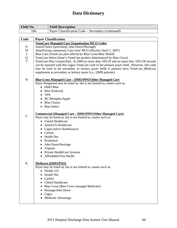| <b>Field No.</b> | <b>Field Description</b>                          |
|------------------|---------------------------------------------------|
| '66              | Payer Classification Code – Secondary (continued) |
|                  |                                                   |

| Code    | <b>Payer Classification</b>                                                                                                                                                                                                                                                                                                                           |
|---------|-------------------------------------------------------------------------------------------------------------------------------------------------------------------------------------------------------------------------------------------------------------------------------------------------------------------------------------------------------|
|         | <b>TennCare Managed Care Organization MCO Codes</b>                                                                                                                                                                                                                                                                                                   |
| 8       | AmeriChoice (previously John Deere/Heritage)                                                                                                                                                                                                                                                                                                          |
| 10      | AmeriGroup community Care (new MCO effective April 1, 2007)                                                                                                                                                                                                                                                                                           |
| $\bf J$ | Blue Care (TennCare plan offered by Blue Cross/Blue Shield)                                                                                                                                                                                                                                                                                           |
| Q       | TennCare Select (State's TennCare product administered by Blue Cross)                                                                                                                                                                                                                                                                                 |
| T       | TennCare-Plan Unspecified. In 2009 no more than 10% IP and no more than 10% OP records<br>can be reported with this vague TennCare code in the primary payer field. However, this code<br>may be used in the secondary or tertiary payer fields if patients have TennCare_Medicare<br>supplement as secondary or tertiary payer (i.e., QMB patients). |
| H       | <b>Blue Cross Managed Care - HMO/PPO/Other Managed Care</b>                                                                                                                                                                                                                                                                                           |
|         | Payer designated may be listed as, but is not limited to, names such as:                                                                                                                                                                                                                                                                              |
|         | • HMO Blue                                                                                                                                                                                                                                                                                                                                            |
|         | • Blue Preferred                                                                                                                                                                                                                                                                                                                                      |
|         | $\bullet$ TPN                                                                                                                                                                                                                                                                                                                                         |
|         | • BC Memphis/Apple                                                                                                                                                                                                                                                                                                                                    |
|         | • Blue Classic                                                                                                                                                                                                                                                                                                                                        |
|         | • Blue Select                                                                                                                                                                                                                                                                                                                                         |
|         |                                                                                                                                                                                                                                                                                                                                                       |
|         | <u><b>Commercial (Managed Care – HMO/PPO/Other Managed Care)</b></u>                                                                                                                                                                                                                                                                                  |
| L       | Payer may be listed as, but is not limited to, names such as:                                                                                                                                                                                                                                                                                         |
|         | • United Healthcare                                                                                                                                                                                                                                                                                                                                   |
|         | • Aetna/US Healthcare                                                                                                                                                                                                                                                                                                                                 |
|         | • Cigna and/or Healthsource                                                                                                                                                                                                                                                                                                                           |
|         | • Cariten                                                                                                                                                                                                                                                                                                                                             |
|         | <b>Health Net</b>                                                                                                                                                                                                                                                                                                                                     |
|         | Prudential<br>٠                                                                                                                                                                                                                                                                                                                                       |
|         | • John Deere/Heritage                                                                                                                                                                                                                                                                                                                                 |
|         | • Tripoint                                                                                                                                                                                                                                                                                                                                            |
|         | • Private HealthCare Systems                                                                                                                                                                                                                                                                                                                          |
|         | • Affordable/First Health                                                                                                                                                                                                                                                                                                                             |
|         |                                                                                                                                                                                                                                                                                                                                                       |
| K       | <b>Medicare (HMO/PSO)</b><br>Payer may be listed as, but is not limited to, names such as:                                                                                                                                                                                                                                                            |
|         | • Health 123                                                                                                                                                                                                                                                                                                                                          |
|         | Health Net                                                                                                                                                                                                                                                                                                                                            |
|         | Cariten                                                                                                                                                                                                                                                                                                                                               |
|         | ٠<br><b>United Healthcare</b>                                                                                                                                                                                                                                                                                                                         |
|         | $\bullet$                                                                                                                                                                                                                                                                                                                                             |
|         | Blue Cross (Blue Cross managed Medicare)<br>$\bullet$                                                                                                                                                                                                                                                                                                 |
|         | Heritage/John Deere                                                                                                                                                                                                                                                                                                                                   |
|         | Cigna                                                                                                                                                                                                                                                                                                                                                 |
|         | Medicare Advantage<br>٠                                                                                                                                                                                                                                                                                                                               |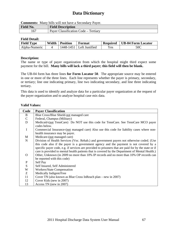**Comments:** Many bills will not have a Secondary Payer.

| <b>Field No.</b> | <b>Field Description</b>             |
|------------------|--------------------------------------|
|                  | Payer Classification Code – Tertiary |

#### **Field Detail:**

| <b>Field Type</b> | Width | <b>Position</b> | Format         | <b>Required</b> | <b>UB-04 Form Locator</b> |
|-------------------|-------|-----------------|----------------|-----------------|---------------------------|
| Alpha-Numeric     |       | 1448-1451       | Left Justified | Yes             | 50C                       |

#### **Description:**

The name or type of payer organization from which the hospital might third expect some payment for the bill. **Many bills will lack a third payer; this field will then be blank.** 

The UB-04 form has three lines **for Form Locator 50**. The appropriate source may be entered in one or more of the three lines. Each line represents whether the payer is primary, secondary, or tertiary; line one indicating primary, line two indicating secondary, and line three indicating tertiary.

This data is used to identify and analyze data for a particular payer organization at the request of the payer organization and to analyze hospital case mix data.

#### **Valid Values:**

| Code        | <b>Payer Classification</b>                                                                          |
|-------------|------------------------------------------------------------------------------------------------------|
| B           | Blue Cross/Blue Shield-not managed care                                                              |
| $\mathbf C$ | Federal, Champus (Military)                                                                          |
| D           | Medicaid-(not TennCare) Do NOT use this code for TennCare. See TennCare MCO payer                    |
|             | codes below.                                                                                         |
| I           | Commercial Insurance-(not managed care) Also use this code for liability cases where non-            |
|             | health insurance may be payer.                                                                       |
| M           | Medicare-(not managed care)                                                                          |
| $\mathbf N$ | Division of Health Services (Voc. Rehab.) and government payers not otherwise coded. (Use            |
|             | this code also if the payer is a government agency and the payment is not covered by a               |
|             | specific payer code, e.g. if services are provided to prisoners that are paid for by the state or if |
|             | care is provided to mental health patients that is covered by the Department of Mental Health.)      |
| $\Omega$    | Other, Unknown (in 2009 no more than 10% IP records and no more than 10% OP records can              |
|             | be reported with this code)                                                                          |
| ${\bf P}$   | Self Pay                                                                                             |
| S           | Self Insured, Self Administered                                                                      |
| W           | <b>Workers/State Compensation</b>                                                                    |
| Z           | Medically Indigent/Free                                                                              |
| 11          | Cover TN (also known as Blue Cross InReach plan – new in 2007)                                       |
| 12          | Cover Kids (new in 2007)                                                                             |
| 13          | Access TN (new in 2007)                                                                              |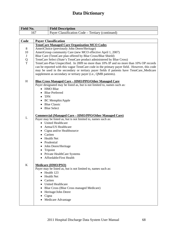| <b>Field No.</b> | <b>Field Description</b>                         |
|------------------|--------------------------------------------------|
|                  | Payer Classification Code – Tertiary (continued) |

| Code        | <b>Payer Classification</b>                                                                                                                                                            |
|-------------|----------------------------------------------------------------------------------------------------------------------------------------------------------------------------------------|
|             | <b>TennCare Managed Care Organization MCO Codes</b>                                                                                                                                    |
| 8           | AmeriChoice (previously John Deere/Heritage)                                                                                                                                           |
| 10          | AmeriGroup community Care (new MCO effective April 1, 2007)                                                                                                                            |
| $\bf J$     | Blue Care (TennCare plan offered by Blue Cross/Blue Shield)                                                                                                                            |
| Q           | TennCare Select (State's TennCare product administered by Blue Cross)                                                                                                                  |
| T           | TennCare-Plan Unspecified. In 2009 no more than 10% IP and no more than 10% OP records<br>can be reported with this vague TennCare code in the primary payer field. However, this code |
|             | may be used in the secondary or tertiary payer fields if patients have TennCare_Medicare<br>supplement as secondary or tertiary payer (i.e., QMB patients).                            |
| H           | <u> Blue Cross Managed Care – HMO/PPO/Other Managed Care</u>                                                                                                                           |
|             | Payer designated may be listed as, but is not limited to, names such as:                                                                                                               |
|             | • HMO Blue                                                                                                                                                                             |
|             | • Blue Preferred                                                                                                                                                                       |
|             | $\bullet$ TPN                                                                                                                                                                          |
|             | • BC Memphis/Apple                                                                                                                                                                     |
|             | • Blue Classic                                                                                                                                                                         |
|             | • Blue Select                                                                                                                                                                          |
|             | <u> Commercial (Managed Care – HMO/PPO/Other Managed Care)</u>                                                                                                                         |
| L           | Payer may be listed as, but is not limited to, names such as:                                                                                                                          |
|             | • United Healthcare                                                                                                                                                                    |
|             | • Aetna/US Healthcare                                                                                                                                                                  |
|             | • Cigna and/or Healthsource                                                                                                                                                            |
|             | Cariten                                                                                                                                                                                |
|             | <b>Health Net</b>                                                                                                                                                                      |
|             | • Prudential                                                                                                                                                                           |
|             | • John Deere/Heritage                                                                                                                                                                  |
|             | • Tripoint                                                                                                                                                                             |
|             | • Private HealthCare Systems                                                                                                                                                           |
|             | • Affordable/First Health                                                                                                                                                              |
| $\mathbf K$ | <b>Medicare (HMO/PSO)</b>                                                                                                                                                              |
|             | Payer may be listed as, but is not limited to, names such as:                                                                                                                          |
|             | Health 123                                                                                                                                                                             |
|             | <b>Health Net</b>                                                                                                                                                                      |
|             | • Cariten                                                                                                                                                                              |
|             | • United Healthcare                                                                                                                                                                    |
|             | Blue Cross (Blue Cross managed Medicare)                                                                                                                                               |
|             | Heritage/John Deere                                                                                                                                                                    |
|             | Cigna                                                                                                                                                                                  |
|             | Medicare Advantage                                                                                                                                                                     |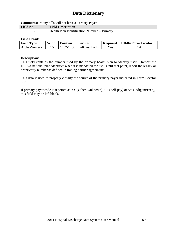**Comments:** Many bills will not have a Tertiary Payer.

| <b>Field No.</b> | <b>Field Description</b>                    |
|------------------|---------------------------------------------|
| .68              | Health Plan Identification Number – Primary |

#### **Field Detail:**

| <b>Field Type</b> | Width | <b>Position</b> | Format                     | <b>Required</b> | <b>UB-04 Form Locator</b> |
|-------------------|-------|-----------------|----------------------------|-----------------|---------------------------|
| Alpha-Numeric     |       |                 | 1452-1466   Left Justified | $\rm\,Yes$      |                           |

#### **Description:**

This field contains the number used by the primary health plan to identify itself. Report the HIPAA national plan identifier when it is mandated for use. Until that point, report the legacy or proprietary number as defined in trading partner agreements.

This data is used to properly classify the source of the primary payer indicated in Form Locator 50A.

If primary payer code is reported as 'O' (Other, Unknown), 'P' (Self-pay) or 'Z' (Indigent/Free), this field may be left blank.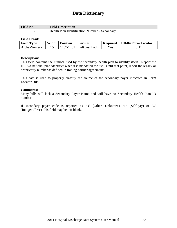| Field No. | <b>Field Description</b>                      |
|-----------|-----------------------------------------------|
| 69،       | Health Plan Identification Number – Secondary |

#### **Field Detail:**

| <b>Field Type</b> | Width | <b>Position</b> | Format                     | <b>Required</b> | <b>UB-04 Form Locator</b> |
|-------------------|-------|-----------------|----------------------------|-----------------|---------------------------|
| Alpha-Numeric     |       |                 | $1467-1481$ Left Justified | Yes.            |                           |

#### **Description:**

This field contains the number used by the secondary health plan to identify itself. Report the HIPAA national plan identifier when it is mandated for use. Until that point, report the legacy or proprietary number as defined in trading partner agreements.

This data is used to properly classify the source of the secondary payer indicated in Form Locator 50B.

#### **Comments:**

Many bills will lack a Secondary Payer Name and will have no Secondary Health Plan ID number.

If secondary payer code is reported as 'O' (Other, Unknown), 'P' (Self-pay) or 'Z' (Indigent/Free), this field may be left blank.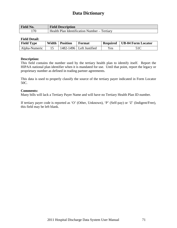| Field No. | <b>Field Description</b>                     |
|-----------|----------------------------------------------|
| 170       | Health Plan Identification Number – Tertiary |

#### **Field Detail:**

| <b>Field Type</b> | Width | Position | Format                       |      | Required   UB-04 Form Locator |
|-------------------|-------|----------|------------------------------|------|-------------------------------|
| Alpha-Numeric     |       |          | $1482 - 1496$ Left Justified | Yes. | 51C                           |

#### **Description:**

This field contains the number used by the tertiary health plan to identify itself. Report the HIPAA national plan identifier when it is mandated for use. Until that point, report the legacy or proprietary number as defined in trading partner agreements.

This data is used to properly classify the source of the tertiary payer indicated in Form Locator 50C.

#### **Comments:**

Many bills will lack a Tertiary Payer Name and will have no Tertiary Health Plan ID number.

If tertiary payer code is reported as 'O' (Other, Unknown), 'P' (Self-pay) or 'Z' (Indigent/Free), this field may be left blank.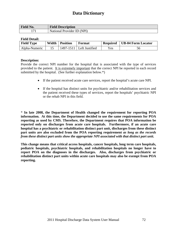| <b>Field No.</b> | <b>Field Description</b>   |
|------------------|----------------------------|
| $1 - 7$          | National Provider ID (NPI) |

#### **Field Detail:**

| <b>Field Type</b> | Width | Position | Format                     | Required | UB-04 Form Locator |
|-------------------|-------|----------|----------------------------|----------|--------------------|
| Alpha-Numeric     |       |          | $1497-1511$ Left Justified | Yes      |                    |

#### **Description:**

Provide the correct NPI number for the hospital that is associated with the type of services provided to the patient. It is extremely important that the correct NPI be reported in each record submitted by the hospital. (See further explanation below.\*)

- If the patient received acute care services, report the hospital's acute care NPI.
- If the hospital has distinct units for psychiatric and/or rehabilitation services and the patient received these types of services, report the hospitals' psychiatric NPI or the rehab NPI in this field.

\* **In late 2008, the Department of Health changed the requirement for reporting POA information. At this time, the Department decided to use the same requirements for POA reporting as used by CMS. Therefore, the Department requires that POA information be reported only on discharges from acute care hospitals. Furthermore, if an acute care hospital has a psychiatric or rehabilitation distinct part unit, discharges from these distinct part units are also excluded from the POA reporting requirement** *as long as the records from these distinct part units show the appropriate NPI associated with that distinct part unit***.** 

**This change means that critical access hospitals, cancer hospitals, long term care hospitals, pediatric hospitals, psychiatric hospitals, and rehabilitation hospitals no longer have to report POA on the diagnoses in the discharges. Also, discharges from psychiatric or rehabilitation distinct part units within acute care hospitals may also be exempt from POA reporting.**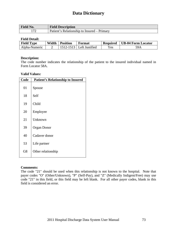| <b>Field No.</b> | <b>Field Description</b>                    |
|------------------|---------------------------------------------|
| 1.77             | Patient's Relationship to Insured – Primary |

### **Field Detail:**

| <b>Field Type</b> | Width | <b>Position</b> | Format         | <b>Required</b> | <b>UB-04 Form Locator</b> |
|-------------------|-------|-----------------|----------------|-----------------|---------------------------|
| Alpha-Numeric     |       |                 | Left Justified | $v_{es}$        | 59A                       |

### **Description:**

The code number indicates the relationship of the patient to the insured individual named in Form Locator 58A.

### **Valid Values:**

| Code | <b>Patient's Relationship to Insured</b> |
|------|------------------------------------------|
| 01   | Spouse                                   |
| 18   | Self                                     |
| 19   | Child                                    |
| 20   | Employee                                 |
| 21   | Unknown                                  |
| 39   | <b>Organ Donor</b>                       |
| 40   | Cadaver donor                            |
| 53   | Life partner                             |
| G8   | Other relationship                       |

### **Comments:**

The code "21" should be used when this relationship is not known to the hospital. Note that payer codes "O" (Other/Unknown), "P" (Self-Pay), and "Z" (Medically Indigent/Free) may use code "21" in this field, or this field may be left blank. For all other payer codes, blank in this field is considered an error.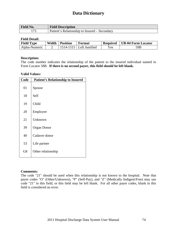| <b>Field No.</b> | <b>Field Description</b>                      |
|------------------|-----------------------------------------------|
| $1 - 7$          | Patient's Relationship to Insured – Secondary |

### **Field Detail:**

| <b>Field Type</b> | Width | <b>Position</b> | Format         | <b>Required</b>                | <b>UB-04 Form Locator</b> |
|-------------------|-------|-----------------|----------------|--------------------------------|---------------------------|
| Alpha-Numeric     |       | $14 - 1515$     | Left Justified | $\mathbf{v}_{\rm \mathbf{es}}$ | 59B                       |

### **Description:**

The code number indicates the relationship of the patient to the insured individual named in Form Locator 58B. **If there is no second payer, this field should be left blank.**

#### **Valid Values:**

| Code | <b>Patient's Relationship to Insured</b> |
|------|------------------------------------------|
| 01   | Spouse                                   |
| 18   | Self                                     |
| 19   | Child                                    |
| 20   | Employee                                 |
| 21   | Unknown                                  |
| 39   | <b>Organ Donor</b>                       |
| 40   | Cadaver donor                            |
| 53   | Life partner                             |
| G8   | Other relationship                       |

### **Comments:**

The code "21" should be used when this relationship is not known to the hospital. Note that payer codes "O" (Other/Unknown), "P" (Self-Pay), and "Z" (Medically Indigent/Free) may use code "21" in this field, or this field may be left blank. For all other payer codes, blank in this field is considered an error.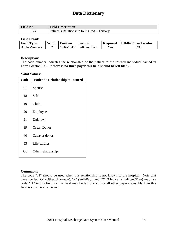| <b>Field No.</b> | <b>Field Description</b>                     |
|------------------|----------------------------------------------|
| 174              | Patient's Relationship to Insured – Tertiary |

### **Field Detail:**

| <b>Field Type</b> | Width | <b>Position</b> | Format         | <b>Required</b>                | <b>UB-04 Form Locator</b> |
|-------------------|-------|-----------------|----------------|--------------------------------|---------------------------|
| Alpha-Numeric     |       | 1516-1517       | Left Justified | $\mathbf{v}_{\rm \mathbf{es}}$ | 59C                       |

### **Description:**

The code number indicates the relationship of the patient to the insured individual named in Form Locator 58C. **If there is no third payer this field should be left blank.** 

#### **Valid Values:**

| Code | <b>Patient's Relationship to Insured</b> |
|------|------------------------------------------|
| 01   | Spouse                                   |
| 18   | Self                                     |
| 19   | Child                                    |
| 20   | Employee                                 |
| 21   | Unknown                                  |
| 39   | <b>Organ Donor</b>                       |
| 40   | Cadaver donor                            |
| 53   | Life partner                             |
| G8   | Other relationship                       |

### **Comments:**

The code "21" should be used when this relationship is not known to the hospital. Note that payer codes "O" (Other/Unknown), "P" (Self-Pay), and "Z" (Medically Indigent/Free) may use code "21" in this field, or this field may be left blank. For all other payer codes, blank in this field is considered an error.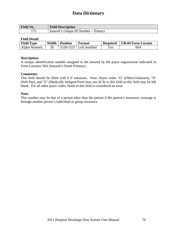| <b>Field No.</b> | <b>Field Description</b>             |
|------------------|--------------------------------------|
| $1 \pi F$        | Insured's Unique ID Number – Primary |

### **Field Detail:**

| <b>Field Type</b> | Width | <b>Position</b> | Format                     | <b>Required</b> | UB-04 Form Locator |
|-------------------|-------|-----------------|----------------------------|-----------------|--------------------|
| Alpha-Numeric     | 20    |                 | $1518-1537$ Left Justified | Yes             | 60A                |

### **Description:**

A unique identification number assigned to the insured by the payer organization indicated in Form Locators 58A (Insured's Name Primary).

### **Comments:**

This field should be filled with 9 if unknown. Note: Payer codes "O" (Other/Unknown), "P" (Self-Pay), and "Z" (Medically Indigent/Free) may use all 9s in this field or this field may be left blank. For all other payer codes, blank in this field is considered an error.

### **Note:**

This number may be that of a person other than the patient if the patient's insurance coverage is through another person's individual or group insurance.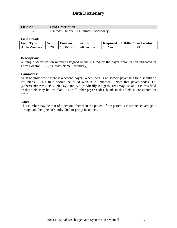| <b>Field No.</b> | <b>Field Description</b>               |
|------------------|----------------------------------------|
| '76              | Insured's Unique ID Number – Secondary |

### **Field Detail:**

| <b>Field Type</b> | Width | <b>Position</b> | Format         | <b>Required</b> | <b>UB-04 Form Locator</b> |
|-------------------|-------|-----------------|----------------|-----------------|---------------------------|
| Alpha-Numeric     | 20    | 1538-1557       | Left Justified | Yes             | 60B                       |

### **Description:**

A unique identification number assigned to the insured by the payer organization indicated in Form Locator 58B (Insured's Name Secondary).

### **Comments:**

Must be provided if there is a second payer: When there is no second payer this field should be left blank. This field should be filled with 9 if unknown. Note that payer codes "O" (Other/Unknown), "P" (Self-Pay), and "Z" (Medically Indigent/Free) may use all 9s in this field or this field may be left blank. For all other payer codes, blank in this field is considered an error.

### **Note:**

This number may be that of a person other than the patient if the patient's insurance coverage is through another person's individual or group insurance.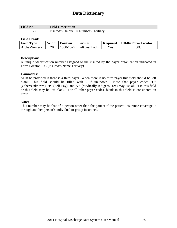| <b>Field No.</b> | <b>Field Description</b>              |
|------------------|---------------------------------------|
|                  | Insured's Unique ID Number - Tertiary |

### **Field Detail:**

| <b>Field Type</b> | Width | <b>Position</b> | Format                     | <b>Required</b> | <b>UB-04 Form Locator</b> |
|-------------------|-------|-----------------|----------------------------|-----------------|---------------------------|
| Alpha-Numeric     | 20    |                 | $1558-1577$ Left Justified | $Y_{\rm CS}$    | 60C                       |

### **Description:**

A unique identification number assigned to the insured by the payer organization indicated in Form Locator 58C (Insured's Name Tertiary).

### **Comments:**

Must be provided if there is a third payer: When there is no third payer this field should be left blank. This field should be filled with 9 if unknown. Note that payer codes "O" (Other/Unknown), "P" (Self-Pay), and "Z" (Medically Indigent/Free) may use all 9s in this field or this field may be left blank. For all other payer codes, blank in this field is considered an error.

### **Note:**

This number may be that of a person other than the patient if the patient insurance coverage is through another person's individual or group insurance.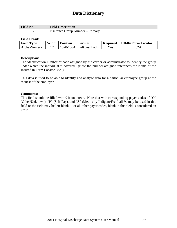| <b>Field No.</b> | <b>Field Description</b>         |
|------------------|----------------------------------|
| 178              | Insurance Group Number – Primary |

### **Field Detail:**

| <b>Field Type</b> | Width | <b>Position</b> | Format                     | <b>Required</b> | UB-04 Form Locator |
|-------------------|-------|-----------------|----------------------------|-----------------|--------------------|
| Alpha-Numeric     |       |                 | $1578-1594$ Left Justified | Yes             |                    |

### **Description:**

The identification number or code assigned by the carrier or administrator to identify the group under which the individual is covered. (Note the number assigned references the Name of the Insured in Form Locator 58A.)

This data is used to be able to identify and analyze data for a particular employee group at the request of the employer.

### **Comments:**

This field should be filled with 9 if unknown. Note that with corresponding payer codes of "O" (Other/Unknown), "P" (Self-Pay), and "Z" (Medically Indigent/Free) all 9s may be used in this field or the field may be left blank. For all other payer codes, blank in this field is considered an error.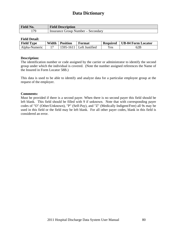| Field No. | <b>Field Description</b>           |
|-----------|------------------------------------|
| 70 ا      | Insurance Group Number – Secondary |

### **Field Detail:**

| <b>Field Type</b> | Width | <b>Position</b> | Format                     | <b>Required</b> | UB-04 Form Locator |
|-------------------|-------|-----------------|----------------------------|-----------------|--------------------|
| Alpha-Numeric     |       |                 | $1595-1611$ Left Justified | Yes             | 62B                |

### **Description:**

The identification number or code assigned by the carrier or administrator to identify the second group under which the individual is covered. (Note the number assigned references the Name of the Insured in Form Locator 58B.)

This data is used to be able to identify and analyze data for a particular employee group at the request of the employer.

#### **Comments:**

Must be provided if there is a second payer. When there is no second payer this field should be left blank. This field should be filled with 9 if unknown. Note that with corresponding payer codes of "O" (Other/Unknown), "P" (Self-Pay), and "Z" (Medically Indigent/Free) all 9s may be used in this field or the field may be left blank. For all other payer codes, blank in this field is considered an error.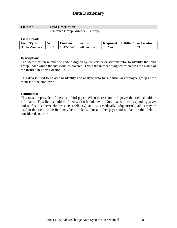| <b>Field No.</b> | <b>Field Description</b>          |
|------------------|-----------------------------------|
| 180              | Insurance Group Number - Tertiary |

### **Field Detail:**

| <b>Field Type</b> | Width | <b>Position</b> | Format                       | <b>Required</b> | UB-04 Form Locator |
|-------------------|-------|-----------------|------------------------------|-----------------|--------------------|
| Alpha-Numeric     |       |                 | $1612 - 1628$ Left Justified | Yes             | 62C                |

### **Description:**

The identification number or code assigned by the carrier or administrator to identify the third group under which the individual is covered. (Note the number assigned references the Name of the Insured in Form Locator 58C.)

This data is used to be able to identify and analyze data for a particular employee group at the request of the employer.

### **Comments:**

This must be provided if there is a third payer. When there is no third payer this field should be left blank. This field should be filled with 9 if unknown. Note that with corresponding payer codes of "O" (Other/Unknown), "P" (Self-Pay), and "Z" (Medically Indigent/Free) all 9s may be used in this field or the field may be left blank. For all other payer codes, blank in this field is considered an error.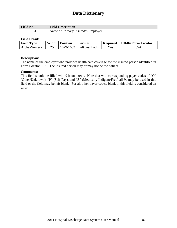| <b>Field No.</b> | <b>Field Description</b>           |
|------------------|------------------------------------|
|                  | Name of Primary Insured's Employer |

### **Field Detail:**

| <b>Field Type</b> | Width | <b>Position</b> | Format                     | <b>Required</b> | UB-04 Form Locator |
|-------------------|-------|-----------------|----------------------------|-----------------|--------------------|
| Alpha-Numeric     | 25    |                 | $1629-1653$ Left Justified | Yes             | 65A                |

### **Description:**

The name of the employer who provides health care coverage for the insured person identified in Form Locator 58A. The insured person may or may not be the patient.

### **Comments:**

This field should be filled with 9 if unknown. Note that with corresponding payer codes of "O" (Other/Unknown), "P" (Self-Pay), and "Z" (Medically Indigent/Free) all 9s may be used in this field or the field may be left blank. For all other payer codes, blank in this field is considered an error.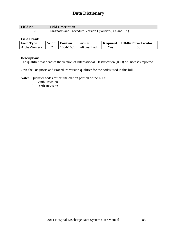| <b>Field No.</b> | <b>Field Description</b>                              |
|------------------|-------------------------------------------------------|
| 182              | Diagnosis and Procedure Version Qualifier (DX and PX) |

### **Field Detail:**

| <b>Field Type</b> | Width | <b>Position</b> | Format                       | <b>Required</b> | UB-04 Form Locator |
|-------------------|-------|-----------------|------------------------------|-----------------|--------------------|
| Alpha-Numeric     |       |                 | $1654 - 1655$ Left Justified | Yes             | 66                 |

### **Description:**

The qualifier that denotes the version of International Classification (ICD) of Diseases reported.

Give the Diagnosis and Procedure version qualifier for the codes used in this bill.

**Note:** Qualifier codes reflect the edition portion of the ICD:

9 – Ninth Revision

0 – Tenth Revision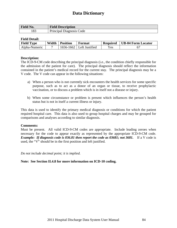| <b>Field No.</b> | <b>Field Description</b> |
|------------------|--------------------------|
| 183              | Principal Diagnosis Code |

### **Field Detail:**

| <b>Field Type</b> | Width | <b>Position</b> | Format                       | <b>Required</b> | <b>UB-04 Form Locator</b> |
|-------------------|-------|-----------------|------------------------------|-----------------|---------------------------|
| Alpha-Numeric     |       |                 | $1656 - 1662$ Left Justified | Yes             |                           |

### **Description:**

The ICD-9-CM code describing the principal diagnosis (i.e., the condition chiefly responsible for the admission of the patient for care). The principal diagnosis should reflect the information contained in the patient's medical record for the current stay. The principal diagnosis may be a V code. The V code can appear in the following situations:

- a) When a person who is not currently sick encounters the health services for some specific purpose, such as to act as a donor of an organ or tissue, to receive prophylactic vaccination, or to discuss a problem which is in itself not a disease or injury.
- b) When some circumstance or problem is present which influences the person's health status but is not in itself a current illness or injury.

This data is used to identify the primary medical diagnosis or conditions for which the patient required hospital care. This data is also used to group hospital charges and may be grouped for comparisons and analyses according to similar diagnosis.

### **Comments:**

Must be present. All valid ICD-9-CM codes are appropriate. Include leading zeroes when necessary for the code to appear exactly as represented by the appropriate ICD-9-CM code. *Example: If diagnosis code is 036.81 then report the code as 03681; not 3681.* If a V code is used, the "V" should be in the first position and left justified.

*Do not include decimal point; it is implied.* 

### **Note: See Section II.4.8 for more information on ICD-10 coding.**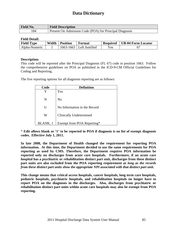| <b>Field No.</b> | <b>Field Description</b>                                |
|------------------|---------------------------------------------------------|
| 184              | Present On Admission Code (POA) for Principal Diagnosis |

### **Field Detail:**

| <b>Field Type</b> | Width | <b>Position</b> | Format                       | <b>Required</b> | UB-04 Form Locator |
|-------------------|-------|-----------------|------------------------------|-----------------|--------------------|
| Alpha-Numeric     |       |                 | $1663 - 1663$ Left Justified | Yes             |                    |

### **Description:**

This code will be reported after the Principal Diagnosis (FL 67) code in position 1663. Follow the comprehensive guidelines on POA as published in the ICD-9-CM Official Guidelines for Coding and Reporting.

The five reporting options for all diagnosis reporting are as follows:

| Code     | <b>Definition</b>            |
|----------|------------------------------|
| Y        | Yes                          |
| N        | Nο                           |
| U        | No Information in the Record |
| W        | Clinically Undetermined      |
| BLANK, 1 | Exempt from POA Reporting*   |

\* **Edit allows blank or '1' to be reported in POA if diagnosis is on list of exempt diagnosis codes. Effective July 1, 2011.** 

**In late 2008, the Department of Health changed the requirement for reporting POA information. At this time, the Department decided to use the same requirements for POA reporting as used by CMS. Therefore, the Department requires POA information be reported only on discharges from acute care hospitals. Furthermore, if an acute care hospital has a psychiatric or rehabilitation distinct part unit, discharges from these distinct part units are also excluded from the POA reporting requirement** *as long as the records from these distinct part units show the appropriate NPI associated with that distinct part unit***.** 

**This change means that critical access hospitals, cancer hospitals, long term care hospitals, pediatric hospitals, psychiatric hospitals, and rehabilitation hospitals no longer have to report POA on the diagnoses in the discharges. Also, discharges from psychiatric or rehabilitation distinct part units within acute care hospitals may also be exempt from POA reporting.**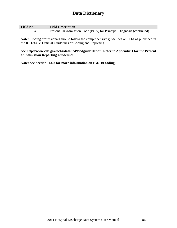| <b>Field No.</b> | <b>Field Description</b>                                            |
|------------------|---------------------------------------------------------------------|
| !84              | Present On Admission Code (POA) for Principal Diagnosis (continued) |

**Note:** Coding professionals should follow the comprehensive guidelines on POA as published in the ICD-9-CM Official Guidelines or Coding and Reporting.

### **See [http://www.cdc.gov/nchs/data/icd9/icdguide10.pdf](http://ww.cdc.gov/nchs/datawh/ftpserv/ftpicd9/icdguide06.pdf). Refer to Appendix 1 for the Present on Admission Reporting Guidelines.**

**Note: See Section II.4.8 for more information on ICD-10 coding.**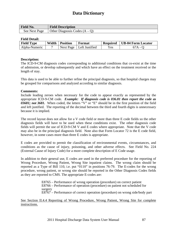| <b>Field No.</b> | <b>Field Description</b>        |
|------------------|---------------------------------|
| See Next Page    | Other Diagnosis Codes $(A - Q)$ |

### **Field Detail:**

| <b>Field Type</b> | Width | <b>Position</b> | Format                     | <b>Required</b> | UB-04 Form Locator |
|-------------------|-------|-----------------|----------------------------|-----------------|--------------------|
| Alpha-Numeric     |       |                 | Next Page   Left Justified | Yes             |                    |

### **Description:**

The ICD-9-CM diagnosis codes corresponding to additional conditions that co-exist at the time of admission, or develop subsequently and which have an effect on the treatment received or the length of stay.

This data is used to be able to further refine the principal diagnosis, so that hospital charges may be grouped for comparisons and analyzed according to similar diagnosis.

### **Comments:**

Include leading zeroes when necessary for the code to appear exactly as represented by the appropriate ICD-9-CM code. *Example: If diagnosis code is 036.81 then report the code as 03681; not 3681.* When coded, the letters "V" or "E" should be in the first position of the field and left justified. The reporting of the decimal between the third and fourth digits is unnecessary because it is implied.

The record layout does not allow for a V code field or more than three E code fields so the other diagnosis fields will have to be used when these conditions exist. The other diagnosis code fields will permit the use of ICD-9-CM V and E codes where appropriate. Note that the V code may also be in the principal diagnosis field. Note also that Form Locator 72 is the E code field, however, in some cases more than three E codes is appropriate.

E codes are provided to permit the classification of environmental events, circumstances, and conditions as the cause of injury, poisoning, and other adverse effects. See Field No. 224 (External Cause of Injury Code) for a more complete description of E Code usage.

In addition to their general use, E codes are used in the preferred procedure for the reporting of Wrong Procedure, Wrong Patient, Wrong Site inpatient claims. The wrong claim should be reported as a Type of Bill 110, i.e. put "0110" in positions 76-79. The E-codes for the wrong procedure, wrong patient, or wrong site should be reported in the Other Diagnosis Codes fields as they are reported to CMS. The appropriate E-codes are:

> E8765 – Performance of wrong operation (procedure) on correct patient E8766 – Performance of operation (procedure) on patient not scheduled for surgery E8767 – Performance of correct operation (procedure) on wrong side/body part

### See Section II.4.4 Reporting of Wrong Procedure, Wrong Patient, Wrong Site for complete instructions.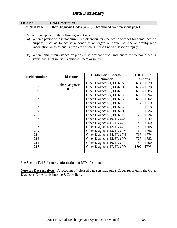| <b>Field No.</b> | <b>Field Description</b>                                       |
|------------------|----------------------------------------------------------------|
| See Next Page    | Other Diagnosis Codes $(A - Q)$ (continued from previous page) |

The V code can appear in the following situations:

- a) When a person who is not currently sick encounters the health services for some specific purpose, such as to act as a donor of an organ or tissue, to receive prophylactic vaccination, or to discuss a problem which is in itself not a disease or injury.
- b) When some circumstance or problem is present which influences the person's health status but is not in itself a current illness or injury.

| <b>Field Number</b> | <b>Field Name</b>      | <b>UB-04 Form Locator</b><br><b>Number</b> | <b>HDDS</b> File<br><b>Positions</b> |
|---------------------|------------------------|--------------------------------------------|--------------------------------------|
| 185                 | <b>Other Diagnosis</b> | Other Diagnosis 1, FL-67A                  | $1664 - 1670$                        |
| 187                 | Codes                  | Other Diagnosis 2, FL-67B                  | $1672 - 1678$                        |
| 189                 |                        | Other Diagnosis 3, FL-67C                  | $1680 - 1686$                        |
| 191                 |                        | Other Diagnosis 4, FL-67D                  | $1688 - 1694$                        |
| 193                 |                        | Other Diagnosis 5, FL-67E                  | $1696 - 1702$                        |
| 195                 |                        | Other Diagnosis 6, FL-67F                  | $1704 - 1710$                        |
| 197                 |                        | Other Diagnosis 7, FL-67G                  | $1712 - 1718$                        |
| 199                 |                        | Other Diagnosis 8, FL-67H                  | $1720 - 1726$                        |
| 201                 |                        | Other Diagnosis 9, FL-67I                  | $1728 - 1734$                        |
| 203                 |                        | Other Diagnosis 10, FL-67J                 | $1736 - 1742$                        |
| 205                 |                        | Other Diagnosis 11, FL-67K                 | $1744 - 1750$                        |
| 207                 |                        | Other Diagnosis 12, FL-67L                 | $1752 - 1758$                        |
| 209                 |                        | Other Diagnosis 13, FL-67M                 | $1760 - 1766$                        |
| 211                 |                        | Other Diagnosis 14, FL-67N                 | $1768 - 1774$                        |
| 213                 |                        | Other Diagnosis 15, FL-67O                 | $1776 - 1782$                        |
| 215                 |                        | Other Diagnosis 16, FL-67P                 | $1784 - 1790$                        |
| 217                 |                        | Other Diagnosis 17, FL-67Q                 | 1792 - 1798                          |
|                     |                        |                                            |                                      |

See Section II.4.8 for more information on ICD-10 coding.

**Note for Data Analysts**: A recoding of released data sets may put E Codes reported in the Other Diagnosis Code fields into the E Code field.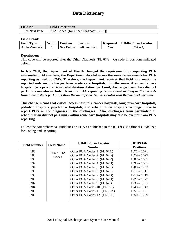| <b>Field No.</b> | <b>Field Description</b>                 |
|------------------|------------------------------------------|
| See Next Page    | POA Codes (for Other Diagnosis $A - Q$ ) |

### **Field Detail:**

| <b>Field Type</b> | Width | <b>Position</b> | Format         | <b>Required</b> | <b>UB-04 Form Locator</b> |
|-------------------|-------|-----------------|----------------|-----------------|---------------------------|
| Alpha-Numeric     |       | See Below       | Left Justified | Yes             |                           |

### **Description:**

This code will be reported after the Other Diagnosis (FL  $67A - O$ ) code in positions indicated below.

**In late 2008, the Department of Health changed the requirement for reporting POA information. At this time, the Department decided to use the same requirements for POA reporting as used by CMS. Therefore, the Department requires that POA information is reported only on discharges from acute care hospitals. Furthermore, if an acute care hospital has a psychiatric or rehabilitation distinct part unit, discharges from these distinct part units are also excluded from the POA reporting requirement** *as long as the records from these distinct part units show the appropriate NPI associated with that distinct part unit***.** 

**This change means that critical access hospitals, cancer hospitals, long term care hospitals, pediatric hospitals, psychiatric hospitals, and rehabilitation hospitals no longer have to report POA on the diagnoses in the discharges. Also, discharges from psychiatric or rehabilitation distinct part units within acute care hospitals may also be exempt from POA reporting** 

Follow the comprehensive guidelines on POA as published in the ICD-9-CM Official Guidelines for Coding and Reporting.

| <b>Field Number</b> | <b>Field Name</b> | <b>UB-04 Form Locator</b>   | <b>HDDS</b> File |
|---------------------|-------------------|-----------------------------|------------------|
|                     |                   | <b>Number</b>               | <b>Positions</b> |
| 186                 | Other POA         | Other POA Codes 1 (FL 67A)  | $1671 - 1671$    |
| 188                 | Codes             | Other POA Codes 2 (FL 67B)  | $1679 - 1679$    |
| 190                 |                   | Other POA Codes 3 (FL 67C)  | $1687 - 1687$    |
| 192                 |                   | Other POA Codes 4 (FL 67D)  | $1695 - 1695$    |
| 194                 |                   | Other POA Codes 5 (FL 67E)  | $1703 - 1703$    |
| 196                 |                   | Other POA Codes 6 (FL 67F)  | $1711 - 1711$    |
| 198                 |                   | Other POA Codes 7 (FL 67G)  | $1719 - 1719$    |
| 200                 |                   | Other POA Codes 8 (FL 67H)  | $1727 - 1727$    |
| 202                 |                   | Other POA Codes 9 (FL 67I)  | $1735 - 1735$    |
| 204                 |                   | Other POA Codes 10 (FL 67J) | $1743 - 1743$    |
| 206                 |                   | Other POA Codes 11 (FL 67K) | $1751 - 1751$    |
| 208                 |                   | Other POA Codes 12 (FL 67L) | $1759 - 1759$    |
|                     |                   |                             |                  |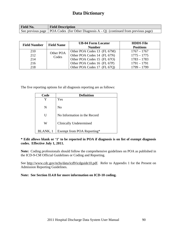| <b>Field No.</b> | <b>Field Description</b>                                                                    |
|------------------|---------------------------------------------------------------------------------------------|
|                  | See previous page   POA Codes (for Other Diagnosis $A - Q$ ) (continued from previous page) |

| <b>Field Number</b> | <b>Field Name</b> | <b>UB-04 Form Locator</b><br><b>Number</b> | <b>HDDS</b> File<br><b>Positions</b> |
|---------------------|-------------------|--------------------------------------------|--------------------------------------|
| 210                 | Other POA         | Other POA Codes 13 (FL 67M)                | $1767 - 1767$                        |
| 212                 | Codes             | Other POA Codes 14 (FL 67N)                | $1775 - 1775$                        |
| 214                 |                   | Other POA Codes 15 (FL 67O)                | $1783 - 1783$                        |
| 216                 |                   | Other POA Codes 16 (FL 67P)                | $1791 - 1791$                        |
| 218                 |                   | Other POA Codes 17 (FL 67Q)                | $1799 - 1799$                        |

The five reporting options for all diagnosis reporting are as follows:

| Code     | <b>Definition</b>              |
|----------|--------------------------------|
|          | Yes                            |
| N        | No                             |
| U        | No Information in the Record   |
| W        | <b>Clinically Undetermined</b> |
| BLANK, 1 | Exempt from POA Reporting*     |

### **\* Edit allows blank or '1' to be reported in POA if diagnosis is on list of exempt diagnosis codes. Effective July 1, 2011.**

**Note:** Coding professionals should follow the comprehensive guidelines on POA as published in the ICD-9-CM Official Guidelines or Coding and Reporting.

See [http://www.cdc.gov/nchs/data/icd9/icdguide10.pdf.](http://ww.cdc.gov/nchs/datawh/ftpserv/ftpicd9/icdguide06.pdf) Refer to Appendix 1 for the Present on Admission Reporting Guidelines.

**Note: See Section II.4.8 for more information on ICD-10 coding.**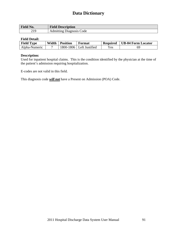| $\blacksquare$<br><b>NO.</b><br>r ieiu | <b>Field Description</b>        |
|----------------------------------------|---------------------------------|
| 210<br>$\sim$ 1.                       | Code<br>dmitting<br>Diagnosis 1 |

### **Field Detail:**

| <b>Field Type</b> | Width | <b>Position</b> | Format                     | <b>Required</b> | <b>UB-04 Form Locator</b> |
|-------------------|-------|-----------------|----------------------------|-----------------|---------------------------|
| Alpha-Numeric     |       |                 | $1800-1806$ Left Justified | <b>Yes</b>      | 69                        |

### **Description:**

Used for inpatient hospital claims. This is the condition identified by the physician at the time of the patient's admission requiring hospitalization.

E-codes are not valid in this field.

This diagnosis code *will not* have a Present on Admission (POA) Code.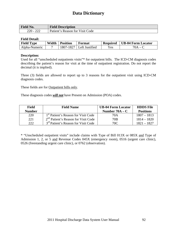| <b>Field No.</b>      | <b>Field Description</b>        |
|-----------------------|---------------------------------|
| າາາ<br>$220 -$<br>∠∠∠ | Patient's Reason for Visit Code |

### **Field Detail:**

| <b>Field Type</b> | Width | <b>Position</b> | Format                      | <b>Required</b> | <b>UB-04 Form Locator</b> |
|-------------------|-------|-----------------|-----------------------------|-----------------|---------------------------|
| Alpha-Numeric     |       | 1807-1827       | <sup>1</sup> Left Justified | <b>Yes</b>      | '0A                       |

### **Description:**

Used for all "unscheduled outpatients visits"\* for outpatient bills. The ICD-CM diagnosis codes describing the patient's reason for visit at the time of outpatient registration. Do not report the decimal (it is implied).

Three (3) fields are allowed to report up to 3 reasons for the outpatient visit using ICD-CM diagnosis codes.

These fields are for Outpatient bills only.

These diagnosis codes *will not* have Present on Admission (POA) codes.

| <b>Field</b>  | <b>Field Name</b>                               | <b>UB-04 Form Locator</b> | <b>HDDS</b> File |
|---------------|-------------------------------------------------|---------------------------|------------------|
| <b>Number</b> |                                                 | Number $70A - C$          | <b>Positions</b> |
| 220           | 1 <sup>st</sup> Patient's Reason for Visit Code | 70A                       | $1807 - 1813$    |
| 221           | $2nd$ Patient's Reason for Visit Code           | 70B                       | $1814 - 1820$    |
| 222           | 3 <sup>rd</sup> Patient's Reason for Visit Code | 70C                       | $1821 - 1827$    |

\* "Unscheduled outpatient visits" include claims with Type of Bill 013X or 085X and Type of Admission 1, 2, or 5 and Revenue Codes 045X (emergency room), 0516 (urgent care clinic), 0526 (freestanding urgent care clinic), or 0762 (observation).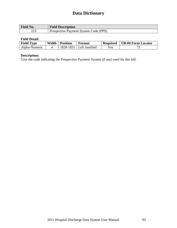| <b>Field No.</b> | <b>Field Description</b>              |
|------------------|---------------------------------------|
| ∩∩<br>بەيد       | Prospective Payment System Code (PPS) |

## **Field Detail:**

| <b>Field Type</b> | Width | <b>Position</b> | Format                     | <b>Required</b> | UB-04 Form Locator |
|-------------------|-------|-----------------|----------------------------|-----------------|--------------------|
| Alpha-Numeric     |       |                 | $1828-1831$ Left Justified | <b>Yes</b>      |                    |

## **Description:**

Give the code indicating the Prospective Payment System (if any) used for this bill.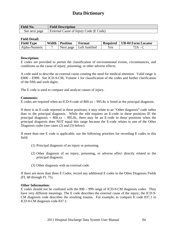| <b>Field No.</b> | <b>Field Description</b>               |
|------------------|----------------------------------------|
| See next page    | External Cause of Injury Code (E Code) |

### **Field Detail:**

| <b>Field Type</b> | Width | <b>Position</b> | Format         | <b>Required</b> | <b>UB-04 Form Locator</b> |
|-------------------|-------|-----------------|----------------|-----------------|---------------------------|
| Alpha-Numeric     |       | Next page       | Left Justified | <b>Yes</b>      | 2A                        |

### **Description:**

E codes are provided to permit the classification of environmental events, circumstances, and conditions as the cause of injury, poisoning, or other adverse effects.

A code used to describe an external cause creating the need for medical attention. Valid range is E800 – E999. See ICD-9-CM, Volume 1 for classification of the codes and further clarification of the fifth and sixth digits.

The E code is used to compare and analyze causes of injury.

### **Comments:**

E codes are required when an ICD-9 code of 800.xx – 995.8x is listed as the principal diagnosis.

If there is an E-code reported in these positions, it may relate to an "Other diagnosis" code rather than to the principal diagnosis. While the edit requires an E-code in these positions IF the principal diagnosis =  $800.xx - 995.8x$ , there may be an E-code in these positions when the principal diagnosis does NOT equal this range because the E-code relates to one of the Other Diagnosis codes (see cases (2) and (3) below).

If more than one E code is applicable, use the following priorities for recording E codes in this field:

- (1) Principal diagnosis of an injury or poisoning.
- (2) Other diagnosis of an injury, poisoning, or adverse effect directly related to the principal diagnosis.
- (3) Other diagnosis with an external code.

If there are more than three E Codes, record any additional E codes in the Other Diagnosis Fields (FL 68 through FL 75).

### **Other Information:**

E codes should not be confused with the 800 – 999 range of ICD-9-CM diagnosis codes. They have very different meanings. The E code describes the external cause of the injury; the ICD-9- CM diagnosis code describes the resulting trauma. For example, to compare E code 837.1 to ICD-9-CM diagnosis code 837.1: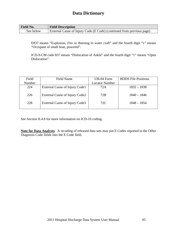| <b>Field No.</b> | <b>Field Description</b>                                              |
|------------------|-----------------------------------------------------------------------|
| See below        | External Cause of Injury Code (E Code) (continued from previous page) |

E837 means "Explosion, Fire or Burning in water craft" and the fourth digit "1" means "Occupant of small boat, powered".

ICD-9-CM code 837 means "Dislocation of Ankle" and the fourth digit "1" means "Open Dislocation".

| Field  | Field Name                     | UB-04 Form            | <b>HDDS</b> File Positions |
|--------|--------------------------------|-----------------------|----------------------------|
| Number |                                | <b>Locator Number</b> |                            |
| 224    | External Cause of Injury Code1 | 72A                   | $1832 - 1838$              |
| 226    | External Cause of Injury Code2 | 72B                   | $1840 - 1846$              |
| 228    | External Cause of Injury Code3 | 72C                   | $1848 - 1854$              |
|        |                                |                       |                            |

See Section II.4.8 for more information on ICD-10 coding.

**Note for Data Analysts**: A recoding of released data sets may put E Codes reported in the Other Diagnosis Code fields into the E Code field.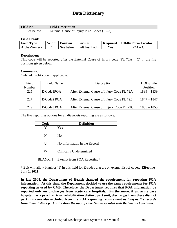| <b>Field No.</b> | <b>Field Description</b>                     |
|------------------|----------------------------------------------|
| See below        | External Cause of Injury POA Codes $(1 – 3)$ |

### **Field Detail:**

| <b>Field Type</b> | Width | <b>Position</b> | Format         | <b>Required</b> | <b>UB-04 Form Locator</b> |
|-------------------|-------|-----------------|----------------|-----------------|---------------------------|
| Alpha-Numeric     |       | See below       | Left Justified | $v_{es}$        |                           |

### **Description:**

This code will be reported after the External Cause of Injury code (FL  $72A - C$ ) in the file positions given below.

### **Comments:**

Only add POA code if applicable.

| Field  | Field Name  | Description                                | <b>HDDS</b> File |
|--------|-------------|--------------------------------------------|------------------|
| Number |             |                                            | Position         |
| 225    | E-Code1POA  | After External Cause of Injury Code FL 72A | $1839 - 1839$    |
| 227    | E-Code2 POA | After External Cause of Injury Code FL 72B | $1847 - 1847$    |
| 229    | E-Code3 POA | After External Cause of Injury Code FL 72C | $1855 - 1855$    |

The five reporting options for all diagnosis reporting are as follows:

| Code     | <b>Definition</b>              |
|----------|--------------------------------|
|          | Yes                            |
| N        | N <sub>0</sub>                 |
| U        | No Information in the Record   |
| W        | <b>Clinically Undetermined</b> |
| BLANK, 1 | Exempt from POA Reporting*     |

\* Edit will allow blank or '1' in this field for E-codes that are on exempt list of codes. **Effective July 1, 2011.**

**In late 2008, the Department of Health changed the requirement for reporting POA information. At this time, the Department decided to use the same requirements for POA reporting as used by CMS. Therefore, the Department requires that POA information be reported only on discharges from acute care hospitals. Furthermore, if an acute care hospital has a psychiatric or rehabilitation distinct part unit, discharges from these distinct part units are also excluded from the POA reporting requirement** *as long as the records from these distinct part units show the appropriate NPI associated with that distinct part unit***.**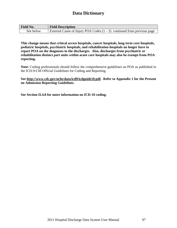| <b>Field No.</b> | <b>Field Description</b>                                                  |
|------------------|---------------------------------------------------------------------------|
| See below        | External Cause of Injury POA Codes $(1 – 3)$ continued from previous page |

**This change means that critical access hospitals, cancer hospitals, long term care hospitals, pediatric hospitals, psychiatric hospitals, and rehabilitation hospitals no longer have to report POA on the diagnoses in the discharges. Also, discharges from psychiatric or rehabilitation distinct part units within acute care hospitals may also be exempt from POA reporting.** 

**Note:** Coding professionals should follow the comprehensive guidelines on POA as published in the ICD-9-CM Official Guidelines for Coding and Reporting.

**See [http://www.cdc.gov/nchs/data/icd9/icdguide10.pdf](http://ww.cdc.gov/nchs/datawh/ftpserv/ftpicd9/icdguide06.pdf). Refer to Appendix 1 for the Present on Admission Reporting Guidelines.** 

**See Section II.4.8 for more information on ICD-10 coding.**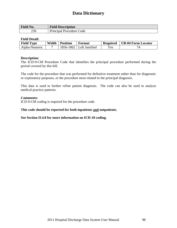| <b>Field No.</b> | <b>Field Description</b>      |
|------------------|-------------------------------|
| 230              | Principal Procedure C<br>Code |

### **Field Detail:**

| <b>Field Type</b> | Width | <b>Position</b> | Format                       | <b>Required</b> | UB-04 Form Locator |
|-------------------|-------|-----------------|------------------------------|-----------------|--------------------|
| Alpha-Numeric     |       |                 | $1856 - 1862$ Left Justified | Yes             |                    |

### **Description:**

The ICD-9-CM Procedure Code that identifies the principal procedure performed during the period covered by this bill.

The code for the procedure that was performed for definitive treatment rather than for diagnostic or exploratory purposes, or the procedure most related to the principal diagnosis.

This data is used to further refine patient diagnosis. The code can also be used to analyze medical practice patterns.

### **Comments:**

ICD-9-CM coding is required for the procedure code.

### **This code should be reported for both inpatients and outpatients.**

#### **See Section II.4.8 for more information on ICD-10 coding.**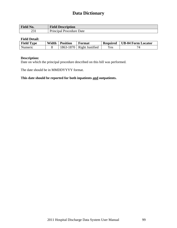| Field No.           | <b>Field Description</b>       |
|---------------------|--------------------------------|
| $\mathbf{A}$<br>ـ ت | Principal<br>Date<br>Procedure |

### **Field Detail:**

| <b>Field Type</b> | Width | <b>Position</b> | Format                      | <b>Required</b> | <b>UB-04 Form Locator</b> |
|-------------------|-------|-----------------|-----------------------------|-----------------|---------------------------|
| Numeric           |       |                 | $1863-1870$ Right Justified | Yes             |                           |

## **Description:**

Date on which the principal procedure described on this bill was performed.

The date should be in MMDDYYYY format.

## **This date should be reported for both inpatients and outpatients.**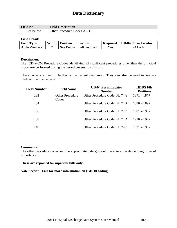| <b>Field No.</b> | <b>Field Description</b>         |
|------------------|----------------------------------|
| See below        | Other Procedure C<br>Codes $A -$ |

### **Field Detail:**

| <b>Field Type</b> | Width | <b>Position</b> | Format                     | <b>Required</b> | <b>UB-04 Form Locator</b> |
|-------------------|-------|-----------------|----------------------------|-----------------|---------------------------|
| Alpha-Numeric     |       |                 | See Below   Left Justified | Yes             |                           |

### **Description:**

The ICD-9-CM Procedure Codes identifying all significant procedures other than the principal procedure performed during the period covered by this bill.

These codes are used to further refine patient diagnosis. They can also be used to analyze medical practice patterns.

| <b>Field Number</b> | <b>Field Name</b>               | <b>UB-04 Form Locator</b><br><b>Number</b> | <b>HDDS</b> File<br><b>Positions</b> |
|---------------------|---------------------------------|--------------------------------------------|--------------------------------------|
| 232                 | <b>Other Procedure</b><br>Codes | Other Procedure Code, FL 74A               | $1871 - 1877$                        |
| 234                 |                                 | Other Procedure Code, FL 74B               | $1886 - 1892$                        |
| 236                 |                                 | Other Procedure Code, FL 74C               | $1901 - 1907$                        |
| 238                 |                                 | Other Procedure Code, FL 74D               | $1916 - 1922$                        |
| 240                 |                                 | Other Procedure Code, FL 74E               | $1931 - 1937$                        |

### **Comments:**

The other procedure codes and the appropriate date(s) should be entered in descending order of importance.

### **These are reported for inpatient bills only.**

**Note Section II.4.8 for more information on ICD-10 coding.**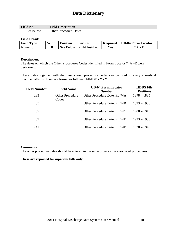| <b>Field No.</b> | <b>Field Description</b>     |
|------------------|------------------------------|
| See below        | <b>Other Procedure Dates</b> |

### **Field Detail:**

| <b>Field Type</b> | Width | <b>Position</b> | Format                      | <b>Required</b> | UB-04 Form Locator |
|-------------------|-------|-----------------|-----------------------------|-----------------|--------------------|
| Numeric           |       |                 | See Below   Right Justified | Yes             | 74 A               |

### **Description:**

The dates on which the Other Procedures Codes identified in Form Locator 74A –E were performed.

These dates together with their associated procedure codes can be used to analyze medical practice patterns. Use date format as follows: MMDDYYYY

| <b>Field Number</b> | <b>Field Name</b>               | <b>UB-04 Form Locator</b><br><b>Number</b> | <b>HDDS</b> File<br><b>Positions</b> |
|---------------------|---------------------------------|--------------------------------------------|--------------------------------------|
| 233                 | <b>Other Procedure</b><br>Codes | Other Procedure Date, FL 74A               | $1878 - 1885$                        |
| 235                 |                                 | Other Procedure Date, FL 74B               | $1893 - 1900$                        |
| 237                 |                                 | Other Procedure Date, FL 74C               | $1908 - 1915$                        |
| 239                 |                                 | Other Procedure Date, FL 74D               | $1923 - 1930$                        |
| 241                 |                                 | Other Procedure Date, FL 74E               | $1938 - 1945$                        |

### **Comments:**

The other procedure dates should be entered in the same order as the associated procedures.

### **These are reported for inpatient bills only.**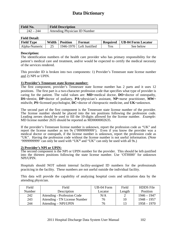| Field No.  | <b>Field Description</b>      |
|------------|-------------------------------|
| 242<br>244 | Attending Physician ID Number |

### **Field Detail:**

| <b>Field Type</b> | Width | <b>Position</b> | Format                     | <b>Required</b> | <b>UB-04 Form Locator</b> |  |  |
|-------------------|-------|-----------------|----------------------------|-----------------|---------------------------|--|--|
| Alpha-Numeric     |       |                 | 1946-1970   Left Justified | Yes             | See below                 |  |  |

### **Description:**

The identification numbers of the health care provider who has primary responsibility for the patient's medical care and treatment, and/or would be expected to certify the medical necessity of the services rendered.

This provider ID is broken into two components: 1) Provider's Tennessee state license number and 2) NPI or UPIN.

### **1) Provider's Tennessee state license number:**

The first component, provider's Tennessee state license number has 2 parts and it uses 12 positions. The first part is a two-character profession code that specifies what type of provider is caring for the patient. The valid values are: **MD**=medical doctor, **DO**=doctor of osteopathy, **DS**=dentist, **DP**=doctor of podiatry, **PA**=physician's assistant, **NP**=nurse practitioner, **MW**= midwife, **PS**=licensed psychologist, **DC**=doctor of chiropractic medicine, and **UK**=unknown.

The second part of the first component is the Tennessee state license number of the provider. The license number should be placed into the ten positions following the profession code. Leading zeroes should be used to fill the 10-digits allowed for the license number. *Example:* MD license number 2635 should be reported as MD0000002635.

If the provider's Tennessee license number is unknown, report the profession code as "UK" and report the license number as ten 9s ('9999999999'). Even if you know the provider was a medical doctor or osteopath, if the license number is unknown, report the profession code as "UK". Having the profession code without the license number is not useful information. (Note '9999999999' can only be used with "UK**"** and "UK" can only be used with all 9s.)

#### **2) Provider's NPI or UPIN:**

The second component is the NPI or UPIN number for the provider. This should be left-justified into the thirteen positions following the state license number. Use 'OTH000' for unknown NPI/UPIN.

Hospitals should NOT submit internal facility-assigned ID numbers for the professionals practicing in the facility. These numbers are not useful outside the individual facility.

This data will provide the capability of analyzing hospital costs and utilization data by the attending physician.

| Field  | Field                                | UB-04 Form | Field  | <b>HDDS</b> File |
|--------|--------------------------------------|------------|--------|------------------|
| Number | Description                          | Locator    | Length | Position         |
| 242    | Attending - Profession Code          | N/A        |        | $1946 - 1947$    |
| 243    | <b>Attending - TN License Number</b> | 76         | 10     | $1948 - 1957$    |
| 244    | $Attending - NPI/UPIN$               | 76         | 13     | $1958 - 1970$    |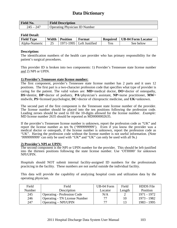| <b>Field No.</b> | <b>Field Description</b>             |
|------------------|--------------------------------------|
| 247<br>245       | <b>Operating Physician ID Number</b> |

### **Field Detail:**

| <b>Field Type</b> | Width | <b>Position</b> | Format                     | <b>Required</b> | <b>UB-04 Form Locator</b> |
|-------------------|-------|-----------------|----------------------------|-----------------|---------------------------|
| Alpha-Numeric     |       |                 | $1971-1995$ Left Justified | Yes             | See below                 |

### **Description:**

The identification numbers of the health care provider who has primary responsibility for the patient's surgical procedures.

This provider ID is broken into two components: 1) Provider's Tennessee state license number and 2) NPI or UPIN.

### **1) Provider's Tennessee state license number:**

The first component, provider's Tennessee state license number has 2 parts and it uses 12 positions. The first part is a two-character profession code that specifies what type of provider is caring for the patient. The valid values are: **MD**=medical doctor, **DO**=doctor of osteopathy, **DS**=dentist, **DP**=doctor of podiatry, **PA**=physician's assistant, **NP**=nurse practitioner, **MW**= midwife, **PS**=licensed psychologist, **DC**=doctor of chiropractic medicine, and **UK**=unknown.

The second part of the first component is the Tennessee state license number of the provider. The license number should be placed into the ten positions following the profession code. Leading zeroes should be used to fill the 10-digits allowed for the license number. *Example:* MD license number 2635 should be reported as MD0000002635.

If the provider's Tennessee license number is unknown, report the profession code as "UK" and report the license number as ten 9s ('9999999999'). Even if you know the provider was a medical doctor or osteopath, if the license number is unknown, report the profession code as "UK". Having the profession code without the license number is not useful information. (Note '9999999999' can only be used with "UK**"** and "UK" can only be used with all 9s.)

### **2) Provider's NPI or UPIN:**

The second component is the NPI or UPIN number for the provider. This should be left-justified into the thirteen positions following the state license number. Use 'OTH000' for unknown NPI/UPIN.

Hospitals should NOT submit internal facility-assigned ID numbers for the professionals practicing in the facility. These numbers are not useful outside the individual facility.

This data will provide the capability of analyzing hospital costs and utilization data by the operating physician.

| Field  | Field                                | UB-04 Form | Field  | <b>HDDS</b> File |
|--------|--------------------------------------|------------|--------|------------------|
| Number | Description                          | Locator    | Length | Position         |
| 245    | <b>Operating - Profession Code</b>   | N/A        |        | 1971 - 1972      |
| 246    | <b>Operating - TN License Number</b> | 77.        | 10     | 1973 - 1982      |
| 247    | $Operating - NPI/UPIN$               |            | 13     | 1983 - 1995      |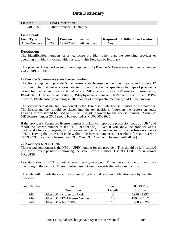| <b>Field No.</b> | <b>Field Description</b>  |
|------------------|---------------------------|
| 250<br>248       | Other Provider ID1 Number |

### **Field Detail:**

| <b>Field Type</b> | Width | <b>Position</b> | Format                     | <b>Required</b> | <b>UB-04 Form Locator</b> |
|-------------------|-------|-----------------|----------------------------|-----------------|---------------------------|
| Alpha-Numeric     |       |                 | 1996-2020   Left Justified | Yes.            | ПC                        |

### **Description:**

The identification numbers of a healthcare provider (other than the attending provider or operating provider) involved with this case. This field can be left blank.

This provider ID is broken into two components: 1) Provider's Tennessee state license number and 2) NPI or UPIN.

### **1) Provider's Tennessee state license number:**

The first component, provider's Tennessee state license number has 2 parts and it uses 12 positions. The first part is a two-character profession code that specifies what type of provider is caring for the patient. The valid values are: **MD**=medical doctor, **DO**=doctor of osteopathy, **DS**=dentist, **DP**=doctor of podiatry, **PA**=physician's assistant, **NP**=nurse practitioner, **MW**= midwife, **PS**=licensed psychologist, **DC**=doctor of chiropractic medicine, and **UK**=unknown.

The second part of the first component is the Tennessee state license number of the provider. The license number should be placed into the ten positions following the profession code. Leading zeroes should be used to fill the 10-digits allowed for the license number. *Example:* MD license number 2635 should be reported as MD0000002635.

If the provider's Tennessee license number is unknown, report the profession code as "UK" and report the license number as ten 9s ('9999999999'). Even if you know the provider was a medical doctor or osteopath, if the license number is unknown, report the profession code as "UK". Having the profession code without the license number is not useful information. (Note '9999999999' can only be used with "UK**"** and "UK" can only be used with all 9s.)

### **2) Provider's NPI or UPIN:**

The second component is the NPI or UPIN number for the provider. This should be left-justified into the thirteen positions following the state license number. Use 'OTH000' for unknown NPI/UPIN.

Hospitals should NOT submit internal facility-assigned ID numbers for the professionals practicing in the facility. These numbers are not useful outside the individual facility.

This data will provide the capability of analyzing hospital costs and utilization data by the other physician.

| <b>Field Number</b> | Field                         | Field  | <b>HDDS</b> File |
|---------------------|-------------------------------|--------|------------------|
|                     | Description                   | Length | Position         |
| 248                 | Other ID1 - Profession Code   |        | 1996 - 1997      |
| 249                 | Other ID1 - TN License Number | 10     | $1998 - 2007$    |
| 250                 | Other $ID1 - NPI/UPIN$        | 13     | $2008 - 2020$    |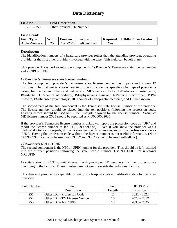| <b>Field No.</b>                                     | <b>Field Description</b>  |
|------------------------------------------------------|---------------------------|
| ລະລ<br>つ こ 1<br>$\overline{\phantom{a}}$<br>ر_<br>້ີ | Other Provider ID2 Number |

### **Field Detail:**

| <b>Field Type</b> | Width | <b>Position</b> | Format                       | <b>Required</b> | <b>UB-04 Form Locator</b> |
|-------------------|-------|-----------------|------------------------------|-----------------|---------------------------|
| Alpha-Numeric     | 25    |                 | $2021 - 2045$ Left Justified | <b>Yes</b>      |                           |

### **Description:**

The identification numbers of a healthcare provider (other than the attending provider, operating provider or the first other provider) involved with the case. This field can be left blank.

This provider ID is broken into two components: 1) Provider's Tennessee state license number and 2) NPI or UPIN.

### **1) Provider's Tennessee state license number:**

The first component, provider's Tennessee state license number has 2 parts and it uses 12 positions. The first part is a two-character profession code that specifies what type of provider is caring for the patient. The valid values are: **MD**=medical doctor, **DO**=doctor of osteopathy, **DS**=dentist, **DP**=doctor of podiatry, **PA**=physician's assistant, **NP**=nurse practitioner, **MW**= midwife, **PS**=licensed psychologist, **DC**=doctor of chiropractic medicine, and **UK**=unknown.

The second part of the first component is the Tennessee state license number of the provider. The license number should be placed into the ten positions following the profession code. Leading zeroes should be used to fill the 10-digits allowed for the license number. *Example:* MD license number 2635 should be reported as MD0000002635.

If the provider's Tennessee license number is unknown, report the profession code as "UK" and report the license number as ten 9s ('9999999999'). Even if you know the provider was a medical doctor or osteopath, if the license number is unknown, report the profession code as "UK". Having the profession code without the license number is not useful information. (Note '9999999999' can only be used with "UK**"** and "UK" can only be used with all 9s.)

### **2) Provider's NPI or UPIN:**

The second component is the NPI or UPIN number for the provider. This should be left-justified into the thirteen positions following the state license number. Use 'OTH000' for unknown NPI/UPIN.

Hospitals should NOT submit internal facility-assigned ID numbers for the professionals practicing in the facility. These numbers are not useful outside the individual facility.

This data will provide the capability of analyzing hospital costs and utilization data by the other physician.

| Field Number | Field                         | Field  | <b>HDDS</b> File |
|--------------|-------------------------------|--------|------------------|
|              | Description                   | Length | Position         |
| 251          | Other ID2 - Profession Code   |        | $2021 - 2022$    |
| 252          | Other ID2 - TN License Number | 10     | $2023 - 2032$    |
| 253          | Other $ID2 - NPIVUPIN$        | 13     | $2033 - 2045$    |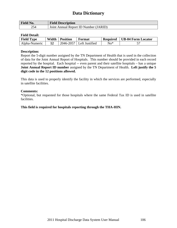| <b>Field No.</b> | <b>Field Description</b>              |
|------------------|---------------------------------------|
| 254              | Joint Annual Report ID Number (JARID) |

### **Field Detail:**

| <b>Field Type</b> | Width | <b>Position</b> | Format                       | <b>Required</b> | UB-04 Form Locator |
|-------------------|-------|-----------------|------------------------------|-----------------|--------------------|
| Alpha-Numeric     |       |                 | $2046 - 2057$ Left Justified | $No*$           |                    |

### **Description:**

Report the 5-digit number assigned by the TN Department of Health that is used in the collection of data for the Joint Annual Report of Hospitals. This number should be provided in each record reported by the hospital. Each hospital -- even parent and their satellite hospitals – has a unique **Joint Annual Report ID number** assigned by the TN Department of Health. **Left justify the 5 digit code in the 12 positions allowed.** 

This data is used to properly identify the facility in which the services are performed, especially in satellite facilities.

#### **Comments:**

\*Optional, but requested for those hospitals where the same Federal Tax ID is used in satellite facilities.

### **This field is required for hospitals reporting through the THA-HIN.**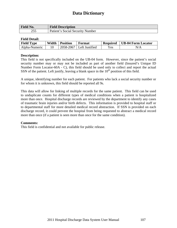| <b>Field No.</b> | <b>Field Description</b>         |
|------------------|----------------------------------|
| ن ب              | Patient's Social Security Number |

### **Field Detail:**

| <b>Field Type</b> | Width | <b>Position</b> | Format                     | <b>Required</b> | <b>UB-04 Form Locator</b> |
|-------------------|-------|-----------------|----------------------------|-----------------|---------------------------|
| Alpha-Numeric     |       |                 | $2058-2067$ Left Justified | Yes             | N/A                       |

### **Description:**

This field is not specifically included on the UB-04 form. However, since the patient's social security number may or may not be included as part of another field (Insured's Unique ID Number Form Locator-60A - C), this field should be used only to collect and report the actual SSN of the patient. Left justify, leaving a blank space in the  $10<sup>th</sup>$  position of this field.

A unique, identifying number for each patient. For patients who lack a social security number or for whom it is unknown, this field should be reported all 9s.

This data will allow for linking of multiple records for the same patient. This field can be used to unduplicate counts for different types of medical conditions when a patient is hospitalized more than once. Hospital discharge records are reviewed by the department to identify any cases of traumatic brain injuries and/or birth defects. This information is provided to hospital staff or to departmental staff for more detailed medical record abstraction. If SSN is provided on each discharge record, it could prevent the hospital from being requested to abstract a medical record more than once (if a patient is seen more than once for the same condition).

### **Comments:**

This field is confidential and not available for public release.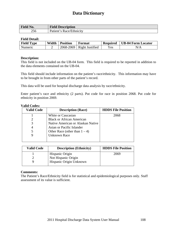| <b>Field No.</b> | <b>Field Description</b> |
|------------------|--------------------------|
| 256              | Patient's Race/Ethnicity |

### **Field Detail:**

| <b>Field Type</b> | Width | <b>Position</b> | Format                      | <b>Required</b>                | <b>UB-04 Form Locator</b> |
|-------------------|-------|-----------------|-----------------------------|--------------------------------|---------------------------|
| Numeric           |       |                 | $2068-2069$ Right Justified | $\mathbf{v}_{\rm \mathbf{es}}$ | N/A                       |

### **Description:**

This field is not included on the UB-04 form. This field is required to be reported in addition to the data elements contained on the UB-04.

This field should include information on the patient's race/ethnicity. This information may have to be brought in from other parts of the patient's record.

This data will be used for hospital discharge data analysis by race/ethnicity.

Enter patient's race and ethnicity (2 parts). Put code for race in position 2068. Put code for ethnicity in position 2069.

| anu vvuvs         |                                   |                           |
|-------------------|-----------------------------------|---------------------------|
| <b>Valid Code</b> | <b>Description (Race)</b>         | <b>HDDS</b> File Position |
|                   | White or Caucasian                | 2068                      |
|                   | <b>Black or African American</b>  |                           |
|                   | Native American or Alaskan Native |                           |
|                   | Asian or Pacific Islander         |                           |
| 5                 | Other Race (other than $1 - 4$ )  |                           |
|                   | <b>Unknown Race</b>               |                           |
|                   |                                   |                           |

## **Valid Codes:**

| <b>Valid Code</b> | <b>Description (Ethnicity)</b> | <b>HDDS</b> File Position |
|-------------------|--------------------------------|---------------------------|
|                   | Hispanic Origin                | 2069                      |
|                   | Not Hispanic Origin            |                           |
|                   | Hispanic Origin Unknown        |                           |

### **Comments:**

The Patient's Race/Ethnicity field is for statistical and epidemiological purposes only. Staff assessment of its value is sufficient.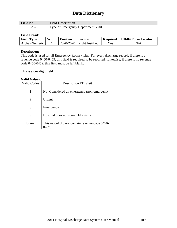| <b>Field No.</b>                | <b>Field Description</b>           |
|---------------------------------|------------------------------------|
| つよつ<br>$\overline{\phantom{a}}$ | Type of Emergency Department Visit |

### **Field Detail:**

| <b>Field Type</b> | Width | <b>Position</b> | Format                      | <b>Required</b> | <b>UB-04 Form Locator</b> |
|-------------------|-------|-----------------|-----------------------------|-----------------|---------------------------|
| Alpha -Numeric    |       |                 | $2070-2070$ Right Justified | Y es            | N/A                       |

### **Description:**

This code is used for all Emergency Room visits. For every discharge record, if there is a revenue code 0450-0459, this field is required to be reported. Likewise, if there is no revenue code 0450-0459, this field must be left blank.

This is a one digit field.

#### **Valid Values:**

| <b>Valid Codes</b> | <b>Description ED Visit</b>                    |
|--------------------|------------------------------------------------|
| 1                  | Not Considered an emergency (non-emergent)     |
| 2                  | Urgent                                         |
| 3                  | Emergency                                      |
| 9                  | Hospital does not screen ED visits             |
| <b>Blank</b>       | This record did not contain revenue code 0450- |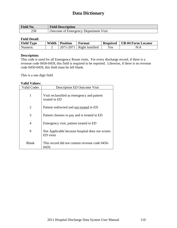| <b>Field No.</b> | <b>Field Description</b>                     |
|------------------|----------------------------------------------|
| 258              | <b>Outcome of Emergency Department Visit</b> |

### **Field Detail:**

| <b>Field Type</b> | Width | <b>Position</b> | Format          | <b>Required</b> | UB-04 Form Locator |
|-------------------|-------|-----------------|-----------------|-----------------|--------------------|
| Numeric           |       | 2071-2071       | Right Justified | Yes             | N/A                |

### **Description:**

This code is used for all Emergency Room visits. For every discharge record, if there is a revenue code 0450-0459, this field is required to be reported. Likewise, if there is no revenue code 0450-0459, this field must be left blank.

This is a one digit field

### **Valid Values:**

| <b>Valid Codes</b> | <b>Description ED Outcome Visit</b>                          |
|--------------------|--------------------------------------------------------------|
| 1                  | Visit reclassified as emergency and patient<br>treated in ED |
| 2                  | Patient redirected and not treated in ED                     |
| 3                  | Patient chooses to pay and is treated in ED                  |
| 4                  | Emergency visit, patient treated in ED                       |
| 9                  | Not Applicable because hospital does not screen<br>ED visits |
| Blank              | This record did not contain revenue code 0450-<br>)459.      |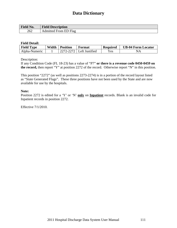| $\Gamma$<br><b>Field</b> 1<br><b>NO.</b> | T.<br><b>Field Description</b> |
|------------------------------------------|--------------------------------|
| 262                                      | dmitted<br>Flag<br>. From<br>. |

### **Field Detail:**

| <b>Field Type</b> | Width | <b>Position</b> | Format                       | <b>Required</b> | <b>UB-04 Form Locator</b> |
|-------------------|-------|-----------------|------------------------------|-----------------|---------------------------|
| Alpha-Numeric     |       |                 | $2272 - 2272$ Left Justified | Yes             | NA                        |

Description:

If any Condition Code (FL 18-23) has a value of "P7" **or there is a revenue code 0450-0459 on the record,** then report "Y" at position 2272 of the record. Otherwise report "N" in this position.

This position "2272" (as well as positions 2273-2274) is in a portion of the record layout listed as "State Generated Flags". These three positions have not been used by the State and are now available for use by the hospitals.

#### **Note:**

Position 2272 is edited for a 'Y' or 'N' **only** on **Inpatient** records. Blank is an invalid code for Inpatient records in position 2272.

Effective 7/1/2010.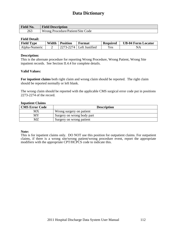| <b>Field No.</b> | <b>Field Description</b>          |
|------------------|-----------------------------------|
| 263              | Wrong Procedure/Patient/Site Code |

### **Field Detail:**

| <b>Field Type</b> | Width | <b>Position</b> | Format         | <b>Required</b>    | <b>UB-04 Form Locator</b> |
|-------------------|-------|-----------------|----------------|--------------------|---------------------------|
| Alpha-Numeric     |       | 2274            | Left Justified | ${\rm v}_{\rm es}$ | $N_A$                     |

### **Description:**

This is the alternate procedure for reporting Wrong Procedure, Wrong Patient, Wrong Site inpatient records. See Section II.4.4 for complete details.

### **Valid Values:**

**For inpatient claims** both right claim and wrong claim should be reported. The right claim should be reported normally or left blank.

The wrong claim should be reported with the applicable CMS surgical error code put in positions 2273-2274 of the record.

### **Inpatient Claims**

| <b>CMS Error Code</b> | <b>Description</b>         |
|-----------------------|----------------------------|
| МX                    | Wrong surgery on patient   |
| MY                    | Surgery on wrong body part |
| MZ                    | Surgery on wrong patient   |

### **Note:**

This is for inpatient claims only. DO NOT use this position for outpatient claims. For outpatient claims, if there is a wrong site/wrong patient/wrong procedure event, report the appropriate modifiers with the appropriate CPT/HCPCS code to indicate this.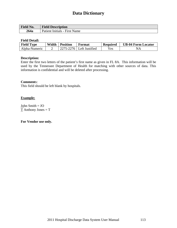| <b>Field No.</b> | <b>Field Description</b>         |
|------------------|----------------------------------|
| 264a             | Patient Initials - First<br>Name |

### **Field Detail:**

| <b>Field Type</b> | Width | <b>Position</b> | Format                       | <b>Required</b> | <b>UB-04 Form Locator</b> |
|-------------------|-------|-----------------|------------------------------|-----------------|---------------------------|
| Alpha-Numeric     |       |                 | $2275 - 2276$ Left Justified | Yes             | NА                        |

### **Description:**

Enter the first two letters of the patient's first name as given in FL 8A. This information will be used by the Tennessee Department of Health for matching with other sources of data. This information is confidential and will be deleted after processing.

### **Comment**s:

This field should be left blank by hospitals.

### **Example:**

John Smith = JO  $\overline{T}$  Anthony Jones = T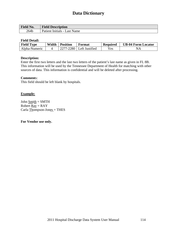| <b>Field No.</b> | <b>Field Description</b>                  |
|------------------|-------------------------------------------|
| 264b             | <b>Name</b><br>Patient Initials -<br>Last |

### **Field Detail:**

| <b>Field Type</b> | Width | <b>Position</b> | Format           | <b>Required</b> | <b>UB-04 Form Locator</b> |
|-------------------|-------|-----------------|------------------|-----------------|---------------------------|
| Alpha-Numeric     |       | 2277-2280       | I Left Justified | Yes             | $N_A$                     |

### **Description:**

Enter the first two letters and the last two letters of the patient's last name as given in FL 8B. This information will be used by the Tennessee Department of Health for matching with other sources of data. This information is confidential and will be deleted after processing.

### **Comment**s:

This field should be left blank by hospitals.

### **Example:**

John  $\underline{\text{Smith}} = \text{SMTH}$ Robert  $\text{Ray} = \text{RAY}$ Carla Thompson-Jones = THES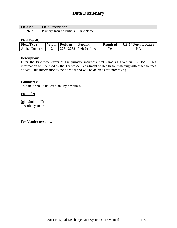| <b>Field No.</b> | <b>Field Description</b>                 |
|------------------|------------------------------------------|
| 265a             | Insured Initials – First Name<br>Primary |

### **Field Detail:**

| <b>Field Type</b> | Width | <b>Position</b> | Format         | <b>Required</b> | <b>UB-04 Form Locator</b> |
|-------------------|-------|-----------------|----------------|-----------------|---------------------------|
| Alpha-Numeric     |       | 2282<br>2281-2  | Left Justified | Yes             | $N_{f}$                   |

### **Description:**

Enter the first two letters of the primary insured's first name as given in FL 58A. This information will be used by the Tennessee Department of Health for matching with other sources of data. This information is confidential and will be deleted after processing.

### **Comment**s:

This field should be left blank by hospitals.

### **Example:**

 $J_0$ hn Smith = JO  $\underline{T}$  Anthony Jones = T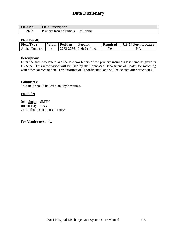| <b>Field No.</b> | <b>Field Description</b>                          |
|------------------|---------------------------------------------------|
| 265 <sub>b</sub> | <b>Name</b><br>-Insured Initials -Last<br>Primary |

### **Field Detail:**

| <b>Field Type</b> | Width | <b>Position</b> | Format         | <b>Required</b> | <b>UB-04 Form Locator</b> |
|-------------------|-------|-----------------|----------------|-----------------|---------------------------|
| Alpha-Numeric     |       | 2283-2<br>-2286 | Left Justified | $\rm{v}_{es}$   | $N_{\iota}$               |

### **Description:**

Enter the first two letters and the last two letters of the primary insured's last name as given in FL 58A. This information will be used by the Tennessee Department of Health for matching with other sources of data. This information is confidential and will be deleted after processing.

### **Comment**s:

This field should be left blank by hospitals.

#### **Example:**

John  $\underline{\text{Smith}} = \text{SMTH}$ Robert  $\text{Ray} = \text{RAY}$ Carla Thompson-Jones = THES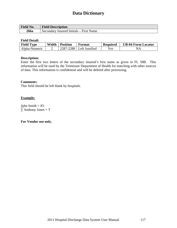| <b>Field No.</b> | <b>Field Description</b>                |
|------------------|-----------------------------------------|
| 266a             | Secondary Insured Initials – First Name |

### **Field Detail:**

| <b>Field Type</b> | Width | <b>Position</b> | Format         | <b>Required</b> | <b>UB-04 Form Locator</b> |
|-------------------|-------|-----------------|----------------|-----------------|---------------------------|
| Alpha-Numeric     |       | 2288            | Left Justified | $\epsilon$ s    | $N_A$                     |

### **Description:**

Enter the first two letters of the secondary insured's first name as given in FL 58B. This information will be used by the Tennessee Department of Health for matching with other sources of data. This information is confidential and will be deleted after processing.

#### **Comment**s:

This field should be left blank by hospitals.

### **Example:**

John Smith = JO  $\overline{T}$  Anthony Jones = T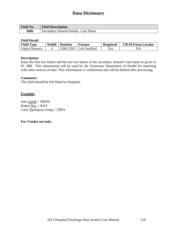| <b>Field No.</b> | <b>Field Description</b>               |
|------------------|----------------------------------------|
| <b>266b</b>      | Secondary Insured Initials – Last Name |

### **Field Detail:**

| <b>Field Type</b> | Width | <b>Position</b> | Format           | Required | <b>UB-04 Form Locator</b> |
|-------------------|-------|-----------------|------------------|----------|---------------------------|
| Alpha-Numeric     |       | 2289-2292       | I Left Justified | Yes      | $N_{\Delta}$              |

### **Description:**

Enter the first two letters and the last two letters of the secondary insured's last name as given in FL 58B. This information will be used by the Tennessee Department of Health for matching with other sources of data. This information is confidential and will be deleted after processing.

#### **Comment**s:

This field should be left blank by hospitals.

### **Example:**

John  $\text{Smith} = \text{SMTH}$ Robert  $\text{Ray} = \text{RAY}$ Carla Thompson-Jones = THES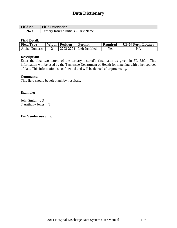| Field No. | <b>Field Description</b>                           |
|-----------|----------------------------------------------------|
| 267a      | Insured Initials – First Name<br>Tertiary $\lceil$ |

### **Field Detail:**

| <b>Field Type</b> | Width | <b>Position</b> | Format                     | <b>Required</b> | <b>UB-04 Form Locator</b> |
|-------------------|-------|-----------------|----------------------------|-----------------|---------------------------|
| Alpha-Numeric     |       |                 | $2293-2294$ Left Justified | Yes             | NА                        |

### **Description:**

Enter the first two letters of the tertiary insured's first name as given in FL 58C. This information will be used by the Tennessee Department of Health for matching with other sources of data. This information is confidential and will be deleted after processing.

#### **Comment**s:

This field should be left blank by hospitals.

### **Example:**

John Smith = JO  $T$  Anthony Jones =  $T$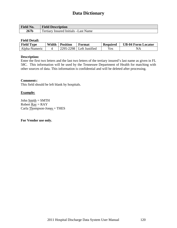| <b>Field No.</b> | <b>Field Description</b>                          |
|------------------|---------------------------------------------------|
| 267 <sub>b</sub> | Tertiary $\lceil$<br>Insured Initials – Last Name |

### **Field Detail:**

| <b>Field Type</b> | Width | <b>Position</b> | Format         | <b>Required</b> | <b>UB-04 Form Locator</b> |
|-------------------|-------|-----------------|----------------|-----------------|---------------------------|
| Alpha-Numeric     |       | 2295.7<br>2298  | Left Justified | Yes             | $N_{L}$                   |

### **Description:**

Enter the first two letters and the last two letters of the tertiary insured's last name as given in FL 58C. This information will be used by the Tennessee Department of Health for matching with other sources of data. This information is confidential and will be deleted after processing.

### **Comment**s:

This field should be left blank by hospitals.

### **Example:**

John Smith = SMTH Robert  $\text{Ray} = \text{RAY}$ Carla Thompson-Jones = THES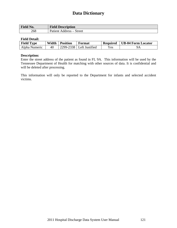| Field No. | <b>Field Description</b>                                          |
|-----------|-------------------------------------------------------------------|
| 268       | Street<br>Patient<br>Address<br>$\overline{\phantom{0}}$<br>ultoo |

### **Field Detail:**

| <b>Field Type</b> | Width | <b>Position</b> | Format                       | <b>Required</b> | <b>UB-04 Form Locator</b> |
|-------------------|-------|-----------------|------------------------------|-----------------|---------------------------|
| Alpha Numeric     | 40    |                 | $2299 - 2338$ Left Justified | Yes.            | 9А                        |

### **Description:**

Enter the street address of the patient as found in FL 9A. This information will be used by the Tennessee Department of Health for matching with other sources of data. It is confidential and will be deleted after processing.

This information will only be reported to the Department for infants and selected accident victims.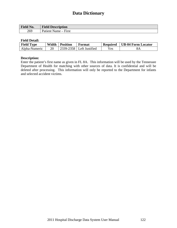| Field No. | <b>Field Description</b> |
|-----------|--------------------------|
| 269       | – First<br>'atient Name  |

#### **Field Detail:**

| <b>Field Type</b> | Width | <b>Position</b> | Format                       | <b>Required</b> | UB-04 Form Locator |
|-------------------|-------|-----------------|------------------------------|-----------------|--------------------|
| Alpha-Numeric     | 20    |                 | $2339 - 2358$ Left Justified | Yes             | 8A                 |

### **Description:**

Enter the patient's first name as given in FL 8A. This information will be used by the Tennessee Department of Health for matching with other sources of data. It is confidential and will be deleted after processing. This information will only be reported to the Department for infants and selected accident victims.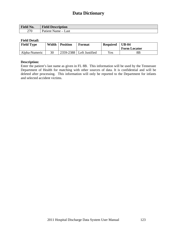| Field No. | <b>Field Description</b>                         |
|-----------|--------------------------------------------------|
| 270       | Last<br>Patient Name<br>$\overline{\phantom{a}}$ |

### **Field Detail:**

| <b>Field Type</b> | Width | <b>Position</b> | Format                     | <b>Required</b> | $UB-04$             |
|-------------------|-------|-----------------|----------------------------|-----------------|---------------------|
|                   |       |                 |                            |                 | <b>Form Locator</b> |
| Alpha-Numeric     | 30    |                 | 2359-2388   Left Justified | $v_{es}$        | 8Β                  |

#### **Description:**

Enter the patient's last name as given in FL 8B. This information will be used by the Tennessee Department of Health for matching with other sources of data. It is confidential and will be deleted after processing. This information will only be reported to the Department for infants and selected accident victims.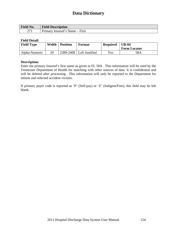| Field No.   | <b>Field Description</b>                                |
|-------------|---------------------------------------------------------|
| $\sqrt{71}$ | $\sim$<br>First<br>Primary<br>. Insured s<br>Name $-$ . |

### **Field Detail:**

| <b>Field Type</b> | Width | <b>Position</b> | Format                     | <b>Required</b> | $UB-04$             |
|-------------------|-------|-----------------|----------------------------|-----------------|---------------------|
|                   |       |                 |                            |                 | <b>Form Locator</b> |
| Alpha-Numeric     | 20    |                 | 2389-2408   Left Justified | $v_{es}$        | 58A                 |

### **Description:**

Enter the primary Insured's first name as given in FL 58A. This information will be used by the Tennessee Department of Health for matching with other sources of data. It is confidential and will be deleted after processing. This information will only be reported to the Department for infants and selected accident victims.

If primary payer code is reported as 'P' (Self-pay) or 'Z' (Indigent/Free), this field may be left blank.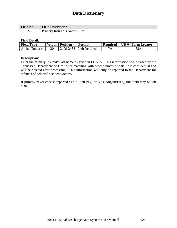| Field No. | <b>Field Description</b>              |
|-----------|---------------------------------------|
| $\cap$    | Primary<br>Insured's Name $-$<br>Last |

### **Field Detail:**

| <b>Field Type</b> | Width | <b>Position</b> | Format                       | <b>Required</b> | <b>UB-04 Form Locator</b> |
|-------------------|-------|-----------------|------------------------------|-----------------|---------------------------|
| Alpha-Numeric     | 30    |                 | $2409 - 2438$ Left Justified | Yes             | 58A                       |

### **Description:**

Enter the primary Insured's last name as given in FL 58A. This information will be used by the Tennessee Department of Health for matching with other sources of data. It is confidential and will be deleted after processing. This information will only be reported to the Department for infants and selected accident victims.

If primary payer code is reported as 'P' (Self-pay) or 'Z' (Indigent/Free), this field may be left blank.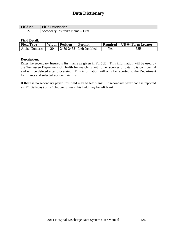| Field No.     | <b>Field Description</b>         |
|---------------|----------------------------------|
| $\cap$<br>ں ا | Secondary Insured's Name – First |

### **Field Detail:**

| <b>Field Type</b> | Width | <b>Position</b> | Format         | <b>Required</b> | <b>UB-04 Form Locator</b> |
|-------------------|-------|-----------------|----------------|-----------------|---------------------------|
| Alpha-Numeric     | 20    | 2439-2458       | Left Justified | Yes             | 58B                       |

### **Description:**

Enter the secondary Insured's first name as given in FL 58B. This information will be used by the Tennessee Department of Health for matching with other sources of data. It is confidential and will be deleted after processing. This information will only be reported to the Department for infants and selected accident victims.

If there is no secondary payer, this field may be left blank. If secondary payer code is reported as 'P' (Self-pay) or 'Z' (Indigent/Free), this field may be left blank.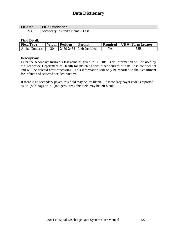| <b>Field No.</b> | <b>Field Description</b>        |
|------------------|---------------------------------|
| 274              | Secondary Insured's Name – Last |

### **Field Detail:**

| <b>Field Type</b> | Width | <b>Position</b> | Format         | <b>Required</b> | <b>UB-04 Form Locator</b> |
|-------------------|-------|-----------------|----------------|-----------------|---------------------------|
| Alpha-Numeric     | 30    | 2459-2488       | Left Justified | $\rm\,Yes$      | 58B                       |

### **Description:**

Enter the secondary Insured's last name as given in FL 58B. This information will be used by the Tennessee Department of Health for matching with other sources of data. It is confidential and will be deleted after processing. This information will only be reported to the Department for infants and selected accident victims.

If there is no secondary payer, this field may be left blank. If secondary payer code is reported as 'P' (Self-pay) or 'Z' (Indigent/Free), this field may be left blank.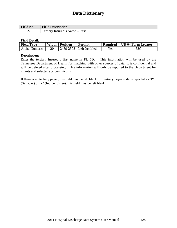| <b>Field No.</b> | <b>Field Description</b>                                    |
|------------------|-------------------------------------------------------------|
| תרמ<br>213       | $\mathbf{r}$<br><b>First</b><br>ertiary<br>Insured's Name – |

### **Field Detail:**

| <b>Field Type</b> | Width | <b>Position</b> | Format         | <b>Required</b> | <b>UB-04 Form Locator</b> |
|-------------------|-------|-----------------|----------------|-----------------|---------------------------|
| Alpha-Numeric     | 20    | 2489-2508       | Left Justified | Yes             | 58C                       |

### **Description:**

Enter the tertiary Insured's first name in FL 58C. This information will be used by the Tennessee Department of Health for matching with other sources of data. It is confidential and will be deleted after processing. This information will only be reported to the Department for infants and selected accident victims.

If there is no tertiary payer, this field may be left blank. If tertiary payer code is reported as 'P' (Self-pay) or 'Z' (Indigent/Free), this field may be left blank.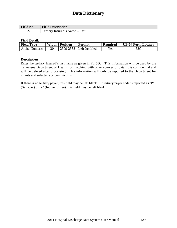| <b>Field No.</b> | <b>Field Description</b>                        |
|------------------|-------------------------------------------------|
| 276              | Tertiary $\lceil$<br>Insured's Name $-$<br>Last |

### **Field Detail:**

| <b>Field Type</b> | Width | <b>Position</b> | Format         | <b>Required</b>                | <b>UB-04 Form Locator</b> |
|-------------------|-------|-----------------|----------------|--------------------------------|---------------------------|
| Alpha-Numeric     | 30    | 2509-2538       | Left Justified | $\mathbf{v}_{\rm \mathbf{es}}$ | 58C                       |

### **Description**

Enter the tertiary Insured's last name as given in FL 58C. This information will be used by the Tennessee Department of Health for matching with other sources of data. It is confidential and will be deleted after processing. This information will only be reported to the Department for infants and selected accident victims.

If there is no tertiary payer, this field may be left blank. If tertiary payer code is reported as 'P' (Self-pay) or 'Z' (Indigent/Free), this field may be left blank.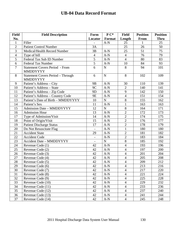| <b>Field</b>   | <b>Field Description</b>                          | Form                     | $P C^*$     | <b>Field</b>   | <b>Position</b> | <b>Position</b> |
|----------------|---------------------------------------------------|--------------------------|-------------|----------------|-----------------|-----------------|
| No.            |                                                   | Locator                  | Format      | Length         | From            | <b>Thru</b>     |
| 1              | Filler                                            |                          | $A-N$       | 25             | 1               | 25              |
| $\overline{2}$ | <b>Patient Control Number</b>                     | 3A                       |             | 25             | 26              | 50              |
| $\overline{3}$ | Medical/Health Record Number                      | 3B                       | $A-N$       | 25             | $\overline{51}$ | 75              |
| $\overline{4}$ | Type of bill                                      | $\overline{4}$           | $A-N$       | $\overline{4}$ | 76              | 79              |
| $\overline{5}$ | Federal Tax Sub ID Number                         | $\overline{5}$           | $A-N$       | $\overline{4}$ | 80              | 83              |
| 6              | <b>Federal Tax Number</b>                         | $\overline{5}$           | $A-N$       | 10             | 84              | 93              |
| $\overline{7}$ | <b>Statement Covers Period - From</b><br>MMDDYYYY | 6                        | ${\bf N}$   | 8              | 94              | 101             |
| 8              | Statement Covers Period - Through<br>MMDDYYYY     | 6                        | $\mathbf N$ | 8              | 102             | 109             |
| 9              | Patient's Address - City                          | <b>9B</b>                | $A-N$       | 30             | 110             | 139             |
| 10             | Patient's Address - State                         | 9C                       | $A-N$       | $\overline{2}$ | 140             | 141             |
| 11             | Patient's Address - Zip Code                      | 9D                       | $A-N$       | 9              | 142             | 150             |
| 12             | Patient's Address - Country Code                  | <b>9E</b>                | $A-N$       | $\overline{4}$ | 151             | 154             |
| 13             | Patient's Date of Birth - MMDDYYYY                | 10                       | $\mathbf N$ | 8              | 155             | 162             |
| 14             | Patient's Sex                                     | 11                       | $A-N$       | $\mathbf{1}$   | 163             | 163             |
| 15             | <b>Admission Date - MMDDYYYY</b>                  | 12                       | $\mathbf N$ | 8              | 164             | 171             |
| 16             | <b>Admission Hour</b>                             | 13                       | $A-N$       | $\overline{2}$ | 172             | 173             |
| 17             | Type of Admission/Visit                           | 14                       | $A-N$       | $\overline{2}$ | 174             | 175             |
| 18             | Point of Origin/Visit                             | 15                       | $A-N$       | $\overline{2}$ | 176             | 177             |
| 19             | Patient Discharge Status                          | $\overline{17}$          | $A-N$       | $\overline{2}$ | 178             | 179             |
| 20             | Do Not Resuscitate Flag                           | $\overline{a}$           | $A-N$       | $\mathbf{1}$   | 180             | 180             |
| 21             | <b>Accident State</b>                             | 29                       | $A-N$       | $\overline{2}$ | 181             | 182             |
| 22             | <b>Accident Code</b>                              | $\overline{\phantom{a}}$ | $A-N$       | $\overline{2}$ | 183             | 184             |
| 23             | <b>Accident Date - MMDDYYYY</b>                   |                          | $\mathbf N$ | $\overline{8}$ | 185             | 192             |
| 24             | Revenue Code (1)                                  | 42                       | $A-N$       | $\overline{4}$ | 193             | 196             |
| 25             | Revenue Code (2)                                  | 42                       | $A-N$       | $\overline{4}$ | 197             | 200             |
| 26             | Revenue Code (3)                                  | 42                       | $A-N$       | $\overline{4}$ | 201             | 204             |
| 27             | Revenue Code (4)                                  | 42                       | $A-N$       | $\overline{4}$ | 205             | 208             |
| $28\,$         | Revenue Code (5)                                  | 42                       | $A-N$       | $\overline{4}$ | 209             | 212             |
| 29             | Revenue Code (6)                                  | 42                       | $A-N$       | $\overline{4}$ | 213             | 216             |
| 30             | Revenue Code (7)                                  | 42                       | $A-N$       | $\overline{4}$ | 217             | 220             |
| 31             | Revenue Code (8)                                  | 42                       | $A-N$       | $\overline{4}$ | 221             | 224             |
| 32             | Revenue Code (9)                                  | 42                       | $A-N$       | 4              | 225             | 228             |
| 33             | Revenue Code (10)                                 | 42                       | $A-N$       | $\overline{4}$ | 229             | 232             |
| 34             | Revenue Code (11)                                 | 42                       | $A-N$       | $\overline{4}$ | 233             | 236             |
| 35             | Revenue Code (12)                                 | 42                       | $A-N$       | $\overline{4}$ | 237             | 240             |
| 36             | Revenue Code (13)                                 | 42                       | $A-N$       | $\overline{4}$ | 241             | 244             |
| 37             | Revenue Code (14)                                 | 42                       | $A-N$       | $\overline{4}$ | 245             | 248             |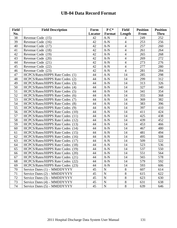| <b>Field</b> | <b>Field Description</b>          | Form    | $P C^*$       | <b>Field</b>             | <b>Position</b> | <b>Position</b> |
|--------------|-----------------------------------|---------|---------------|--------------------------|-----------------|-----------------|
| No.          |                                   | Locator | <b>Format</b> | Length                   | <b>From</b>     | <b>Thru</b>     |
| 38           | Revenue Code (15)                 | 42      | $A-N$         | 4                        | 249             | 252             |
| 39           | Revenue Code (16)                 | 42      | $A-N$         | $\overline{4}$           | 253             | 256             |
| 40           | Revenue Code (17)                 | 42      | $A-N$         | $\overline{\mathcal{A}}$ | 257             | 260             |
| 41           | Revenue Code (18)                 | 42      | $A-N$         | 4                        | 261             | 264             |
| 42           | Revenue Code (19)                 | 42      | $A-N$         | $\overline{\mathcal{A}}$ | 265             | 268             |
| 43           | Revenue Code (20)                 | 42      | $A-N$         | $\overline{4}$           | 269             | 272             |
| 44           | Revenue Code (21)                 | 42      | $A-N$         | $\overline{\mathcal{L}}$ | 273             | 276             |
| 45           | Revenue Code (22)                 | 42      | $A-N$         | $\overline{4}$           | 277             | 280             |
| 46           | Revenue Code (23)                 | 42      | $A-N$         | $\overline{4}$           | 281             | 284             |
| 47           | HCPCS/Rates/HIPPS Rate Codes (1)  | 44      | $A-N$         | 14                       | 285             | 298             |
| 48           | HCPCS/Rates/HIPPS Rate Codes (2)  | 44      | $A-N$         | 14                       | 299             | 312             |
| 49           | HCPCS/Rates/HIPPS Rate Codes (3)  | 44      | $A-N$         | 14                       | 313             | 326             |
| 50           | HCPCS/Rates/HIPPS Rate Codes (4)  | 44      | $A-N$         | 14                       | 327             | 340             |
| 51           | HCPCS/Rates/HIPPS Rate Codes (5)  | 44      | $A-N$         | 14                       | 341             | 354             |
| 52           | HCPCS/Rates/HIPPS Rate Codes (6)  | 44      | $A-N$         | 14                       | 355             | 368             |
| 53           | HCPCS/Rates/HIPPS Rate Codes (7)  | 44      | $A-N$         | 14                       | 369             | 382             |
| 54           | HCPCS/Rates/HIPPS Rate Codes (8)  | 44      | $A-N$         | 14                       | 383             | 396             |
| 55           | HCPCS/Rates/HIPPS Rate Codes (9)  | 44      | $A-N$         | 14                       | 397             | 410             |
| 56           | HCPCS/Rates/HIPPS Rate Codes (10) | 44      | $A-N$         | 14                       | 411             | 424             |
| 57           | HCPCS/Rates/HIPPS Rate Codes (11) | 44      | $A-N$         | 14                       | 425             | 438             |
| 58           | HCPCS/Rates/HIPPS Rate Codes (12) | 44      | $A-N$         | 14                       | 439             | 452             |
| 59           | HCPCS/Rates/HIPPS Rate Codes (13) | 44      | $A-N$         | 14                       | 453             | 466             |
| 60           | HCPCS/Rates/HIPPS Rate Codes (14) | 44      | $A-N$         | 14                       | 467             | 480             |
| 61           | HCPCS/Rates/HIPPS Rate Codes (15) | 44      | $A-N$         | 14                       | 481             | 494             |
| 62           | HCPCS/Rates/HIPPS Rate Codes (16) | 44      | $A-N$         | 14                       | 495             | 508             |
| 63           | HCPCS/Rates/HIPPS Rate Codes (17) | 44      | $A-N$         | 14                       | 509             | 522             |
| 64           | HCPCS/Rates/HIPPS Rate Codes (18) | 44      | $A-N$         | 14                       | 523             | 536             |
| 65           | HCPCS/Rates/HIPPS Rate Codes (19) | 44      | $A-N$         | 14                       | 537             | 550             |
| 66           | HCPCS/Rates/HIPPS Rate Codes (20) | 44      | $A-N$         | 14                       | 551             | 564             |
| 67           | HCPCS/Rates/HIPPS Rate Codes (21) | 44      | $A-N$         | 14                       | 565             | 578             |
| 68           | HCPCS/Rates/HIPPS Rate Codes (22) | 44      | $A-N$         | 14                       | 579             | 592             |
| 69           | HCPCS/Rates/HIPPS Rate Codes (23) | 44      | $A-N$         | 14                       | 593             | 606             |
| 70           | Service Dates (1) - MMDDYYYY      | 45      | $\mathbf N$   | 8                        | 607             | 614             |
| 71           | Service Dates (2) – MMDDYYYY      | 45      | $\mathbf N$   | 8                        | 615             | 622             |
| 72           | Service Dates (3) – MMDDYYYY      | 45      | N             | 8                        | 623             | 630             |
| 73           | Service Dates (4) – MMDDYYYY      | 45      | $\mathbf N$   | 8                        | 631             | 638             |
| 74           | Service Dates (5) – MMDDYYYY      | 45      | $\mathbf N$   | 8                        | 639             | 646             |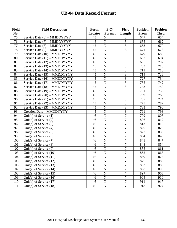| <b>Field</b> | <b>Field Description</b>     | Form    | $P C^*$        | <b>Field</b>   | <b>Position</b> | <b>Position</b> |
|--------------|------------------------------|---------|----------------|----------------|-----------------|-----------------|
| No.          |                              | Locator | Format         | Length         | From            | <b>Thru</b>     |
| 75           | Service Date (6) – MMDDYYYY  | 45      | N              | 8              | 647             | 654             |
| 76           | Service Date (7) – MMDDYYYY  | 45      | $\overline{N}$ | 8              | 655             | 662             |
| 77           | Service Date (8) – MMDDYYYY  | 45      | $\mathbf N$    | 8              | 663             | 670             |
| 78           | Service Date (9) – MMDDYYYY  | 45      | $\mathbf N$    | 8              | 671             | 678             |
| 79           | Service Date (10) – MMDDYYYY | 45      | $\mathbf N$    | $8\,$          | 679             | 686             |
| 80           | Service Date (11) – MMDDYYYY | 45      | $\mathbf N$    | $\overline{8}$ | 687             | 694             |
| 81           | Service Date (12) – MMDDYYYY | 45      | $\mathbf N$    | 8              | 695             | 702             |
| 82           | Service Date (13) - MMDDYYYY | 45      | $\mathbf N$    | 8              | 703             | 710             |
| 83           | Service Date (14) – MMDDYYYY | 45      | $\mathbf N$    | $8\,$          | 711             | 718             |
| 84           | Service Date (15) – MMDDYYYY | 45      | N              | 8              | 719             | 726             |
| 85           | Service Date (16) – MMDDYYYY | 45      | N              | $\overline{8}$ | 727             | 734             |
| 86           | Service Date (17) - MMDDYYYY | 45      | N              | 8              | 735             | 742             |
| 87           | Service Date (18) – MMDDYYYY | 45      | N              | 8              | 743             | 750             |
| 88           | Service Date (19) – MMDDYYYY | 45      | N              | 8              | 751             | 758             |
| 89           | Service Date (20) - MMDDYYYY | 45      | $\mathbf N$    | 8              | 759             | 766             |
| 90           | Service Date (21) – MMDDYYYY | 45      | $\mathbf N$    | 8              | 767             | 774             |
| 91           | Service Date (22) – MMDDYYYY | 45      | N              | 8              | 775             | 782             |
| 92           | Service Date (23) – MMDDYYYY | 45      | $\mathbf N$    | 8              | 783             | 790             |
| 93           | Creation Date - MMDDYYYY     | 45      | $\mathbf N$    | 8              | 791             | 798             |
| 94           | Unit(s) of Service $(1)$     | 46      | N              | $\overline{7}$ | 799             | 805             |
| 95           | Unit(s) of Service $(2)$     | 46      | $\mathbf N$    | 7              | 806             | 812             |
| 96           | Unit(s) of Service $(3)$     | 46      | N              | $\overline{7}$ | 813             | 819             |
| 97           | Unit(s) of Service $(4)$     | 46      | $\mathbf N$    | $\overline{7}$ | 820             | 826             |
| 98           | Unit(s) of Service $(5)$     | 46      | N              | 7              | 827             | 833             |
| 99           | Unit(s) of Service $(6)$     | 46      | $\mathbf N$    | $\overline{7}$ | 834             | 840             |
| 100          | Unit(s) of Service (7)       | 46      | N              | $\overline{7}$ | 841             | 847             |
| 101          | Unit(s) of Service $(8)$     | 46      | $\mathbf N$    | $\overline{7}$ | 848             | 854             |
| 102          | Unit(s) of Service $(9)$     | 46      | N              | $\overline{7}$ | 855             | 861             |
| 103          | Unit(s) of Service $(10)$    | 46      | $\mathbf N$    | $\overline{7}$ | 862             | 868             |
| 104          | Unit(s) of Service $(11)$    | 46      | N              | 7              | 869             | 875             |
| 105          | Unit(s) of Service $(12)$    | 46      | N              | 7              | 876             | 882             |
| 106          | Unit(s) of Service $(13)$    | 46      | $\mathbf N$    | $\overline{7}$ | 883             | 889             |
| 107          | Unit(s) of Service $(14)$    | 46      | $\mathbf N$    | $\overline{7}$ | 890             | 896             |
| 108          | Unit(s) of Service $(15)$    | 46      | $\mathbf N$    | $\overline{7}$ | 897             | 903             |
| 109          | Unit(s) of Service $(16)$    | 46      | N              | $\overline{7}$ | 904             | 910             |
| 110          | Unit(s) of Service $(17)$    | 46      | $\mathbf N$    | $\overline{7}$ | 911             | 917             |
| 111          | Unit(s) of Service $(18)$    | 46      | $\mathbf N$    | $\overline{7}$ | 918             | 924             |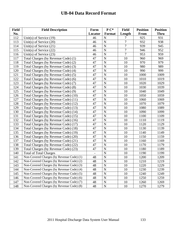| <b>Field</b> | <b>Field Description</b>                  | Form           | $P C^*$        | <b>Field</b>   | <b>Position</b> | <b>Position</b> |
|--------------|-------------------------------------------|----------------|----------------|----------------|-----------------|-----------------|
| No.          |                                           | Locator        | Format         | Length         | <b>From</b>     | <b>Thru</b>     |
| 112          | Unit(s) of Service $(19)$                 | 46             | $\mathbf N$    | 7              | 925             | 931             |
| 113          | Unit(s) of Service (20)                   | 46             | $\mathbf N$    | $\overline{7}$ | 932             | 938             |
| 114          | Unit(s) of Service $(21)$                 | 46             | ${\bf N}$      | $\overline{7}$ | 939             | 945             |
| 115          | Unit(s) of Service (22)                   | 46             | $\mathbf N$    | $\overline{7}$ | 946             | 952             |
| 116          | Unit(s) of Service $(23)$                 | 46             | $\mathbf N$    | $\overline{7}$ | 953             | 959             |
| 117          | Total Charges (by Revenue Code) (1)       | 47             | $\mathbf N$    | 10             | 960             | 969             |
| 118          | Total Charges (by Revenue Code) (2)       | 47             | $\mathbf N$    | 10             | 970             | 979             |
| 119          | Total Charges (by Revenue Code) (3)       | 47             | $\mathbf N$    | 10             | 980             | 989             |
| 120          | Total Charges (by Revenue Code) (4)       | 47             | $\mathbf N$    | 10             | 990             | 999             |
| 121          | Total Charges (by Revenue Code) (5)       | 47             | $\mathbf N$    | 10             | 1000            | 1009            |
| 122          | Total Charges (by Revenue Code) (6)       | 47             | N              | 10             | 1010            | 1019            |
| 123          | Total Charges (by Revenue Code) (7)       | 47             | $\mathbf N$    | 10             | 1020            | 1029            |
| 124          | Total Charges (by Revenue Code) (8)       | 47             | $\mathbf N$    | 10             | 1030            | 1039            |
| 125          | Total Charges (by Revenue Code) (9)       | 47             | $\mathbf N$    | 10             | 1040            | 1049            |
| 126          | Total Charges (by Revenue Code) (10)      | 47             | $\mathbf N$    | 10             | 1050            | 1059            |
| 127          | Total Charges (by Revenue Code) (11)      | 47             | N              | 10             | 1060            | 1069            |
| 128          | Total Charges (by Revenue Code) (12)      | 47             | $\mathbf N$    | 10             | 1070            | 1079            |
| 129          | Total Charges (by Revenue Code) (13)      | 47             | $\mathbf N$    | 10             | 1080            | 1089            |
| 130          | Total Charges (by Revenue Code) (14)      | 47             | $\mathbf N$    | 10             | 1090            | 1099            |
| 131          | Total Charges (by Revenue Code) (15)      | 47             | $\overline{N}$ | 10             | 1100            | 1109            |
| 132          | Total Charges (by Revenue Code) (16)      | 47             | $\overline{N}$ | 10             | 1110            | 1119            |
| 133          | Total Charges (by Revenue Code) (17)      | 47             | $\overline{N}$ | 10             | 1120            | 1129            |
| 134          | Total Charges (by Revenue Code) (18)      | 47             | $\mathbf N$    | 10             | 1130            | 1139            |
| 135          | Total Charges (by Revenue Code) (19)      | 47             | N              | 10             | 1140            | 1149            |
| 136          | Total Charges (by Revenue Code) (20)      | 47             | $\mathbf N$    | 10             | 1150            | 1159            |
| 137          | Total Charges (by Revenue Code) (21)      | 47             | N              | 10             | 1160            | 1169            |
| 138          | Total Charges (by Revenue Code) (22)      | 47             | $\mathbf N$    | 10             | 1170            | 1179            |
| 139          | Total Charges (by Revenue Code) (23)      | 47             | N              | 10             | 1180            | 1189            |
| 140          | <b>Total of Total Charges</b>             | $\blacksquare$ | ${\bf N}$      | 10             | 1190            | 1199            |
| 141          | Non-Covered Charges (by Revenue Code) (1) | 48             | N              | 10             | 1200            | 1209            |
| 142          | Non-Covered Charges (by Revenue Code) (2) | 48             | $\mathbf N$    | 10             | 1210            | 1219            |
| 143          | Non-Covered Charges (by Revenue Code) (3) | 48             | $\mathbf N$    | 10             | 1220            | 1229            |
| 144          | Non-Covered Charges (by Revenue Code) (4) | 48             | $\mathbf N$    | 10             | 1230            | 1239            |
| 145          | Non-Covered Charges (by Revenue Code) (5) | 48             | $\mathbf N$    | 10             | 1240            | 1249            |
| 146          | Non-Covered Charges (by Revenue Code) (6) | 48             | $\mathbf N$    | 10             | 1250            | 1259            |
| 147          | Non-Covered Charges (by Revenue Code) (7) | 48             | $\mathbf N$    | 10             | 1260            | 1269            |
| 148          | Non-Covered Charges (by Revenue Code) (8) | 48             | $\mathbf N$    | 10             | 1270            | 1279            |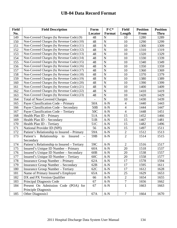| <b>Field</b> | <b>Field Description</b>                     | Form            | $P C^*$        | <b>Field</b>   | <b>Position</b> | <b>Position</b> |
|--------------|----------------------------------------------|-----------------|----------------|----------------|-----------------|-----------------|
| No.          |                                              | Locator         | Format         | Length         | <b>From</b>     | <b>Thru</b>     |
| 149          | Non-Covered Charges (by Revenue Code) (9)    | 48              | $\mathbf N$    | 10             | 1280            | 1289            |
| 150          | Non-Covered Charges (by Revenue Code) (10)   | 48              | $\mathbf N$    | 10             | 1290            | 1299            |
| 151          | Non-Covered Charges (by Revenue Code) (11)   | 48              | $\overline{N}$ | 10             | 1300            | 1309            |
| 152          | Non-Covered Charges (by Revenue Code) (12)   | 48              | $\mathbf N$    | 10             | 1310            | 1319            |
| 153          | Non-Covered Charges (by Revenue Code) (13)   | 48              | N              | 10             | 1320            | 1329            |
| 154          | Non-Covered Charges (by Revenue Code) (14)   | 48              | N              | 10             | 1330            | 1339            |
| 155          | Non-Covered Charges (by Revenue Code) (15)   | 48              | $\overline{N}$ | 10             | 1340            | 1349            |
| 156          | Non-Covered Charges (by Revenue Code) (16)   | 48              | ${\bf N}$      | 10             | 1350            | 1359            |
| 157          | Non-Covered Charges (by Revenue Code) (17)   | 48              | $\mathbf N$    | 10             | 1360            | 1369            |
| 158          | Non-Covered Charges (by Revenue Code) (18)   | 48              | N              | 10             | 1370            | 1379            |
| 159          | Non-Covered Charges (by Revenue Code) (19)   | 48              | $\overline{N}$ | 10             | 1380            | 1389            |
| 160          | Non-Covered Charges (by Revenue Code) (20)   | 48              | ${\bf N}$      | 10             | 1390            | 1399            |
| 161          | Non-Covered Charges (by Revenue Code) (21)   | 48              | ${\bf N}$      | 10             | 1400            | 1409            |
| 162          | Non-Covered Charges (by Revenue Code) (22)   | 48              | N              | 10             | 1410            | 1419            |
| 163          | Non-Covered Charges (by Revenue Code) (23)   | 48              | $\mathbf N$    | 10             | 1420            | 1429            |
| 164          | <b>Total of Non-Covered Charges</b>          |                 | ${\bf N}$      | 10             | 1430            | 1439            |
| 165          | Payer Classification Code - Primary          | 50A             | $A-N$          | $\overline{4}$ | 1440            | 1443            |
| 166          | Payer Classification Code – Secondary        | 50 <sub>B</sub> | $A-N$          | $\overline{4}$ | 1444            | 1447            |
| 167          | Payer Classification Code - Tertiary         | 50C             | $A-N$          | $\overline{4}$ | 1448            | 1451            |
| 168          | Health Plan ID - Primary                     | 51A             | $A-N$          | 15             | 1452            | 1466            |
| 169          | Health Plan ID - Secondary                   | 51B             | $A-N$          | 15             | 1467            | 1481            |
| 170          | Health Plan ID - Tertiary                    | 51C             | $A-N$          | 15             | 1482            | 1496            |
| 171          | National Provider ID (NPI)                   | 56              | $A-N$          | 15             | 1497            | 1511            |
| 172          | Patient's Relationship to Insured – Primary  | 59A             | $A-N$          | $\sqrt{2}$     | 1512            | 1513            |
| 173          | Relationship<br>Patient's<br>Insured<br>to   | 59B             | $A-N$          | $\overline{2}$ | 1514            | 1515            |
|              | Secondary                                    |                 |                |                |                 |                 |
| 174          | Patient's Relationship to Insured - Tertiary | 59C             | $A-N$          | $\mathbf{2}$   | 1516            | 1517            |
| 175          | Insured's Unique ID Number - Primary         | 60A             | $A-N$          | 20             | 1518            | 1537            |
| 176          | Insured's Unique ID Number - Secondary       | 60B             | $A-N$          | $20\,$         | 1538            | 1557            |
| 177          | Insured's Unique ID Number – Tertiary        | 60 <sup>C</sup> | $A-N$          | 20             | 1558            | 1577            |
| 178          | <b>Insurance Group Number – Primary</b>      | 62A             | $A-N$          | 17             | 1578            | 1594            |
| 179          | <b>Insurance Group Number – Secondary</b>    | 62B             | $A-N$          | 17             | 1595            | 1611            |
| 180          | <b>Insurance Group Number – Tertiary</b>     | 62C             | $A-N$          | 17             | 1612            | 1628            |
| 181          | Name of Primary Insured's Employer           | 65A             | $A-N$          | 25             | 1629            | 1653            |
| 182          | DX and PX Version Qualifier                  | 66              | $A-N$          | $\mathbf{2}$   | 1654            | 1655            |
| 183          | Principal Diagnosis Code                     | 67              | $A-N$          | $\tau$         | 1656            | 1662            |
| 184          | Present On Admission Code (POA) for          | 67              | $A-N$          | $\mathbf{1}$   | 1663            | 1663            |
|              | Principle Diagnosis                          |                 |                |                |                 |                 |
| 185          | Other Diagnosis1                             | 67A             | $A-N$          | $\tau$         | 1664            | 1670            |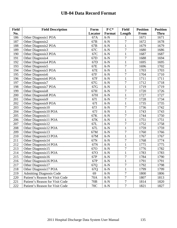| <b>Field</b> | <b>Field Description</b>        | Form            | $P C^*$                        | <b>Field</b>   | <b>Position</b> | <b>Position</b> |
|--------------|---------------------------------|-----------------|--------------------------------|----------------|-----------------|-----------------|
| No.          |                                 | Locator         | Format                         | Length         | From            | <b>Thru</b>     |
| 186          | Other Diagnosis1 POA            | 67A             | $A-N$                          | 1              | 1671            | 1671            |
| 187          | Other Diagnosis2                | 67B             | $\mathbf{A}\text{-}\mathbf{N}$ | 7              | 1672            | 1678            |
| 188          | Other Diagnosis2 POA            | 67B             | $A-N$                          | $\mathbf{1}$   | 1679            | 1679            |
| 189          | Other Diagnosis3                | 67C             | $A-N$                          | $\overline{7}$ | 1680            | 1686            |
| 190          | Other Diagnosis3 POA            | 67C             | $A-N$                          | $\mathbf{1}$   | 1687            | 1687            |
| 191          | Other Diagnosis4                | 67D             | $A-N$                          | $\overline{7}$ | 1688            | 1694            |
| 192          | Other Diagnosis4 POA            | 67D             | $A-N$                          | $\mathbf{1}$   | 1695            | 1695            |
| 193          | Other Diagnosis5                | 67E             | $A-N$                          | $\overline{7}$ | 1696            | 1702            |
| 194          | Other Diagnosis5 POA            | 67E             | $A-N$                          | $\mathbf{1}$   | 1703            | 1703            |
| 195          | Other Diagnosis6                | 67F             | $A-N$                          | $\overline{7}$ | 1704            | 1710            |
| 196          | Other Diagnosis6 POA            | 67F             | $A-N$                          | $\mathbf{1}$   | 1711            | 1711            |
| 197          | Other Diagnosis7                | 67G             | $A-N$                          | $\overline{7}$ | 1712            | 1718            |
| 198          | Other Diagnosis7 POA            | 67G             | $A-N$                          | $\mathbf{1}$   | 1719            | 1719            |
| 199          | Other Diagnosis8                | 67H             | $A-N$                          | $\overline{7}$ | 1720            | 1726            |
| 200          | Other Diagnosis8 POA            | 67H             | $A-N$                          | $\mathbf{1}$   | 1727            | 1727            |
| 201          | Other Diagnosis9                | 67I             | $A-N$                          | $\overline{7}$ | 1728            | 1734            |
| 202          | Other Diagnosis9 POA            | 67I             | $A-N$                          | $\mathbf{1}$   | 1735            | 1735            |
| 203          | Other Diagnosis10               | 67J             | $A-N$                          | $\overline{7}$ | 1736            | 1742            |
| 204          | Other Diagnosis10 POA           | 67J             | $A-N$                          | $\mathbf{1}$   | 1743            | 1743            |
| 205          | Other Diagnosis11               | 67K             | $A-N$                          | $\overline{7}$ | 1744            | 1750            |
| 206          | Other Diagnosis11 POA           | 67K             | $A-N$                          | $\mathbf{1}$   | 1751            | 1751            |
| 207          | Other Diagnosis12               | 67L             | $A-N$                          | $\overline{7}$ | 1752            | 1758            |
| 208          | Other Diagnosis12 POA           | 67L             | $A-N$                          | $\mathbf{1}$   | 1759            | 1759            |
| 209          | Other Diagnosis13               | 67M             | $A-N$                          | $\overline{7}$ | 1760            | 1766            |
| 210          | Other Diagnosis13 POA           | 67M             | $A-N$                          | $\mathbf{1}$   | 1767            | 1767            |
| 211          | Other Diagnosis14               | 67N             | $A-N$                          | $\overline{7}$ | 1768            | 1774            |
| 212          | Other Diagnosis14 POA           | 67N             | $A-N$                          | $\mathbf{1}$   | 1775            | 1775            |
| 213          | Other Diagnosis15               | 67O             | $A-N$                          | $\overline{7}$ | 1776            | 1782            |
| 214          | Other Diagnosis15 POA           | 67O             | $A-N$                          | $\mathbf{1}$   | 1783            | 1783            |
| 215          | Other Diagnosis16               | 67P             | $A-N$                          | 7              | 1784            | 1790            |
| 216          | Other Diagnosis16 POA           | 67P             | $A-N$                          | $\mathbf{1}$   | 1791            | 1791            |
| 217          | Other Diagnosis17               | 67Q             | $A-N$                          | 7              | 1792            | 1798            |
| 218          | Other Diagnosis17 POA           | 67Q             | $A-N$                          | $\mathbf{1}$   | 1799            | 1799            |
| 219          | <b>Admitting Diagnosis Code</b> | 69              | $A-N$                          | $\overline{7}$ | 1800            | 1806            |
| 220          | Patient's Reason for Visit Code | 70A             | $A-N$                          | $\tau$         | 1807            | 1813            |
| 221          | Patient's Reason for Visit Code | 70 <sub>B</sub> | $A-N$                          | $\tau$         | 1814            | 1820            |
| 222          | Patient's Reason for Visit Code | 70C             | $A-N$                          | $\tau$         | 1821            | 1827            |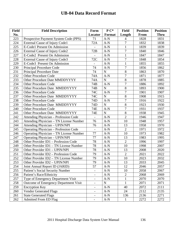| <b>Field</b> | <b>Field Description</b>                | Form                     | $P C^*$     | <b>Field</b>   | <b>Position</b> | <b>Position</b> |
|--------------|-----------------------------------------|--------------------------|-------------|----------------|-----------------|-----------------|
| No.          |                                         | Locator                  | Format      | Length         | From            | <b>Thru</b>     |
| 223          | Prospective Payment System Code (PPS)   | 71                       | $A-N$       | 4              | 1828            | 1831            |
| 224          | <b>External Cause of Injury Code1</b>   | 72A                      | $A-N$       | $\overline{7}$ | 1832            | 1838            |
| 225          | E-Code1 Present On Admission            |                          | $A-N$       | $\mathbf{1}$   | 1839            | 1839            |
| 226          | External Cause of Injury Code2          | 72B                      | $A-N$       | 7              | 1840            | 1846            |
| 227          | E-Code2 Present On Admission            |                          | $A-N$       | $\mathbf{1}$   | 1847            | 1847            |
| 228          | External Cause of Injury Code3          | 72C                      | $A-N$       | $\overline{7}$ | 1848            | 1854            |
| 229          | E-Code3 Present On Admission            |                          | $A-N$       | $\mathbf{1}$   | 1855            | 1855            |
| 230          | Principal Procedure Code                | 74                       | $A-N$       | $\overline{7}$ | 1856            | 1862            |
| 231          | <b>Principal Procedure Date</b>         | 74                       | $\mathbf N$ | 8              | 1863            | 1870            |
| 232          | <b>Other Procedure Code</b>             | 74A                      | $A-N$       | $\overline{7}$ | 1871            | 1877            |
| 233          | Other Procedure Date MMDDYYYY           | 74A                      | $\mathbf N$ | $\overline{8}$ | 1878            | 1885            |
| 234          | <b>Other Procedure Code</b>             | 74B                      | $A-N$       | $\overline{7}$ | 1886            | 1892            |
| 235          | Other Procedure Date MMDDYYYY           | 74B                      | $\mathbf N$ | 8              | 1893            | 1900            |
| 236          | <b>Other Procedure Code</b>             | 74C                      | $A-N$       | $\overline{7}$ | 1901            | 1907            |
| 237          | Other Procedure Date MMDDYYYY           | 74C                      | $\mathbf N$ | 8              | 1908            | 1915            |
| 238          | <b>Other Procedure Code</b>             | 74D                      | $A-N$       | $\overline{7}$ | 1916            | 1922            |
| 239          | Other Procedure Date MMDDYYYY           | 74D                      | $\mathbf N$ | 8              | 1923            | 1930            |
| 240          | <b>Other Procedure Code</b>             | <b>74E</b>               | $A-N$       | $\overline{7}$ | 1931            | 1937            |
| 241          | Other Procedure Date MMDDYYYY           | 74E                      | $\mathbf N$ | 8              | 1938            | 1945            |
| 242          | Attending Physician - Profession Code   | $\equiv$                 | $A-N$       | $\overline{2}$ | 1946            | 1947            |
| 243          | Attending Physician - TN License Number | 76                       | $A-N$       | 10             | 1948            | 1957            |
| 244          | Attending Physician - UPIN/NPI          | 76                       | $A-N$       | 13             | 1958            | 1970            |
| 245          | Operating Physician - Profession Code   | $\overline{\phantom{a}}$ | $A-N$       | $\overline{2}$ | 1971            | 1972            |
| 246          | Operating Physician - TN License Number | 77                       | $A-N$       | 10             | 1973            | 1982            |
| 247          | <b>Operating Physician - UPIN/NPI</b>   | 77                       | $A-N$       | 13             | 1983            | 1995            |
| 248          | Other Provider ID1 - Profession Code    | 78                       | $A-N$       | $\overline{2}$ | 1996            | 1997            |
| 249          | Other Provider ID1 - TN License Number  | 78                       | $A-N$       | 10             | 1998            | 2007            |
| 250          | Other Provider ID1 - UPIN/NPI           | 78                       | $A-N$       | 13             | 2008            | 2020            |
| 251          | Other Provider ID2 – Profession Code    | 79                       | $A-N$       | $\sqrt{2}$     | 2021            | 2022            |
| 252          | Other Provider ID2 – TN License Number  | 79                       | $A-N$       | 10             | 2023            | 2032            |
| 253          | Other Provider ID2 - UPIN/NPI           | 79                       | $A-N$       | 13             | 2033            | 2045            |
| 254          | Joint Annual Report ID (JARID)          | 57                       | $A-N$       | 12             | 2046            | 2057            |
| 255          | Patient's Social Security Number        |                          | $A-N$       | 10             | 2058            | 2067            |
| 256          | Patient's Race/Ethnicity                | $\overline{\phantom{a}}$ | $A-N$       | $\sqrt{2}$     | 2068            | 2069            |
| 257          | Type of Emergency Department Visit      | $\blacksquare$           | $A-N$       | $\mathbf{1}$   | 2070            | 2070            |
| 258          | Outcome of Emergency Department Visit   | $\overline{\phantom{a}}$ | ${\bf N}$   | $\mathbf{1}$   | 2071            | 2071            |
| 259          | <b>Encryption Key</b>                   | $\overline{\phantom{a}}$ | $A-N$       | 40             | 2072            | 2111            |
| 260          | <b>Vendor Generated Flags</b>           | $\qquad \qquad -$        | $A-N$       | 24             | 2112            | 2135            |
| 261          | <b>State Generated Flags</b>            | $\overline{\phantom{a}}$ | $A-N$       | 136            | 2136            | 2271            |
| 262          | <b>Admitted From ED Flag</b>            | $\qquad \qquad -$        | $A-N$       | $\mathbf{1}$   | 2272            | 2272            |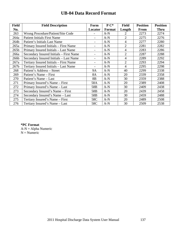| <b>Field</b>     | <b>Field Description</b>                | Form            | $P C^*$ | <b>Field</b>   | <b>Position</b> | <b>Position</b> |
|------------------|-----------------------------------------|-----------------|---------|----------------|-----------------|-----------------|
| No.              |                                         | Locator         | Format  | Length         | <b>From</b>     | <b>Thru</b>     |
| 263              | Wrong Procedure/Patient/Site Code       |                 | $A-N$   | 2              | 2273            | 2274            |
| 264a             | <b>Patient Initials First Name</b>      |                 | $A-N$   | $\overline{2}$ | 2275            | 2276            |
| 264b             | Patient's Initials Last Name            |                 | $A-N$   | 4              | 2277            | 2280            |
| 265a             | Primary Insured Initials – First Name   |                 | $A-N$   | $\overline{2}$ | 2281            | 2282            |
| 265 <sub>b</sub> | Primary Insured Initials - Last Name    |                 | $A-N$   | 4              | 2283            | 2286            |
| 266a             | Secondary Insured Initials – First Name |                 | $A-N$   | $\overline{2}$ | 2287            | 2288            |
| 266b             | Secondary Insured Initials - Last Name  |                 | $A-N$   | 4              | 2289            | 2292            |
| 267a             | Tertiary Insured Initials – First Name  |                 | $A-N$   | $\overline{2}$ | 2293            | 2294            |
| 267 <sub>b</sub> | Tertiary Insured Initials - Last Name   |                 | $A-N$   | 4              | 2295            | 2298            |
| 268              | Patient's Address – Street              | <b>9A</b>       | $A-N$   | 40             | 2299            | 2338            |
| 269              | Patient's Name – First                  | 8A              | $A-N$   | 20             | 2339            | 2358            |
| 270              | Patient's Name – Last                   | 8 <sub>B</sub>  | $A-N$   | 30             | 2359            | 2388            |
| 271              | Primary Insured's Name – First          | 58A             | $A-N$   | 20             | 2389            | 2408            |
| 272              | Primary Insured's Name - Last           | 58 <sub>B</sub> | $A-N$   | 30             | 2409            | 2438            |
| 273              | Secondary Insured's Name – First        | 58 <sub>B</sub> | $A-N$   | 20             | 2439            | 2458            |
| 274              | Secondary Insured's Name - Last         | 58 <sub>B</sub> | $A-N$   | 30             | 2459            | 2488            |
| 275              | Tertiary Insured's Name – First         | 58C             | $A-N$   | 20             | 2489            | 2508            |
| 276              | Tertiary Insured's Name - Last          | 58C             | $A-N$   | 30             | 2509            | 2538            |

**\*PC Format**   $A-N = Alpha$  Numeric  $N =$  Numeric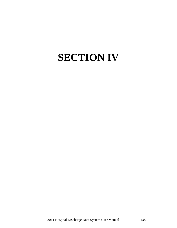# **SECTION IV**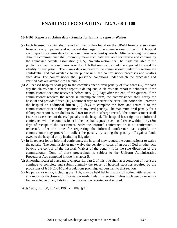### **ENABLING LEGISLATION: T.C.A.-68-1-108**

#### **68-1-108. Reports of claims data - Penalty for failure to report - Waiver.**

- (a) Each licensed hospital shall report all claims data found on the UB-04 form or a successor form on every inpatient and outpatient discharge to the commissioner of health. A hospital shall report the claims data to the commissioner at least quarterly. After receiving the claims data, the commissioner shall promptly make such data available for review and copying by the Tennessee hospital association (THA). No information shall be made available to the public by either the commissioner or the THA that reasonably could be expected to reveal the identity of any patient. The claims data reported to the commissioner under this section are confidential and not available to the public until the commissioner processes and verifies such data. The commissioner shall prescribe conditions under which the processed and verified data are available to the public.
- (b) A licensed hospital shall pay to the commissioner a civil penalty of five cents (5›) for each day the claims data discharge report is delinquent. A claims data report is delinquent if the commissioner does not receive it before sixty (60) days after the end of the quarter. If the commissioner receives the report in incomplete form, the commissioner shall notify the hospital and provide fifteen (15) additional days to correct the error. The notice shall provide the hospital an additional fifteen (15) days to complete the form and return it to the commissioner prior to the imposition of any civil penalty. The maximum civil penalty for a delinquent report is ten dollars (\$10.00) for each discharge record. The commissioner shall issue an assessment of the civil penalty to the hospital. The hospital has a right to an informal conference with the commissioner if the hospital requests such conference within thirty (30) days of receipt of the assessment. After the informal conference or, if no conference is requested, after the time for requesting the informal conference has expired, the commissioner may proceed to collect the penalty by setting the penalty off against funds owed to the hospital or by instituting litigation.
- (c) In its request for an informal conference, the hospital may request the commissioner to waive the penalty. The commissioner may waive the penalty in cases of an act of God or other acts beyond the control of the hospital. Waiver of the penalty is in the sole discretion of the commissioner. None of these proceedings is subject to the Uniform Administrative Procedures Act, compiled in title 4, chapter 5.
- (d) A hospital licensed pursuant to chapter 11, part 2 of this title shall as a condition of licensure continue to complete and submit annually the report of hospital statistics required by the provisions of § 68-11-310 and regulations promulgated pursuant to that section.
- (e) No person or entity, including the THA, may be held liable in any civil action with respect to any report or disclosure of information made under this section unless such person or entity has knowledge of any falsity of the information reported or disclosed.

[Acts 1985, ch. 480, §§ 1-4; 1994, ch. 889, § 1.]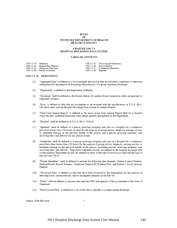#### **RULES** OF TENNESSEE DEPARTMENT OF HEALTH HEALTH STATISTICS

#### **CHAPTER 1200-7-3** HOSPITAL DISCHARGE DATA SYSTEM

#### TABLE OF CONTENTS

| 1200-7-3-.01 Definitions |                                     |                       | 1200-7-3-.05 Processing and Verification |
|--------------------------|-------------------------------------|-----------------------|------------------------------------------|
|                          | 1200-7-3-.02 Required Data Elements |                       | 1200-7-3-.06 Data Availability           |
|                          | 1200-7-3-.03 Submission Time Line   |                       | 1200-7-3-.07 Confidential Information    |
|                          | 1200-7-3-.04 Penalty Assessment     | 1200-7-3-.08 Repealed |                                          |

#### 1200-7-3-.01 DEFINITIONS.

- $(1)$ "Aggregate Data" is defined as a set of multiple data records that are tabulated, combined, or otherwise summarized for the purpose of describing characteristics of a group of patient discharges.
- $(2)$ "Department" is defined as the Department of Health.
- $(3)$ "Discharge" shall be defined as the formal release of a patient from a hospital in either an inpatient or outpatient situation.
- "Error" is defined as data that are incomplete or inconsistent with the specifications in T.C.A. 68-1- $(4)$ 108, these rules, and the Hospital Discharge Data System Procedure Manual.
- "Final Joint Annual Report" is defined as the most recent Joint Annual Report filed by a hospital  $(5)$ where the data contained therein has been edited, queried and updated by the Department.
- "Hospital" shall be defined as in T.C.A. 68-11-201(21)  $(6)$
- "Inpatient" shall be defined as a person receiving reception and care in a hospital for a continuous  $(7)$ period of twenty-four (24) hours or more for the purpose of giving advice, diagnosis, nursing service, or treatment bearing on the physical health of the person, and a person receiving maternity care involving labor and delivery for any period of time.
- (8) "Outpatient" shall be defined as a person receiving reception and care in a hospital for a continuous period less than twenty-four (24) hours for the purpose of giving advice, diagnosis, nursing service, or treatment bearing on the physical health of the person, excluding persons receiving maternity care involving labor and delivery. Reportable outpatient records are defined in the hospital discharge data system manual. Reportable records are defined in terms of the type of service provided and the type of bill on Form UB-92.
- "Patient Identifiers" shall be defined to include the following data elements: Patient Control Number,  $(9)$ Medical/Health Record Number, Certificate Number/ID Number/SSN, and Patient's Social Security Number.
- (10) "Processed Data" is defined as data that have been reviewed by the Department for the purpose of detecting errors, inconsistencies, and/or incomplete elements in the data set.
- (11) "Public" shall be defined as anyone other than the THA and agencies of the government of the State of Tennessee.
- (12) "Record Level Data" is defined as a set of data that is specific to a single patient discharge.

August, 2006 (Revised)

 $\mathbf{1}$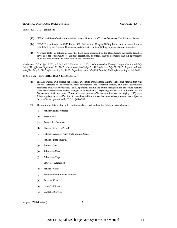#### HOSPITAL DISCHARGE DATA SYSTEM

(Rule 1200-7-3-.01, continued)

- (13) "THA" shall be defined as the administrative offices and staff of the Tennessee Hospital Association.
- (14) "UB-92" is defined to be CMS Form 1450, the Uniform Hospital Billing Form, or a successor form as established by the National Committee and the State Uniform Billing Implementation Committee.
- (15) "Verified Data" is defined as data that have been processed by the Department; the health facilities have had the opportunity to suggest corrections, additions, and/or deletions; and all appropriate revisions have been made to the data by the Department.

Authority: T.C.A. §§4-5-202, 4-5-204, 68-1-108 and 68-11-201. Administrative History: Original rule filed July 30, 1987; effective September 13, 1987. Amendment filed May 7, 1997; effective July 21, 1997. Repeal and new rule filed May 7, 1997; effective July 21, 1997. Repeal and new rule filed June 14, 2006; effective August 28, 2006.

#### 1200-7-3-.02 REQUIRED DATA ELEMENTS.

- (1) The Department will prepare the Hospital Discharge Data System (HDDS) Procedure Manual that will list the variables to be reported, their descriptions and reporting format, and other information associated with data submission. The Department shall make future changes in the Procedure Manual when the Commissioner deems changes to be necessary. Reporting entities will be notified by the Department of all revisions. These revisions become effective one hundred and eighty (180) days following the date of notification. At that time, failure to meet the amended requirements are subject to the penalties as prescribed by T.C.A. §68-1-108.
- $(2)$ The minimum data set for each reported discharge will include the following data elements:
	- Patient Control Number  $(a)$
	- $(b)$ Type of Bill
	- Federal Tax Number  $(c)$
	- Statement Covers Period  $(d)$
	- Patient's Address: City, State and Zip Code  $(e)$
	- Patient's Date of Birth  $(f)$
	- Patient's Sex  $(g)$
	- Admission Date  $(h)$
	- $(i)$ Admission Type
	- $(i)$ Source of Admission
	- Patient's Status  $(k)$
	- Medical/Health Record Number  $(1)$
	- $(m)$ Revenue Codes
	- Date(s) of Service  $(n)$
	- Unit(s) of Service  $(0)$

#### August, 2006 (Revised)

 $\overline{2}$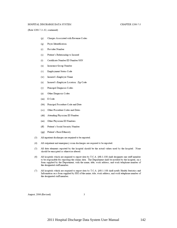#### HOSPITAL DISCHARGE DATA SYSTEM

#### CHAPTER 1200-7-3

(Rule 1200-7-3-.02, continued)

- Charges Associated with Revenue Codes  $(p)$
- Payer Identification  $(q)$
- Provider Number  $(r)$
- $(s)$ Patient's Relationship to Insured
- Certificate Number/ID Number/SSN  $(t)$
- Insurance Group Number  $(u)$
- $(v)$ Employment Status Code
- Insured's Employer Name  $(w)$
- Insured's Employer Location: Zip Code  $(x)$
- Principal Diagnosis Codes  $(y)$
- Other Diagnosis Codes  $(z)$
- (aa) E Code
- (bb) Principal Procedure Code and Date
- Other Procedure Codes and Dates  $(cc)$
- (dd) Attending Physician ID Number
- Other Physician ID Numbers (ee)
- $(f\hat{f})$ Patient's Social Security Number
- (gg) Patient's Race/Ethnicity
- All inpatient discharges are required to be reported.  $(3)$
- All outpatient and emergency room discharges are required to be reported.  $(4)$
- All data elements reported by the hospital should be the actual values used by the hospital. None  $(5)$ should be encrypted or otherwise altered.
- All hospitals which are required to report data by T.C.A. §68-1-108 shall designate one staff member  $(6)$ to be responsible for reporting the claims data. The Department shall be notified by the hospital, on a form supplied by the Department, with the name, title, work address, and work telephone number of the designated staff member.
- All hospitals which are required to report data by T.C.A. §68-1-108 shall notify Health Statistics and  $(7)$ Information on a form supplied by HSI of the name, title, work address, and work telephone number of the designated staff member.

August, 2006 (Revised)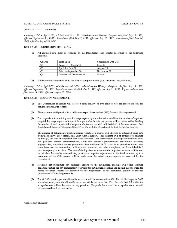(Rule 1200-7-3-.02, continued)

Authority: T.C.A. §§4-5-202, 4-5-204, and 68-1-108. Administrative History: Original rule filed July 30, 1987; effective September 13, 1987. Amendment filed May 7, 1997; effective July 21, 1997. Amendment filed June 14, 2006; effective August 28, 2006.

#### 1200-7-3-.03 SUBMISSION TIME LINE.

(1) All required data must be received by the Department each quarter according to the following schedule:

| Quarter         | Time Span               | Submission Due Date |
|-----------------|-------------------------|---------------------|
| $\frac{Q1}{Q2}$ | January 1 – March 31    | May 30              |
|                 | April $1 -$ June 30     | August 29           |
|                 | July 1 – September 30   | November 29         |
| Q4              | October 1 – December 31 | March 1             |

(2) All data submissions must be in the form of computer media (e.g., magnetic tape, diskettes).

Authority: T.C.A. §§4-5-202, 4-5-204, and 68-1-108. Administrative History: Original rule filed July 30, 1987; effective September 13, 1987. Repeal and new rule filed May 7, 1997; effective July 21, 1997. Repeal and new rule filed June 14, 2006; effective August 28, 2006.

#### 1200-7-3-.04 PENALTY ASSESSMENT.

- The Department of Health will assess a civil penalty of five cents (\$.05) per record per day for  $(1)$ delinquent discharge reports.
- The maximum civil penalty for a delinquent report is ten dollars (\$10) for each discharge record.  $(2)$
- $(3)$ For hospitals not submitting any discharge reports by the submission deadline, the number of inpatient hospital discharge reports delinquent for a particular facility per quarter will be estimated by dividing the number of total inpatient discharges/or admissions reported in Schedule G of the most current, final Joint Annual Report of Hospitals (JAR-H) on file with the Department for that facility by four (4).

The number of delinquent outpatient claims reports for a quarter will likewise be estimated using data from the facility's most recent, final Joint Annual Report. This estimate will be obtained by dividing by four (4) the sum of outpatient data from Schedule D for percutaneous lithotripsy procedures, adult and pediatric cardiac catheterizations, adult and pediatric percutaneous transluminal coronary angioplasties, outpatient surgery procedures from dedicated O. R.'s and from procedure rooms, eye, bone, bone marrow, connective, cardiovascular, stem cell, and other transplants, and from Schedule I, total emergency room visits. The sum of the inpatient estimate and the outpatient estimate will be used to calculate the penalty assessed. Any positive or negative adjustments to the final estimate, up to a maximum of ten (10) percent will be made once the actual claims reports are received by the Department.

- (4) Hospitals not submitting any discharge reports by the submission deadline will begin accruing penalties starting the day immediately following the submission deadline and ending the day when the actual discharge reports are received by the Department or the maximum penalty is reached (maximum=\$10/discharge record).
- For all 2006 discharges, the allowable error rate will be no more than 3%. For all discharges in 2007  $(5)$ and subsequent years, the allowable error rate will be no more than 2%. Records that fall within the acceptable rate will not be subject to any penalties. Hospitals that exceed the acceptable error rate will be penalized based on total errors.

August, 2006 (Revised)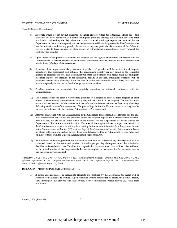#### HOSPITAL DISCHARGE DATA SYSTEM

(Rule 1200-7-3-.04, continued)

- (6) Hospitals which do not submit corrected discharge records within the additional fifteen (15) days allocated for error correction will accrue delinquent penalties starting the sixteenth day after error notification and ending the day when the actual corrected discharge reports are received by the Department or the maximum penalty is reached (maximum=\$10/discharge record). The Commissioner has the authority to delay any penalty for not correcting any particular data element if the failure to correct is due to force majeure or other events of extraordinary circumstances clearly beyond the control of the hospital.
- (7) Upon receipt of the penalty assessment, the hospital has the right to an informal conference with the Commissioner. A written request for an informal conference must be received by the Commissioner within thirty (30) days of the assessment.
- $(8)$ A notice of an approximate daily assessment of the civil penalty will be sent to the delinquent hospital(s). The assessment will estimate the approximate penalty per day based on the estimated number of discharge reports. The assessment will state that penalties will accrue until the delinquent discharge reports are received or the maximum penalty is reached. Delinquent penalties will be collected starting thirty (30) days from the date of notice and continuing every thirty days until the maximum penalty is reached or the discharge reports are received.
- (9) Penalties continue to accumulate for hospitals requesting an informal conference with the Commissioner.
- (10) The Commissioner can grant a waiver from penalties to a hospital in cases of force majeure or other events of extraordinary circumstances clearly beyond the control of the hospital. The hospital must make a written request for the waiver and the informal conference within the first thirty (30) days following notification of the assessment. The proceedings before the Commissioner involving penalty waivers are not subject to the Uniform Administrative Procedures Act.
- (11) After the conference with the Commissioner or the time frame for requesting a conference has expired, the Commissioner can collect the penalties unless the hospital appeals the Commissioner's decision. Penalties may be off set by funds owed to the hospital by the Department of Health and/or the Department of Finance and Administration. However, if the hospital wishes to appeal the decision of the Commissioner, a request in writing for a hearing before an Administrative Law Judge must be sent to the Commissioner within ten (10) business days of the Commissioner's written determination. Issues involving collection of penalties directly from hospitals resolved by an Administrative Law Judge will be in accordance with the Uniform Administrative Procedures Act.
- (12) At the date of collection, penalties for the hospitals that have not submitted any discharge data will be collected based on the estimated number of discharges per day delinquent from the submission deadline to the collection date. Penalties for hospitals that have submitted data will be collected based on the actual number of discharge records that are incomplete or inaccurate for the particular quarter and the actual days delinquent.

Authority: T.C.A. §§4-5-202, 4-5-204, and 68-1-108. Administrative History: Original rule filed July 30, 1987; effective September 13, 1987. Repeal and new rule filed May 7, 1997; effective July 21, 1997. Amendment filed June 14, 2006; effective August 28, 2006.

#### 1200-7-3-.05 PROCESSING AND VERIFICATION.

If errors, inconsistencies, or incomplete elements are identified by the Department the errors will be  $(1)$ reported to the hospital in writing. Upon receiving written notification of errors, the hospital facility shall investigate the problem and shall supply correct information within fifteen (15) days from notification.

August, 2006 (Revised)

 $\overline{2}$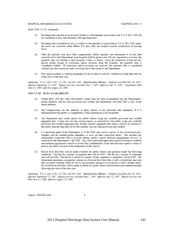(Rule 1200-7-3-.05, continued)

- (2) Discharge data reported in an incorrect format or with elements inconsistent with T.C.A. 68-1-108 will be considered in error and returned to the reporting entity.
- (3) Discharge data considered in error is subject to the penalties as prescribed in T.C.A. 68-1-108, unless the errors are corrected within fifteen (15) days after the hospital receives notification of existing errors
- $(4)$ After the quarterly data have been computerized, edited, updated, and determined to be the final corrected set by the Department, each hospital shall be given a ten (10) day opportunity to review the quarterly data set relating to their hospital, if they so desire. Upon the expiration of that ten day period, absent receipt of corrections and/or revisions from the hospitals, the quarterly data is considered verified. If corrections and/or revisions are received, the quarterly data is considered verified once the corrections and/or revisions have been made by the Department.
- (5) The same procedure as stated in paragraph (4) above shall be used for verification of the final data set at the close of the data year.

Authority: T.C.A. §§4-5-202, 4-5-204, and 68-1-108. Administrative History: Original rule filed July 30, 1987; effective September 13, 1987. Repeal and new rule filed May 7, 1997; effective July 21, 1997. Amendment filed June 14, 2006; effective August 28, 2006.

#### 1200-7-3-.06 DATA AVAILABILITY.

- (1) Within thirty (30) days after all hospitals' claims data has been accumulated into the Department's master database, and has been processed and verified, the Department will send THA a copy of the entire database.
- (2) The Commissioner has the authority to delay release of any particular data element(s) if it is determined that the quality or completeness of the information is not acceptable.
- $(3)$ The Department may create reports for public release using any available processed and verified aggregate data. It may also provide custom reports, as requested by the public, using any available processed and verified aggregate data. Facility specific aggregate data reports will not be released to the public until the final data set for the calendar year has been processed and verified.
- A contractual agent of the Department or of the THA may receive reports of any record necessary,  $(4)$ together with any needed patient identifiers, to carry out their contractual duties. This includes any organization contracted with to provide editing, quality control, database management services, or research for the Department or the THA. Any such contractual agent must agree in writing to establish and maintain appropriate controls to protect the confidentiality of the data and must agree to return or destroy any data or records at the termination of the contract.
- $(5)$ Record level data files will be made available for public release and purchase under the following conditions. The fee for a quarter of inpatient data will be \$300. The fee for a quarter of outpatient data will be \$300. The fee for a subset of a quarter of data, inpatient or outpatient, will be \$300. The Department maintains a proprietary interest in all record level data files it sells or distributes and such files are made available solely for use by the purchaser and may not be given or sold to another entity. No record level data files will be made available for public release and purchase until eighteen months following the close of the data year.

Authority: T.C.A. §§4-5-202, 4-5-204, and 68-1-108. Administrative History: Original rule filed July 30, 1987; effective September 13, 1987. Repeal and new rule filed May 7, 1997; effective July 21, 1997. Repeal and new rule filed June 14, 2006; effective August 28, 2006.

August, 2006 (Revised)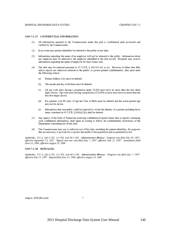#### 1200-7-3-.07 CONFIDENTIAL INFORMATION.

- (1) All information reported to the Commissioner under this part is confidential until processed and verified by the Commissioner.
- (2) In no event may patient identifiers be released to the public at any time.
- Information regarding the name of an employer will not be released to the public. Information about  $(3)$ any employer may be released to the employer identified in the data record. Hospitals may receive information regarding the name of employer for their claims only.
- The data may be released pursuant to 45 C.F.R. § 164.514 (b) or (e). However if either data files  $(4)$ and/or reports are otherwise released to the public, to protect patient confidentiality, they must meet the following criteria:
	- Patient Address City must be deleted.  $(a)$
	- The month and day of all dates must be deleted.  $(b)$
	- All zip code areas having a population under 20,000 must have no more than the first three  $(c)$ digits shown. Zip code areas having a population of 20,000 or more must have no more than the first five digits shown.
	- For patients over 89 years of age the Year of Birth must be deleted and the actual patient age  $(d)$ may not be shown.
	- Information that reasonably could be expected to reveal the identity of a patient including those  $(e)$ items contained in 45 C.F.R. §164(b)(2)(i) shall be deleted.
- (5) Any agency of the State of Tennessee receiving confidential hospital claims data or reports containing such confidential information, shall agree in writing to follow all confidentiality restrictions of the Department concerning use of this data.
- (6) The Commissioner may use or authorize use of this data, including the patient identifiers, for purposes that are necessary to provide for or protect the health of the population and as permitted by law.

Authority: T.C.A. §§4-5-202, 4-5-204, and 68-1-108. Administrative History: Original rule filed July 30, 1987; effective September 13, 1987. Repeal and new rule filed May 7, 1997; effective July 21, 1997. Amendment filed June 14, 2006; effective August 28, 2006.

#### 1200-7-3-.08 REPEALED.

Authority: T.C.A. §§4-5-202, 4-5-204, and 68-1-108. Administrative History: Original rule filed May 7, 1997; effective July 21, 1997. Repeal filed June 14, 2006; effective August 28, 2006.

August, 2006 (Revised)

 $\boldsymbol{7}$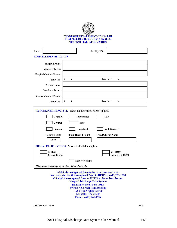

| Date:                                                | Facility ID#:                                                           |
|------------------------------------------------------|-------------------------------------------------------------------------|
| <b>HOSPITAL IDENTIFICATION</b>                       |                                                                         |
| <b>Hospital Name:</b>                                |                                                                         |
| <b>Hospital Address:</b>                             |                                                                         |
| <b>Hospital Contact Person:</b>                      |                                                                         |
| <b>Phone No.:</b>                                    | Fax No: (<br>1<br>1                                                     |
| <b>Vendor Name:</b>                                  |                                                                         |
| <b>Vendor Address:</b>                               |                                                                         |
| <b>Vendor Contact Person:</b>                        |                                                                         |
| <b>Phone No.:</b>                                    | Fax No: (<br>)<br>)                                                     |
|                                                      | <b>DATA DESCRIPTION/TYPE:</b> Please fill in or check all that applies. |
| Original                                             | Replacement<br><b>Test</b>                                              |
| Quarter                                              | Year                                                                    |
| Inpatient                                            | Outpatient<br>Amb-Surgery                                               |
| <b>Record Length</b><br>2538                         | <b>Total Record Count</b><br><b>File/Data Set Name</b>                  |
|                                                      | <b>MEDIA SPECIFICATIONS: Please check all that applies.</b>             |
| E-Mail<br><b>Secure E-Mail</b>                       | <b>CD-ROM</b><br><b>Secure CD-ROM</b>                                   |
|                                                      | Secure Website                                                          |
| This form must accompany submitted data and or media |                                                                         |

E-Mail this completed form to Nerissa. Harvey@tn.gov You may also fax this completed form to HDDS @ (615)253-1688 OR mail the completed form to HDDS at the address below: **Hospital Discharge Data System Division of Health Statistics** 6th Floor, Cordell Hull Building **425 Fifth Avenue North** Nashville, TN 37243 Phone: (615) 741-1954

PH-3924 (Rev. 01/11)

S836-1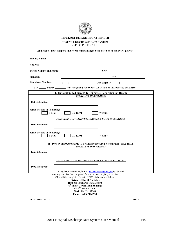

TENNESSEE DEPARTMENT OF HEALTH

#### HOSPITAL DISCHARGE DATA SYSTEM REPORTING METHOD

All hospitals must complete and return this form signed and dated, each and every quarter

| <b>Facility Name:</b>                        |                                                                                                                                   |
|----------------------------------------------|-----------------------------------------------------------------------------------------------------------------------------------|
| <b>Address:</b>                              |                                                                                                                                   |
| <b>Person Completing Form:</b>               | Title:                                                                                                                            |
| Signature:                                   | Date:                                                                                                                             |
| Telephone Number:                            | <b>Fax Number:</b> (<br>$\rightarrow$                                                                                             |
|                                              | For ______quarter __________ year, this facility will submit UB-04 data by the following method(s):                               |
|                                              | I. Data submitted directly to Tennessee Department of Health                                                                      |
|                                              | <b>INPATIENT DISCHARGES</b>                                                                                                       |
| Date Submitted:                              |                                                                                                                                   |
| <b>Select Method of Reporting:</b><br>E-Mail | <b>CD-ROM</b><br>Website                                                                                                          |
|                                              | <u>SELECTED OUTPATIENT/EMERGENCY ROOM DISCHARGES</u>                                                                              |
|                                              |                                                                                                                                   |
| Date Submitted:                              |                                                                                                                                   |
| Select Method of Reporting:<br>E-Mail        | <b>CD-ROM</b><br>Website                                                                                                          |
|                                              | II. Data submitted directly to Tennessee Hospital Association (THA-HIDI)                                                          |
|                                              | <b>INPATIENT DISCHARGES</b>                                                                                                       |
| Date Submitted:                              |                                                                                                                                   |
|                                              | SELECTED OUTPATIENT/EMERGENCY ROOM DISCHARGES                                                                                     |
|                                              |                                                                                                                                   |
| Date Submitted:                              |                                                                                                                                   |
|                                              | E-Mail this completed form to Nerissa. Harvey@tn.gov by the 15th<br>You may also fax this completed form to HDDS @ (615) 253-1688 |
|                                              | OR mail the completed form to HDDS at the address below:                                                                          |
|                                              | <b>Division of Health Statistics</b>                                                                                              |
|                                              | Hospital Discharge Data System<br>6 <sup>th</sup> Floor, Cordell Hull Building                                                    |
|                                              | 425 5 <sup>th</sup> Avenue North                                                                                                  |
|                                              | Nashville, TN 37243<br>Phone: (615) 741-1954                                                                                      |
| PH-3925 (Rev. 01/11)                         | S836-1                                                                                                                            |

2011 Hospital Discharge Data System User Manual 148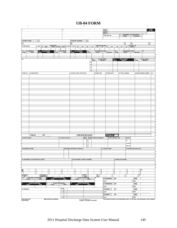## **UB-04 FORM**

 $\overline{\phantom{0}}$ 

| π                             |                                  |            |                         |                                                  | $\overline{2}$             |    |                                 |                                          |                        |            |                          | 3a PAT.<br>CNTL #       |               |                    |                  |               |                                                                                  |                        | 4 TYPE<br>OF BILL |
|-------------------------------|----------------------------------|------------|-------------------------|--------------------------------------------------|----------------------------|----|---------------------------------|------------------------------------------|------------------------|------------|--------------------------|-------------------------|---------------|--------------------|------------------|---------------|----------------------------------------------------------------------------------|------------------------|-------------------|
|                               |                                  |            |                         |                                                  |                            |    |                                 |                                          |                        |            |                          | b. MED.<br>REC. #       |               |                    |                  |               |                                                                                  |                        |                   |
|                               |                                  |            |                         |                                                  |                            |    |                                 |                                          |                        |            |                          | 5 FED. TAX NO.          |               |                    |                  |               | STATEMENT COVERS PERIOD<br>FROM THROUGH                                          |                        |                   |
|                               |                                  |            |                         |                                                  |                            |    |                                 |                                          |                        |            |                          |                         |               |                    |                  |               |                                                                                  |                        |                   |
| <b>8 PATIENT NAME</b>         |                                  | a          |                         |                                                  |                            |    | <b>9 PATIENT ADDRESS</b>        |                                          | a                      |            |                          |                         |               |                    |                  |               |                                                                                  |                        |                   |
| $\mathbf{b}$                  |                                  |            |                         |                                                  |                            | b  |                                 |                                          |                        |            |                          |                         |               |                    | ۰                |               | $\vert d \vert$                                                                  |                        | $\circ$           |
| 10 BIRTHDATE                  |                                  | 11 SEX     | 12 DATE                 | ADMISSION<br>19 HR 14 TYPE 15 SAC 16 DHR 17 STAT |                            |    | 18                              | 19                                       | 20                     | 21         |                          |                         | 25            | 26                 | 27               | 28            | 29 ACDT 30<br><b>STATE</b>                                                       |                        |                   |
|                               |                                  |            |                         |                                                  |                            |    |                                 |                                          |                        |            |                          |                         |               |                    |                  |               |                                                                                  |                        |                   |
| 31 OCCURRENCE                 |                                  | 32<br>CODE | OCCURRENCE              |                                                  | 33 OCCURRENCE<br>CODE DATE |    | 34 OCCURRENCE<br>CODE DATE      |                                          | $rac{35}{60DE}$        |            |                          | OCCURRENCE SPAN THROUGH |               | $rac{36}{600E}$    |                  |               | OCCURRENCE SPAN<br>FROM THROUGH                                                  | 37                     |                   |
|                               |                                  |            |                         |                                                  |                            |    |                                 |                                          |                        |            |                          |                         |               |                    |                  |               |                                                                                  |                        |                   |
|                               |                                  |            |                         |                                                  |                            |    |                                 |                                          |                        |            |                          |                         |               |                    |                  |               |                                                                                  |                        |                   |
| ाऋ                            |                                  |            |                         |                                                  |                            |    |                                 |                                          |                        | 39<br>CODE | VALUE CODES<br>AMOUNT    |                         |               | $rac{40}{60DE}$    | WILLIE CODES     |               | $rac{41}{30006}$                                                                 | WALLE CODES            |                   |
|                               |                                  |            |                         |                                                  |                            |    |                                 |                                          | la                     |            |                          |                         |               |                    |                  |               |                                                                                  |                        |                   |
|                               |                                  |            |                         |                                                  |                            |    |                                 |                                          | b                      |            |                          |                         |               |                    |                  |               |                                                                                  |                        |                   |
|                               |                                  |            |                         |                                                  |                            |    |                                 |                                          | c                      |            |                          |                         |               |                    |                  |               |                                                                                  |                        |                   |
|                               |                                  |            |                         |                                                  |                            |    |                                 |                                          | d                      |            |                          |                         |               |                    |                  |               |                                                                                  |                        |                   |
| 42 REV. CO.                   | 43 DESCRIPTION                   |            |                         |                                                  |                            |    | 44 HCPCS / RATE / HIPPS CODE    |                                          |                        |            | 46 SERV. DATE            |                         | 48 SERM UNITS |                    | 47 TOTAL CHARGES |               |                                                                                  | 48 NON-COVERED CHARGES | 49                |
|                               |                                  |            |                         |                                                  |                            |    |                                 |                                          |                        |            |                          |                         |               |                    |                  |               |                                                                                  |                        |                   |
|                               |                                  |            |                         |                                                  |                            |    |                                 |                                          |                        |            |                          |                         |               |                    |                  |               |                                                                                  |                        |                   |
|                               |                                  |            |                         |                                                  |                            |    |                                 |                                          |                        |            |                          |                         |               |                    |                  |               |                                                                                  |                        |                   |
|                               |                                  |            |                         |                                                  |                            |    |                                 |                                          |                        |            |                          |                         |               |                    |                  |               |                                                                                  |                        |                   |
|                               |                                  |            |                         |                                                  |                            |    |                                 |                                          |                        |            |                          |                         |               |                    |                  |               |                                                                                  |                        |                   |
|                               |                                  |            |                         |                                                  |                            |    |                                 |                                          |                        |            |                          |                         |               |                    |                  |               |                                                                                  |                        |                   |
|                               |                                  |            |                         |                                                  |                            |    |                                 |                                          |                        |            |                          |                         |               |                    |                  |               |                                                                                  |                        |                   |
|                               |                                  |            |                         |                                                  |                            |    |                                 |                                          |                        |            |                          |                         |               |                    |                  |               |                                                                                  |                        |                   |
|                               |                                  |            |                         |                                                  |                            |    |                                 |                                          |                        |            |                          |                         |               |                    |                  |               |                                                                                  |                        |                   |
|                               |                                  |            |                         |                                                  |                            |    |                                 |                                          |                        |            |                          |                         |               |                    |                  |               |                                                                                  |                        |                   |
|                               |                                  |            |                         |                                                  |                            |    |                                 |                                          |                        |            |                          |                         |               |                    |                  |               |                                                                                  |                        |                   |
| 회                             |                                  |            |                         |                                                  |                            |    |                                 |                                          |                        |            |                          |                         |               |                    |                  |               |                                                                                  |                        |                   |
| ۰,                            |                                  |            |                         |                                                  |                            |    |                                 |                                          |                        |            |                          |                         |               |                    |                  |               |                                                                                  |                        |                   |
|                               |                                  |            |                         |                                                  |                            |    |                                 |                                          |                        |            |                          |                         |               |                    |                  |               |                                                                                  |                        |                   |
| s)                            |                                  |            |                         |                                                  |                            |    |                                 |                                          |                        |            |                          |                         |               |                    |                  |               |                                                                                  |                        |                   |
|                               |                                  |            |                         |                                                  |                            |    |                                 |                                          |                        |            |                          |                         |               |                    |                  |               |                                                                                  |                        |                   |
| 계                             |                                  |            |                         |                                                  |                            |    |                                 |                                          |                        |            |                          |                         |               |                    |                  |               |                                                                                  |                        |                   |
|                               |                                  |            |                         |                                                  |                            |    |                                 |                                          |                        |            |                          |                         |               |                    |                  |               |                                                                                  |                        |                   |
|                               |                                  |            |                         |                                                  |                            |    |                                 |                                          |                        |            |                          |                         |               |                    |                  |               |                                                                                  |                        |                   |
|                               |                                  |            |                         |                                                  |                            |    |                                 |                                          |                        |            |                          |                         |               |                    |                  |               |                                                                                  |                        |                   |
|                               |                                  |            |                         |                                                  |                            |    |                                 |                                          |                        |            |                          |                         |               |                    |                  |               |                                                                                  |                        |                   |
|                               |                                  |            |                         |                                                  |                            |    |                                 |                                          |                        |            |                          |                         |               |                    |                  |               |                                                                                  |                        |                   |
|                               | PAGE                             |            | ΟF                      |                                                  |                            |    | <b>CREATION DATE</b>            |                                          |                        |            |                          |                         | <b>TOTALS</b> |                    |                  |               |                                                                                  |                        |                   |
| 50 PAYER NAME                 |                                  |            |                         |                                                  | 51 HEALTH PLAN ID          |    |                                 | <b>BR REL</b><br><b>INFO</b>             | <b>53 ASG.</b><br>DEM. |            | <b>54 PRIOR PAYMENTS</b> |                         |               | 55 EST. AMOUNT DUE |                  | <b>56 NPI</b> |                                                                                  |                        |                   |
|                               |                                  |            |                         |                                                  |                            |    |                                 |                                          |                        |            |                          |                         |               |                    |                  | 57            |                                                                                  |                        |                   |
|                               |                                  |            |                         |                                                  |                            |    |                                 |                                          |                        |            |                          |                         |               |                    |                  | OTHER         |                                                                                  |                        |                   |
|                               |                                  |            |                         |                                                  |                            |    |                                 |                                          |                        |            |                          |                         |               |                    |                  | PRV ID        |                                                                                  |                        |                   |
| 58 INSURED'S NAME             |                                  |            |                         |                                                  |                            |    | 59 P.REL 60 INSURED'S UNIQUE ID |                                          |                        |            |                          | 61 GROUP NAME           |               |                    |                  |               | 62 INSURANCE GROUP NO.                                                           |                        |                   |
|                               |                                  |            |                         |                                                  |                            |    |                                 |                                          |                        |            |                          |                         |               |                    |                  |               |                                                                                  |                        |                   |
|                               |                                  |            |                         |                                                  |                            |    |                                 |                                          |                        |            |                          |                         |               |                    |                  |               |                                                                                  |                        |                   |
|                               |                                  |            |                         |                                                  |                            |    |                                 |                                          |                        |            |                          |                         |               |                    |                  |               |                                                                                  |                        |                   |
|                               | 63 TREATMENT AUTHORIZATION CODES |            |                         |                                                  |                            |    | 64 DOCUMENT CONTROL NUMBER      |                                          |                        |            |                          |                         |               |                    | 65 EMPLOYER NAME |               |                                                                                  |                        |                   |
|                               |                                  |            |                         |                                                  |                            |    |                                 |                                          |                        |            |                          |                         |               |                    |                  |               |                                                                                  |                        |                   |
| 헤                             |                                  |            |                         |                                                  |                            |    |                                 |                                          |                        |            |                          |                         |               |                    |                  |               |                                                                                  |                        |                   |
|                               |                                  |            |                         |                                                  |                            |    |                                 |                                          |                        |            |                          |                         |               |                    |                  |               |                                                                                  |                        |                   |
| $\overline{\mathbb{R}}$       |                                  |            |                         |                                                  |                            |    |                                 |                                          |                        |            |                          |                         |               |                    |                  |               |                                                                                  | 68                     |                   |
|                               |                                  |            |                         |                                                  |                            |    |                                 |                                          |                        |            |                          |                         |               |                    |                  |               |                                                                                  |                        |                   |
| 69 ADMIT                      |                                  |            | 70 PATIENT<br>REASON DX |                                                  |                            |    |                                 | 71 PPS                                   |                        |            | $\frac{72}{150}$         |                         |               |                    |                  |               | 73                                                                               |                        |                   |
| DX.<br>74                     | PRINCIPAL PROCEDURE              |            | $\blacksquare$          |                                                  | OTHER PROCEDURE<br>DATE    | b. | OTHER PROCEDURE                 | CODE                                     |                        | b5         |                          | 76 ATTENDING            |               | <b>NPI</b>         |                  |               | <b>QUAL</b>                                                                      |                        |                   |
| CODE                          |                                  | DATE       |                         | CODE                                             |                            |    | CODE                            |                                          | DATE                   |            |                          | LAST                    |               |                    |                  |               | FIRST                                                                            |                        |                   |
| a.                            | OTHER PROCEDURE<br>CODE DATE     |            | đ                       |                                                  | OTHER PROCEDURE            | ۰  | OTHER PROCEDURE<br>CODE DATE    |                                          |                        |            |                          | 77 OPERATING            |               | NPI                |                  |               | <b>QUAL</b>                                                                      |                        |                   |
|                               |                                  |            |                         | CODE                                             | DATE                       |    |                                 |                                          |                        |            |                          | LAST                    |               |                    |                  |               | FIRST                                                                            |                        |                   |
| 80 REMARKS                    |                                  |            |                         |                                                  | <b>81CC</b>                |    |                                 |                                          |                        |            |                          | 78 OTHER                |               | NPI                |                  |               | <b>QUAL</b>                                                                      |                        |                   |
|                               |                                  |            |                         |                                                  | $\alpha$<br>$\mathsf b$    |    |                                 |                                          |                        |            |                          | LAST                    |               |                    |                  |               | FIRST                                                                            |                        |                   |
|                               |                                  |            |                         |                                                  |                            |    |                                 |                                          |                        |            |                          | 79 OTHER                |               | <b>NPI</b>         |                  |               | <b>QUAL</b>                                                                      |                        |                   |
|                               |                                  |            |                         |                                                  | $\circ$<br>d               |    |                                 |                                          |                        |            |                          | LAST                    |               |                    |                  |               | FIRST                                                                            |                        |                   |
| UB-04 CMS-1450<br>@ 2005 NUBC |                                  |            | OMB APPROVAL PENDING    |                                                  |                            |    |                                 | NUBC <sup>*</sup> Monte until LICS213257 |                        |            |                          |                         |               |                    |                  |               | THE CERTIFICATIONS ON THE REVERSE APPLY TO THIS BILL AND ARE MADE A PART HEREOF. |                        |                   |
|                               |                                  |            |                         |                                                  |                            |    |                                 |                                          |                        |            |                          |                         |               |                    |                  |               |                                                                                  |                        |                   |

 $\overline{\phantom{0}}$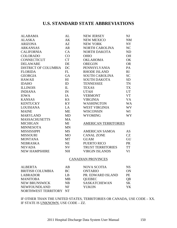## **U.S. STANDARD STATE ABBREVIATIONS**

| <b>ALABAMA</b>              | AL        | <b>NEW JERSEY</b>           | NJ              |
|-----------------------------|-----------|-----------------------------|-----------------|
| <b>ALASKA</b>               | AK        | <b>NEW MEXICO</b>           | NM              |
| <b>ARIZONA</b>              | AZ        | <b>NEW YORK</b>             | NY              |
| <b>ARKANSAS</b>             | <b>AR</b> | <b>NORTH CAROLINA</b>       | NC              |
| <b>CALIFORNIA</b>           | CA        | NORTH DAKOTA                | ND              |
| <b>COLORADO</b>             | CO        | <b>OHIO</b>                 | <b>OH</b>       |
| <b>CONNECTICUT</b>          | <b>CT</b> | <b>OKLAHOMA</b>             | OK              |
| <b>DELAWARE</b>             | <b>DE</b> | <b>OREGON</b>               | <b>OR</b>       |
| <b>DISTRICT OF COLUMBIA</b> | DC        | <b>PENNSYLVANIA</b>         | PA              |
| <b>FLORIDA</b>              | FL        | <b>RHODE ISLAND</b>         | RI              |
| <b>GEORGIA</b>              | <b>GA</b> | <b>SOUTH CAROLINA</b>       | <b>SC</b>       |
| <b>HAWAII</b>               | HI        | <b>SOUTH DAKOTA</b>         | <b>SD</b>       |
| <b>IDAHO</b>                | ID        | <b>TENNESSEE</b>            | <b>TN</b>       |
| <b>ILLINOIS</b>             | IL        | <b>TEXAS</b>                | <b>TX</b>       |
| <b>INDIANA</b>              | IN        | <b>UTAH</b>                 | <b>UT</b>       |
| <b>IOWA</b>                 | IA        | <b>VERMONT</b>              | <b>VT</b>       |
| <b>KANSAS</b>               | <b>KS</b> | <b>VIRGINIA</b>             | <b>VA</b>       |
| <b>KENTUCKY</b>             | KY        | <b>WASHINGTON</b>           | <b>WA</b>       |
| <b>LOUISIANA</b>            | LA        | <b>WEST VIRGINIA</b>        | WV              |
| <b>MAINE</b>                | <b>ME</b> | <b>WISCONSIN</b>            | WI              |
| <b>MARYLAND</b>             | <b>MD</b> | <b>WYOMING</b>              | WY <sup>-</sup> |
| <b>MASSACHUSETTS</b>        | <b>MA</b> |                             |                 |
| <b>MICHIGAN</b>             | MI        | <b>AMERICAN TERRITORIES</b> |                 |
| <b>MINNESOTA</b>            | <b>MN</b> |                             |                 |
| <b>MISSISSIPPI</b>          | <b>MS</b> | <b>AMERICAN SAMOA</b>       | <b>AS</b>       |
| <b>MISSOURI</b>             | <b>MO</b> | <b>CANAL ZONE</b>           | CZ              |
| <b>MONTANA</b>              | <b>MT</b> | <b>GUAM</b>                 | GU              |
| <b>NEBRASKA</b>             | <b>NE</b> | PUERTO RICO                 | PR              |
| <b>NEVADA</b>               | NV        | <b>TRUST TERRITORIES</b>    | <b>TT</b>       |
| <b>NEW HAMPSHIRE</b>        | <b>NH</b> | <b>VIRGIN ISLANDS</b>       | VI              |
|                             |           | <b>CANADIAN PROVINCES</b>   |                 |
|                             |           |                             |                 |

| <b>ALBERTA</b>          | AB        | <b>NOVA SCOTIA</b>  | NS        |
|-------------------------|-----------|---------------------|-----------|
| <b>BRITISH COLUMBIA</b> | BC.       | <b>ONTARIO</b>      | ON        |
| <b>LABRADOR</b>         | LB        | PR. EDWARD ISLAND   | <b>PE</b> |
| <b>MANITOBA</b>         | MB        | <b>QUEBEC</b>       | OВ        |
| <b>NEW BRUNSWICK</b>    | <b>NB</b> | <b>SASKATCHEWAN</b> | SK.       |
| <b>NEWFOUNDLAND</b>     | NF        | <b>YUKON</b>        | YK.       |
| NORTHWEST TERRITORY NT  |           |                     |           |

IF OTHER THAN THE UNITED STATES, TERRITORIES OR CANADA, USE CODE – XX. IF STATE IS UNKNOWN, USE CODE – ZZ.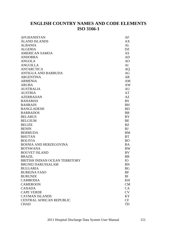## **ENGLISH COUNTRY NAMES AND CODE ELEMENTS ISO 3166-1**

| <b>AFGHANISTAN</b>              | AF        |
|---------------------------------|-----------|
| ÅLAND ISLANDS                   | AX        |
| <b>ALBANIA</b>                  | AL        |
| <b>ALGERIA</b>                  | <b>DZ</b> |
| <b>AMERICAN SAMOA</b>           | <b>AS</b> |
| <b>ANDORRA</b>                  | AD        |
| <b>ANGOLA</b>                   | AO        |
| <b>ANGUILLA</b>                 | AI        |
| <b>ANTARCTICA</b>               | AQ        |
| ANTIGUA AND BARBUDA             | AG        |
| <b>ARGENTINA</b>                | <b>AR</b> |
| <b>ARMENIA</b>                  | AM        |
| <b>ARUBA</b>                    | AW        |
| <b>AUSTRALIA</b>                | AU        |
| <b>AUSTRIA</b>                  | AT        |
| <b>AZERBAIJAN</b>               | AZ        |
| <b>BAHAMAS</b>                  | <b>BS</b> |
| <b>BAHRAIN</b>                  | <b>BH</b> |
| <b>BANGLADESH</b>               | <b>BD</b> |
| <b>BARBADOS</b>                 | <b>BB</b> |
| <b>BELARUS</b>                  | BY        |
| <b>BELGIUM</b>                  | BE        |
| <b>BELIZE</b>                   | <b>BZ</b> |
| <b>BENIN</b>                    | <b>BJ</b> |
| <b>BERMUDA</b>                  | <b>BM</b> |
| <b>BHUTAN</b>                   | <b>BT</b> |
| <b>BOLIVIA</b>                  | <b>BO</b> |
| <b>BOSNIA AND HERZEGOVINA</b>   | <b>BA</b> |
| <b>BOTSWANA</b>                 | <b>BW</b> |
| <b>BOUVET ISLAND</b>            | BV        |
| <b>BRAZIL</b>                   | <b>BR</b> |
| BRITISH INDIAN OCEAN TERRITORY  | <b>IO</b> |
| BRUNEI DARUSSALAM               | <b>BN</b> |
| <b>BULGARIA</b>                 | BG        |
| <b>BURKINA FASO</b>             | BF        |
| <b>BURUNDI</b>                  | BI        |
| <b>CAMBODIA</b>                 | KH        |
| <b>CAMEROON</b>                 | CM        |
| <b>CANADA</b>                   | CA        |
| <b>CAPE VERDE</b>               | <b>CV</b> |
| <b>CAYMAN ISLANDS</b>           | KY        |
| <b>CENTRAL AFRICAN REPUBLIC</b> | CF        |
| <b>CHAD</b>                     | TD        |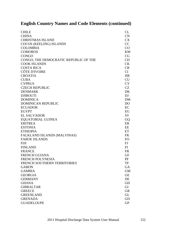| <b>CHILE</b>                          | CL        |
|---------------------------------------|-----------|
| <b>CHINA</b>                          | CN        |
| <b>CHRISTMAS ISLAND</b>               | <b>CX</b> |
| COCOS (KEELING) ISLANDS               | CC        |
| <b>COLOMBIA</b>                       | CO        |
| <b>COMOROS</b>                        | <b>KM</b> |
| <b>CONGO</b>                          | CG        |
| CONGO, THE DEMOCRATIC REPUBLIC OF THE | CD        |
| <b>COOK ISLANDS</b>                   | <b>CK</b> |
| <b>COSTA RICA</b>                     | CR        |
| CÔTE D'IVOIRE                         | CI        |
| <b>CROATIA</b>                        | <b>HR</b> |
| <b>CUBA</b>                           | <b>CU</b> |
| <b>CYPRUS</b>                         | <b>CY</b> |
| <b>CZECH REPUBLIC</b>                 | <b>CZ</b> |
| <b>DENMARK</b>                        | DK        |
| <b>DJIBOUTI</b>                       | DJ        |
| <b>DOMINICA</b>                       | <b>DM</b> |
| <b>DOMINICAN REPUBLIC</b>             | DO        |
| <b>ECUADOR</b>                        | EC        |
| <b>EGYPT</b>                          | EG        |
| <b>EL SALVADOR</b>                    | <b>SV</b> |
| EQUATORIAL GUINEA                     | GQ        |
| <b>ERITREA</b>                        | ER        |
| <b>ESTONIA</b>                        | EE        |
| <b>ETHIOPIA</b>                       | ET        |
| FALKLAND ISLANDS (MALVINAS)           | <b>FK</b> |
| <b>FAROE ISLANDS</b>                  | FO        |
| <b>FIJI</b>                           | FJ        |
| <b>FINLAND</b>                        | FI        |
| <b>FRANCE</b>                         | <b>FR</b> |
| <b>FRENCH GUIANA</b>                  | <b>GF</b> |
| <b>FRENCH POLYNESIA</b>               | PF        |
| FRENCH SOUTHERN TERRITORIES           | TF        |
| <b>GABON</b>                          | GA        |
| <b>GAMBIA</b>                         | <b>GM</b> |
| <b>GEORGIA</b>                        | <b>GE</b> |
| <b>GERMANY</b>                        | DE        |
| <b>GHANA</b>                          | <b>GH</b> |
| <b>GIBRALTAR</b>                      | GI        |
| <b>GREECE</b>                         | <b>GR</b> |
| <b>GREENLAND</b>                      | <b>GL</b> |
| <b>GRENADA</b>                        | GD        |
| <b>GUADELOUPE</b>                     | <b>GP</b> |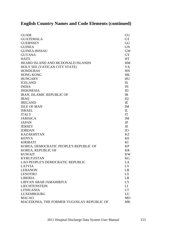| <b>GUAM</b>                                | GU          |
|--------------------------------------------|-------------|
| <b>GUATEMALA</b>                           | <b>GT</b>   |
| <b>GUERNSEY</b>                            | GG          |
| <b>GUINEA</b>                              | <b>GN</b>   |
| <b>GUINEA-BISSAU</b>                       | <b>GW</b>   |
| <b>GUYANA</b>                              | <b>GY</b>   |
| <b>HAITI</b>                               | <b>HT</b>   |
| HEARD ISLAND AND MCDONALD ISLANDS          | HM          |
| HOLY SEE (VATICAN CITY STATE)              | <b>VA</b>   |
| <b>HONDURAS</b>                            | HN          |
| <b>HONG KONG</b>                           | <b>HK</b>   |
| <b>HUNGARY</b>                             | HU          |
| <b>ICELAND</b>                             | <b>IS</b>   |
| <b>INDIA</b>                               | IN          |
| <b>INDONESIA</b>                           | ID          |
| <b>IRAN, ISLAMIC REPUBLIC OF</b>           | IR          |
| <b>IRAQ</b>                                | IQ          |
| <b>IRELAND</b>                             | IE          |
| <b>ISLE OF MAN</b>                         | IM          |
| <b>ISRAEL</b>                              | $_{\rm IL}$ |
| <b>ITALY</b>                               | IT          |
| <b>JAMAICA</b>                             | JM          |
| <b>JAPAN</b>                               | JP          |
| <b>JERSEY</b>                              | JE          |
| <b>JORDAN</b>                              | <b>JO</b>   |
| <b>KAZAKHSTAN</b>                          | <b>KZ</b>   |
| <b>KENYA</b>                               | KE          |
| <b>KIRIBATI</b>                            | KI          |
| KOREA, DEMOCRATIC PEOPLE'S REPUBLIC OF     | <b>KP</b>   |
| KOREA, REPUBLIC OF                         | <b>KR</b>   |
| <b>KUWAIT</b>                              | <b>KW</b>   |
| <b>KYRGYZSTAN</b>                          | KG          |
| LAO PEOPLE'S DEMOCRATIC REPUBLIC           | LA          |
| <b>LATVIA</b>                              | LV          |
| <b>LEBANON</b>                             | LB          |
| <b>LESOTHO</b>                             | LS          |
| <b>LIBERIA</b>                             | <b>LR</b>   |
| LIBYAN ARAB JAMAHIRIYA                     | <b>LY</b>   |
| <b>LIECHTENSTEIN</b>                       | LI          |
| <b>LITHUANIA</b>                           | <b>LT</b>   |
| <b>LUXEMBOURG</b>                          | LU          |
| <b>MACAO</b>                               | <b>MO</b>   |
| MACEDONIA, THE FORMER YUGOSLAV REPUBLIC OF | <b>MK</b>   |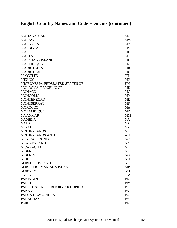| <b>MADAGASCAR</b>               | MG        |
|---------------------------------|-----------|
| <b>MALAWI</b>                   | <b>MW</b> |
| <b>MALAYSIA</b>                 | <b>MY</b> |
| <b>MALDIVES</b>                 | <b>MV</b> |
| <b>MALI</b>                     | ML        |
| <b>MALTA</b>                    | MT        |
| <b>MARSHALL ISLANDS</b>         | <b>MH</b> |
| <b>MARTINIQUE</b>               | <b>MQ</b> |
| <b>MAURITANIA</b>               | <b>MR</b> |
| <b>MAURITIUS</b>                | MU        |
| <b>MAYOTTE</b>                  | <b>YT</b> |
| <b>MEXICO</b>                   | <b>MX</b> |
| MICRONESIA, FEDERATED STATES OF | <b>FM</b> |
| MOLDOVA, REPUBLIC OF            | <b>MD</b> |
| <b>MONACO</b>                   | <b>MC</b> |
| <b>MONGOLIA</b>                 | <b>MN</b> |
| <b>MONTENEGRO</b>               | <b>ME</b> |
| <b>MONTSERRAT</b>               | <b>MS</b> |
| <b>MOROCCO</b>                  | <b>MA</b> |
| <b>MOZAMBIQUE</b>               | MZ        |
| <b>MYANMAR</b>                  | <b>MM</b> |
| <b>NAMIBIA</b>                  | <b>NA</b> |
| <b>NAURU</b>                    | <b>NR</b> |
| <b>NEPAL</b>                    | NP        |
| <b>NETHERLANDS</b>              | NL        |
| NETHERLANDS ANTILLES            | AN        |
| <b>NEW CALEDONIA</b>            | NC        |
| <b>NEW ZEALAND</b>              | NZ        |
| <b>NICARAGUA</b>                | NI        |
| <b>NIGER</b>                    | <b>NE</b> |
| <b>NIGERIA</b>                  | NG        |
| <b>NIUE</b>                     | <b>NU</b> |
| NORFOLK ISLAND                  | <b>NF</b> |
| NORTHERN MARIANA ISLANDS        | MP        |
| <b>NORWAY</b>                   | NO        |
| <b>OMAN</b>                     | <b>OM</b> |
| <b>PAKISTAN</b>                 | <b>PK</b> |
| <b>PALAU</b>                    | PW        |
| PALESTINIAN TERRITORY, OCCUPIED | <b>PS</b> |
| <b>PANAMA</b>                   | PA        |
| PAPUA NEW GUINEA                | PG        |
| <b>PARAGUAY</b>                 | <b>PY</b> |
| <b>PERU</b>                     | PE        |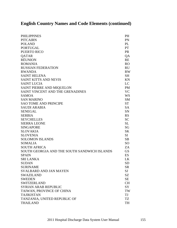| <b>PHILIPPINES</b>                           | <b>PH</b>       |
|----------------------------------------------|-----------------|
| <b>PITCAIRN</b>                              | PN              |
| <b>POLAND</b>                                | PL              |
| <b>PORTUGAL</b>                              | <b>PT</b>       |
| <b>PUERTO RICO</b>                           | PR              |
| <b>QATAR</b>                                 | QA              |
| <b>RÉUNION</b>                               | <b>RE</b>       |
| <b>ROMANIA</b>                               | <b>RO</b>       |
| <b>RUSSIAN FEDERATION</b>                    | <b>RU</b>       |
| <b>RWANDA</b>                                | <b>RW</b>       |
| <b>SAINT HELENA</b>                          | <b>SH</b>       |
| <b>SAINT KITTS AND NEVIS</b>                 | KN              |
| <b>SAINT LUCIA</b>                           | LC              |
| SAINT PIERRE AND MIQUELON                    | <b>PM</b>       |
| SAINT VINCENT AND THE GRENADINES             | <b>VC</b>       |
| <b>SAMOA</b>                                 | <b>WS</b>       |
| <b>SAN MARINO</b>                            | <b>SM</b>       |
| <b>SAO TOME AND PRINCIPE</b>                 | <b>ST</b>       |
| <b>SAUDI ARABIA</b>                          | <b>SA</b>       |
| <b>SENEGAL</b>                               | <b>SN</b>       |
| <b>SERBIA</b>                                | <b>RS</b>       |
| <b>SEYCHELLES</b>                            | <b>SC</b>       |
| <b>SIERRA LEONE</b>                          | <b>SL</b>       |
| <b>SINGAPORE</b>                             | SG              |
| <b>SLOVAKIA</b>                              | <b>SK</b>       |
| <b>SLOVENIA</b>                              | <b>SI</b>       |
| <b>SOLOMON ISLANDS</b>                       | <b>SB</b>       |
| <b>SOMALIA</b>                               | SO <sub>1</sub> |
| <b>SOUTH AFRICA</b>                          | ZA              |
| SOUTH GEORGIA AND THE SOUTH SANDWICH ISLANDS | <b>GS</b>       |
| <b>SPAIN</b>                                 | ES              |
| <b>SRI LANKA</b>                             | LK              |
| SUDAN                                        | <b>SD</b>       |
| <b>SURINAME</b>                              | <b>SR</b>       |
| <b>SVALBARD AND JAN MAYEN</b>                | SJ              |
| <b>SWAZILAND</b>                             | SZ              |
| <b>SWEDEN</b>                                | SE              |
| <b>SWITZERLAND</b>                           | <b>CH</b>       |
| <b>SYRIAN ARAB REPUBLIC</b>                  | SY              |
| TAIWAN, PROVINCE OF CHINA                    | TW              |
| <b>TAJIKISTAN</b>                            | TJ              |
| TANZANIA, UNITED REPUBLIC OF                 | TZ              |
| <b>THAILAND</b>                              | TH              |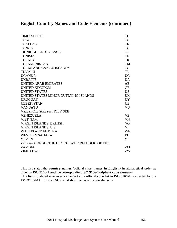| <b>TIMOR-LESTE</b>                              | TL              |
|-------------------------------------------------|-----------------|
| <b>TOGO</b>                                     | <b>TG</b>       |
| <b>TOKELAU</b>                                  | TK              |
| <b>TONGA</b>                                    | <b>TO</b>       |
| <b>TRINIDAD AND TOBAGO</b>                      | <b>TT</b>       |
| <b>TUNISIA</b>                                  | TN              |
| <b>TURKEY</b>                                   | <b>TR</b>       |
| <b>TURKMENISTAN</b>                             | <b>TM</b>       |
| <b>TURKS AND CAICOS ISLANDS</b>                 | <b>TC</b>       |
| <b>TUVALU</b>                                   | TV              |
| <b>UGANDA</b>                                   | <b>UG</b>       |
| <b>UKRAINE</b>                                  | $U$ A           |
| <b>UNITED ARAB EMIRATES</b>                     | AE              |
| <b>UNITED KINGDOM</b>                           | <b>GB</b>       |
| <b>UNITED STATES</b>                            | US <sub>1</sub> |
| UNITED STATES MINOR OUTLYING ISLANDS            | <b>UM</b>       |
| <b>URUGUAY</b>                                  | <b>UY</b>       |
| <b>UZBEKISTAN</b>                               | <b>UZ</b>       |
| <b>VANUATU</b>                                  | VU              |
| Vatican City State see HOLY SEE                 |                 |
| <b>VENEZUELA</b>                                | <b>VE</b>       |
| <b>VIET NAM</b>                                 | <b>VN</b>       |
| VIRGIN ISLANDS, BRITISH                         | VG              |
| VIRGIN ISLANDS, U.S.                            | VI              |
| <b>WALLIS AND FUTUNA</b>                        | WF              |
| <b>WESTERN SAHARA</b>                           | <b>EH</b>       |
| <b>YEMEN</b>                                    | YE              |
| Zaire see CONGO, THE DEMOCRATIC REPUBLIC OF THE |                 |
| <b>ZAMBIA</b>                                   | ZM              |
| <b>ZIMBABWE</b>                                 | ZW              |

This list states the **country names** (official short names **in English**) in alphabetical order as given in ISO 3166-1 **and** the corresponding **ISO 3166-1-alpha-2 code elements**. This list is updated whenever a change to the official code list in ISO 3166-1 is effected by the

ISO 3166/MA. It lists 244 official short names and code elements.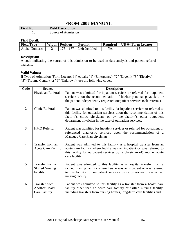| <b>Field No.</b> | <b>Field Description</b> |
|------------------|--------------------------|
| 10               | Admission<br>Source of   |

### **Field Detail:**

| <b>Field Type</b> | Width | <b>Position</b> | Format         | <b>Required</b> | UB-04 Form Locator |
|-------------------|-------|-----------------|----------------|-----------------|--------------------|
| Alpha-Numeric     |       | $176 - 1$       | Left Justified | Yes.            |                    |

### **Description:**

A code indicating the source of this admission to be used in data analysis and patient referral analysis.

### **Valid Values:**

If Type of Admission (Form Locator 14) equals: "1" (Emergency), "2" (Urgent), "3" (Elective), "5" (Trauma Center) or "9" (Unknown), use the following codes:

| Code           | <b>Source</b>                                                         | <b>Description</b>                                                                                                                                                                                                                                                                     |
|----------------|-----------------------------------------------------------------------|----------------------------------------------------------------------------------------------------------------------------------------------------------------------------------------------------------------------------------------------------------------------------------------|
|                | Physician Referral                                                    | Patient was admitted for inpatient services or referred for outpatient<br>services upon the recommendation of his/her personal physician, or<br>the patient independently requested outpatient services (self-referral).                                                               |
| $\overline{2}$ | <b>Clinic Referral</b>                                                | Patient was admitted to this facility for inpatient services or referred to<br>this facility for outpatient services upon the recommendation of this<br>facility's clinic physician, or by the facility's other outpatient<br>department physician in the case of outpatient services. |
| 3              | <b>HMO</b> Referral                                                   | Patient was admitted for inpatient services or referred for outpatient or<br>referenced diagnostic services upon the recommendation of a<br>Managed Care Plan physician.                                                                                                               |
| $\overline{4}$ | Transfer from an<br><b>Acute Care Facility</b>                        | Patient was admitted to this facility as a hospital transfer from an<br>acute care facility where he/she was an inpatient or was referred to<br>this facility for outpatient services by (a physician of) another acute<br>care facility.                                              |
| 5              | Transfer from a<br><b>Skilled Nursing</b><br>Facility                 | Patient was admitted to this facility as a hospital transfer from a<br>skilled nursing facility where he/she was an inpatient or was referred<br>to this facility for outpatient services by (a physician of) a skilled<br>nursing facility.                                           |
| 6              | <b>Transfer from</b><br><b>Another Health</b><br><b>Care Facility</b> | Patient was admitted to this facility as a transfer from a health care<br>facility other than an acute care facility or skilled nursing facility,<br>including transfers from nursing homes, long-term care facilities and                                                             |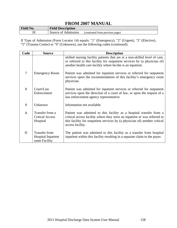| <b>Field No.</b> | <b>Field Description</b> |                                |
|------------------|--------------------------|--------------------------------|
|                  | Source of Admission      | (continued from previous page) |

If Type of Admission (Form Locator 14) equals: "1" (Emergency), "2" (Urgent), "3" (Elective), "5" (Trauma Center) or "9" (Unknown), use the following codes (continued):

| Code           | <b>Source</b>                                                      | <b>Description</b>                                                                                                                                                                                                                                |
|----------------|--------------------------------------------------------------------|---------------------------------------------------------------------------------------------------------------------------------------------------------------------------------------------------------------------------------------------------|
|                |                                                                    | skilled nursing facility patients that are at a non-skilled level of care,<br>or referred to this facility for outpatient services by (a physician of)<br>another health care facility where he/she is an inpatient.                              |
| $\overline{7}$ | <b>Emergency Room</b>                                              | Patient was admitted for inpatient services or referred for outpatient<br>services upon the recommendation of this facility's emergency room<br>physician.                                                                                        |
| 8              | Court/Law<br>Enforcement                                           | Patient was admitted for inpatient services or referred for outpatient<br>services upon the direction of a court of law, or upon the request of a<br>law enforcement agency representative.                                                       |
| 9              | Unknown                                                            | Information not available.                                                                                                                                                                                                                        |
| $\mathbf{A}$   | Transfer from a<br><b>Critical Access</b><br>Hospital              | Patient was admitted to this facility as a hospital transfer from a<br>critical access facility where they were an inpatient or was referred to<br>this facility for outpatient services by (a physician of) another critical<br>access facility. |
| D              | <b>Transfer from</b><br><b>Hospital Inpatient</b><br>same Facility | The patient was admitted to this facility as a transfer from hospital<br>inpatient within this facility resulting in a separate claim to the payer.                                                                                               |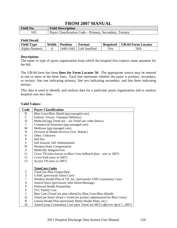| Field No. | <b>Field Description</b>                                 |
|-----------|----------------------------------------------------------|
|           | Payer Classification Code – Primary, Secondary, Tertiary |

### **Field Detail:**

| <b>Field Type</b> | Width | <b>Position</b> | Format                     | <b>Required</b> | UB-04 Form Locator |
|-------------------|-------|-----------------|----------------------------|-----------------|--------------------|
| Alpha-Numeric     |       |                 | 1440-1443   Left Justified | Yes.            | 50A                |

### **Description:**

The name or type of payer organization from which the hospital first expects some payment for the bill.

The UB-04 form has three **lines for Form Locator 50**. The appropriate source may be entered in one or more of the three lines. Each line represents whether the payer is primary, secondary, or tertiary; line one indicating primary, line two indicating secondary, and line three indicating tertiary.

This data is used to identify and analyze data for a particular payer organization and to analyze hospital case mix data.

#### **Valid Values:**

| Code           | <b>Payer Classification</b>                                           |
|----------------|-----------------------------------------------------------------------|
| B              | Blue Cross/Blue Shield (not managed care)                             |
| $\mathsf{C}$   | Federal, Tricare, Champus (Military)                                  |
| $\mathbf D$    | Medicaid (not TennCare – see TennCare codes below)                    |
| $\mathbf I$    | Commercial Insurance (not managed care)                               |
| $\mathbf{M}$   | Medicare (not managed care)                                           |
| ${\bf N}$      | Division of Health Services (Voc. Rehab.)                             |
| $\mathbf{O}$   | Other, Unknown                                                        |
| ${\bf P}$      | Self Pay                                                              |
| ${\bf S}$      | Self Insured, Self Administered                                       |
| W              | Workers/State Compensation                                            |
| Z              | Medically Indigent/Free                                               |
| 11             | Cover TN (also known as Blue Cross InReach plan – new in 2007)        |
| 12             | Cover Kids (new in 2007)                                              |
| 13             | Access TN (new in 2007)                                               |
|                |                                                                       |
|                | <b>TennCare Codes</b>                                                 |
| $\mathbf T$    | TennCare-Plan Unspecified                                             |
| $\mathfrak s$  | UAHC (previously Omni Care)                                           |
| $\overline{7}$ | Windsor Health Plan of TN, Inc. (previously VHP Community Care)       |
| $\,8\,$        | AmeriChoice (previously John Deere/Heritage)                          |
| 9              | Preferred Health Partnership                                          |
| ${\bf F}$      | <b>TLC Family Care</b>                                                |
| $\bf J$        | Blue Care (TennCare plan offered by Blue Cross/Blue Shield)           |
| Q              | TennCare Select (State's TennCare product administered by Blue Cross) |
| $\mathbf R$    | Unison Health Plan (previously Better Health Plans, Inc.)             |
| 10             | AmeriGroup Community Care (new TennCare MCO effective April 1, 2007)  |